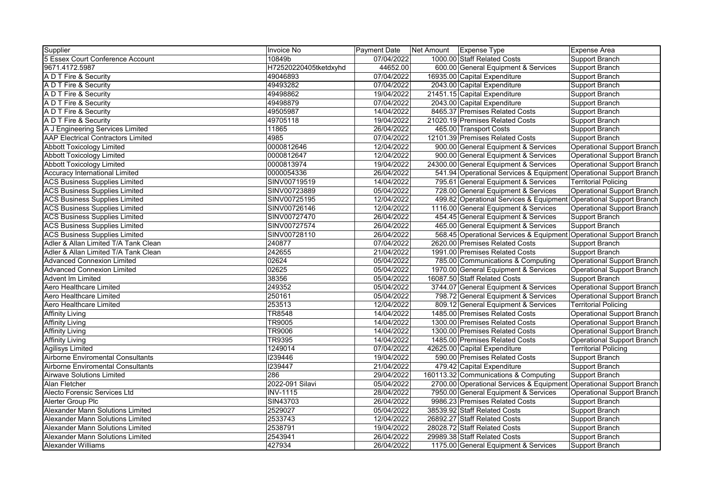| Supplier                                  | <b>Invoice No</b>     | Payment Date | Net Amount | Expense Type                                                        | <b>Expense Area</b>               |
|-------------------------------------------|-----------------------|--------------|------------|---------------------------------------------------------------------|-----------------------------------|
| 5 Essex Court Conference Account          | 10849b                | 07/04/2022   |            | 1000.00 Staff Related Costs                                         | <b>Support Branch</b>             |
| 9671.4172.5987                            | H72520220405tketdxyhd | 44652.00     |            | 600.00 General Equipment & Services                                 | <b>Support Branch</b>             |
| A D T Fire & Security                     | 49046893              | 07/04/2022   |            | 16935.00 Capital Expenditure                                        | <b>Support Branch</b>             |
| A D T Fire & Security                     | 49493282              | 07/04/2022   |            | 2043.00 Capital Expenditure                                         | <b>Support Branch</b>             |
| A D T Fire & Security                     | 49498862              | 19/04/2022   |            | 21451.15 Capital Expenditure                                        | Support Branch                    |
| A D T Fire & Security                     | 49498879              | 07/04/2022   |            | 2043.00 Capital Expenditure                                         | Support Branch                    |
| A D T Fire & Security                     | 49505987              | 14/04/2022   |            | 8465.37 Premises Related Costs                                      | Support Branch                    |
| A D T Fire & Security                     | 49705118              | 19/04/2022   |            | 21020.19 Premises Related Costs                                     | Support Branch                    |
| A J Engineering Services Limited          | 11865                 | 26/04/2022   |            | 465.00 Transport Costs                                              | <b>Support Branch</b>             |
| <b>AAP Electrical Contractors Limited</b> | 4985                  | 07/04/2022   |            | 12101.39 Premises Related Costs                                     | Support Branch                    |
| <b>Abbott Toxicology Limited</b>          | 0000812646            | 12/04/2022   |            | 900.00 General Equipment & Services                                 | <b>Operational Support Branch</b> |
| <b>Abbott Toxicology Limited</b>          | 0000812647            | 12/04/2022   |            | 900.00 General Equipment & Services                                 | <b>Operational Support Branch</b> |
| <b>Abbott Toxicology Limited</b>          | 0000813974            | 19/04/2022   |            | 24300.00 General Equipment & Services                               | <b>Operational Support Branch</b> |
| <b>Accuracy International Limited</b>     | 0000054336            | 26/04/2022   |            | 541.94 Operational Services & Equipment Operational Support Branch  |                                   |
| <b>ACS Business Supplies Limited</b>      | SINV00719519          | 14/04/2022   |            | 795.61 General Equipment & Services                                 | <b>Territorial Policing</b>       |
| <b>ACS Business Supplies Limited</b>      | SINV00723889          | 05/04/2022   |            | 728.00 General Equipment & Services                                 | Operational Support Branch        |
| <b>ACS Business Supplies Limited</b>      | SINV00725195          | 12/04/2022   |            | 499.82 Operational Services & Equipment Operational Support Branch  |                                   |
| <b>ACS Business Supplies Limited</b>      | SINV00726146          | 12/04/2022   |            | 1116.00 General Equipment & Services                                | <b>Operational Support Branch</b> |
| <b>ACS Business Supplies Limited</b>      | SINV00727470          | 26/04/2022   |            | 454.45 General Equipment & Services                                 | <b>Support Branch</b>             |
| <b>ACS Business Supplies Limited</b>      | SINV00727574          | 26/04/2022   |            | 465.00 General Equipment & Services                                 | <b>Support Branch</b>             |
| <b>ACS Business Supplies Limited</b>      | SINV00728110          | 26/04/2022   |            | 568.45 Operational Services & Equipment Operational Support Branch  |                                   |
| Adler & Allan Limited T/A Tank Clean      | 240877                | 07/04/2022   |            | 2620.00 Premises Related Costs                                      | <b>Support Branch</b>             |
| Adler & Allan Limited T/A Tank Clean      | 242655                | 21/04/2022   |            | 1991.00 Premises Related Costs                                      | <b>Support Branch</b>             |
| <b>Advanced Connexion Limited</b>         | $\overline{02624}$    | 05/04/2022   |            | 785.00 Communications & Computing                                   | <b>Operational Support Branch</b> |
| <b>Advanced Connexion Limited</b>         | 02625                 | 05/04/2022   |            | 1970.00 General Equipment & Services                                | <b>Operational Support Branch</b> |
| Advent Im Limited                         | 38356                 | 05/04/2022   |            | 16087.50 Staff Related Costs                                        | <b>Support Branch</b>             |
| Aero Healthcare Limited                   | 249352                | 05/04/2022   |            | 3744.07 General Equipment & Services                                | <b>Operational Support Branch</b> |
| Aero Healthcare Limited                   | 250161                | 05/04/2022   |            | 798.72 General Equipment & Services                                 | <b>Operational Support Branch</b> |
| Aero Healthcare Limited                   | 253513                | 12/04/2022   |            | 809.12 General Equipment & Services                                 | <b>Territorial Policing</b>       |
| <b>Affinity Living</b>                    | <b>TR8548</b>         | 14/04/2022   |            | 1485.00 Premises Related Costs                                      | Operational Support Branch        |
| <b>Affinity Living</b>                    | <b>TR9005</b>         | 14/04/2022   |            | 1300.00 Premises Related Costs                                      | Operational Support Branch        |
| <b>Affinity Living</b>                    | <b>TR9006</b>         | 14/04/2022   |            | 1300.00 Premises Related Costs                                      | <b>Operational Support Branch</b> |
| <b>Affinity Living</b>                    | <b>TR9395</b>         | 14/04/2022   |            | 1485.00 Premises Related Costs                                      | <b>Operational Support Branch</b> |
| Agilisys Limited                          | 1249014               | 07/04/2022   |            | 42625.00 Capital Expenditure                                        | <b>Territorial Policing</b>       |
| <b>Airborne Enviromental Consultants</b>  | 1239446               | 19/04/2022   |            | 590.00 Premises Related Costs                                       | Support Branch                    |
| <b>Airborne Enviromental Consultants</b>  | 1239447               | 21/04/2022   |            | 479.42 Capital Expenditure                                          | <b>Support Branch</b>             |
| <b>Airwave Solutions Limited</b>          | 286                   | 29/04/2022   |            | 160113.32 Communications & Computing                                | <b>Support Branch</b>             |
| Alan Fletcher                             | 2022-091 Silavi       | 05/04/2022   |            | 2700.00 Operational Services & Equipment Operational Support Branch |                                   |
| Alecto Forensic Services Ltd              | <b>INV-1115</b>       | 28/04/2022   |            | 7950.00 General Equipment & Services                                | Operational Support Branch        |
| Alerter Group Plc                         | SIN43703              | 26/04/2022   |            | 9986.23 Premises Related Costs                                      | <b>Support Branch</b>             |
| Alexander Mann Solutions Limited          | 2529027               | 05/04/2022   |            | 38539.92 Staff Related Costs                                        | <b>Support Branch</b>             |
| <b>Alexander Mann Solutions Limited</b>   | 2533743               | 12/04/2022   |            | 26892.27 Staff Related Costs                                        | <b>Support Branch</b>             |
| Alexander Mann Solutions Limited          | 2538791               | 19/04/2022   |            | 28028.72 Staff Related Costs                                        | <b>Support Branch</b>             |
| Alexander Mann Solutions Limited          | 2543941               | 26/04/2022   |            | 29989.38 Staff Related Costs                                        | <b>Support Branch</b>             |
| <b>Alexander Williams</b>                 | 427934                | 26/04/2022   |            | 1175.00 General Equipment & Services                                | <b>Support Branch</b>             |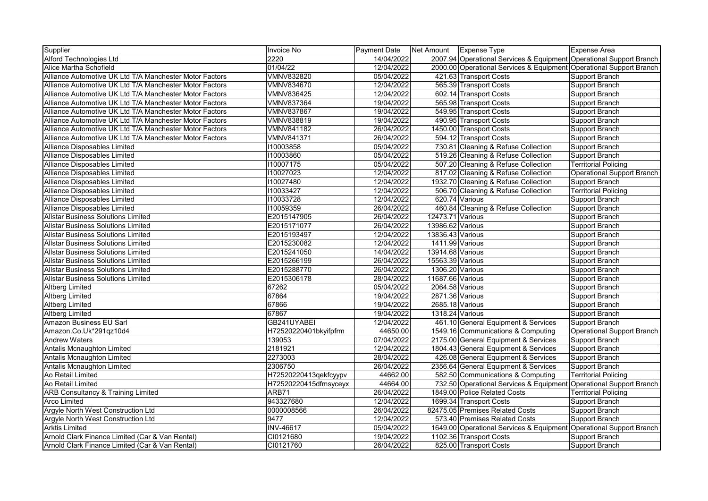| Supplier                                                | <b>Invoice No</b>     | Payment Date | Net Amount       | Expense Type                                                        | Expense Area                      |
|---------------------------------------------------------|-----------------------|--------------|------------------|---------------------------------------------------------------------|-----------------------------------|
| Alford Technologies Ltd                                 | 2220                  | 14/04/2022   |                  | 2007.94 Operational Services & Equipment Operational Support Branch |                                   |
| Alice Martha Schofield                                  | 01/04/22              | 12/04/2022   |                  | 2000.00 Operational Services & Equipment Operational Support Branch |                                   |
| Alliance Automotive UK Ltd T/A Manchester Motor Factors | <b>VMNV832820</b>     | 05/04/2022   |                  | 421.63 Transport Costs                                              | Support Branch                    |
| Alliance Automotive UK Ltd T/A Manchester Motor Factors | VMNV834670            | 12/04/2022   |                  | 565.39 Transport Costs                                              | Support Branch                    |
| Alliance Automotive UK Ltd T/A Manchester Motor Factors | <b>VMNV836425</b>     | 12/04/2022   |                  | 602.14 Transport Costs                                              | Support Branch                    |
| Alliance Automotive UK Ltd T/A Manchester Motor Factors | VMNV837364            | 19/04/2022   |                  | 565.98 Transport Costs                                              | Support Branch                    |
| Alliance Automotive UK Ltd T/A Manchester Motor Factors | <b>VMNV837867</b>     | 19/04/2022   |                  | 549.95 Transport Costs                                              | Support Branch                    |
| Alliance Automotive UK Ltd T/A Manchester Motor Factors | VMNV838819            | 19/04/2022   |                  | 490.95 Transport Costs                                              | Support Branch                    |
| Alliance Automotive UK Ltd T/A Manchester Motor Factors | VMNV841182            | 26/04/2022   |                  | 1450.00 Transport Costs                                             | Support Branch                    |
| Alliance Automotive UK Ltd T/A Manchester Motor Factors | VMNV841371            | 26/04/2022   |                  | 594.12 Transport Costs                                              | Support Branch                    |
| Alliance Disposables Limited                            | 110003858             | 05/04/2022   |                  | 730.81 Cleaning & Refuse Collection                                 | Support Branch                    |
| Alliance Disposables Limited                            | 110003860             | 05/04/2022   |                  | 519.26 Cleaning & Refuse Collection                                 | Support Branch                    |
| Alliance Disposables Limited                            | 110007175             | 05/04/2022   |                  | 507.20 Cleaning & Refuse Collection                                 | <b>Territorial Policing</b>       |
| Alliance Disposables Limited                            | 110027023             | 12/04/2022   |                  | 817.02 Cleaning & Refuse Collection                                 | Operational Support Branch        |
| Alliance Disposables Limited                            | 110027480             | 12/04/2022   |                  | 1932.70 Cleaning & Refuse Collection                                | Support Branch                    |
| Alliance Disposables Limited                            | 110033427             | 12/04/2022   |                  | 506.70 Cleaning & Refuse Collection                                 | <b>Territorial Policing</b>       |
| <b>Alliance Disposables Limited</b>                     | 110033728             | 12/04/2022   |                  | 620.74 Various                                                      | Support Branch                    |
| Alliance Disposables Limited                            | 110059359             | 26/04/2022   |                  | 460.84 Cleaning & Refuse Collection                                 | Support Branch                    |
| <b>Allstar Business Solutions Limited</b>               | E2015147905           | 26/04/2022   | 12473.71 Various |                                                                     | Support Branch                    |
| <b>Allstar Business Solutions Limited</b>               | E2015171077           | 26/04/2022   | 13986.62 Various |                                                                     | Support Branch                    |
| <b>Allstar Business Solutions Limited</b>               | E2015193497           | 12/04/2022   | 13836.43 Various |                                                                     | Support Branch                    |
| <b>Allstar Business Solutions Limited</b>               | E2015230082           | 12/04/2022   | 1411.99 Various  |                                                                     | Support Branch                    |
| <b>Allstar Business Solutions Limited</b>               | E2015241050           | 14/04/2022   | 13914.68 Various |                                                                     | Support Branch                    |
| <b>Allstar Business Solutions Limited</b>               | E2015266199           | 26/04/2022   | 15563.39 Various |                                                                     | Support Branch                    |
| <b>Allstar Business Solutions Limited</b>               | E2015288770           | 26/04/2022   | 1306.20 Various  |                                                                     | Support Branch                    |
| <b>Allstar Business Solutions Limited</b>               | E2015306178           | 28/04/2022   | 11687.66 Various |                                                                     | Support Branch                    |
| Altberg Limited                                         | 67262                 | 05/04/2022   | 2064.58 Various  |                                                                     | Support Branch                    |
| <b>Altberg Limited</b>                                  | 67864                 | 19/04/2022   | 2871.36 Various  |                                                                     | Support Branch                    |
| <b>Altberg Limited</b>                                  | 67866                 | 19/04/2022   | 2685.18 Various  |                                                                     | Support Branch                    |
| <b>Altberg Limited</b>                                  | 67867                 | 19/04/2022   | 1318.24 Various  |                                                                     | Support Branch                    |
| <b>Amazon Business EU Sarl</b>                          | GB241UYABEI           | 12/04/2022   |                  | 461.10 General Equipment & Services                                 | Support Branch                    |
| Amazon.Co.Uk*291qz10d4                                  | H72520220401bkyifpfrm | 44650.00     |                  | 1549.16 Communications & Computing                                  | <b>Operational Support Branch</b> |
| <b>Andrew Waters</b>                                    | 139053                | 07/04/2022   |                  | 2175.00 General Equipment & Services                                | Support Branch                    |
| Antalis Mcnaughton Limited                              | 2181921               | 12/04/2022   |                  | 1804.43 General Equipment & Services                                | Support Branch                    |
| Antalis Mcnaughton Limited                              | 2273003               | 28/04/2022   |                  | 426.08 General Equipment & Services                                 | Support Branch                    |
| Antalis Mcnaughton Limited                              | 2306750               | 26/04/2022   |                  | 2356.64 General Equipment & Services                                | Support Branch                    |
| Ao Retail Limited                                       | H72520220413qekfcyypv | 44662.00     |                  | 582.50 Communications & Computing                                   | <b>Territorial Policing</b>       |
| Ao Retail Limited                                       | H72520220415dfmsyceyx | 44664.00     |                  | 732.50 Operational Services & Equipment                             | Operational Support Branch        |
| <b>ARB Consultancy &amp; Training Limited</b>           | ARB71                 | 26/04/2022   |                  | 1849.00 Police Related Costs                                        | <b>Territorial Policing</b>       |
| <b>Arco Limited</b>                                     | 943327680             | 12/04/2022   |                  | 1699.34 Transport Costs                                             | Support Branch                    |
| Argyle North West Construction Ltd                      | 0000008566            | 26/04/2022   |                  | 82475.05 Premises Related Costs                                     | Support Branch                    |
| Argyle North West Construction Ltd                      | 9477                  | 12/04/2022   |                  | 573.40 Premises Related Costs                                       | Support Branch                    |
| <b>Arktis Limited</b>                                   | <b>INV-46617</b>      | 05/04/2022   |                  | 1649.00 Operational Services & Equipment Operational Support Branch |                                   |
| Arnold Clark Finance Limited (Car & Van Rental)         | CI0121680             | 19/04/2022   |                  | 1102.36 Transport Costs                                             | Support Branch                    |
| Arnold Clark Finance Limited (Car & Van Rental)         | CI0121760             | 26/04/2022   |                  | 825.00 Transport Costs                                              | Support Branch                    |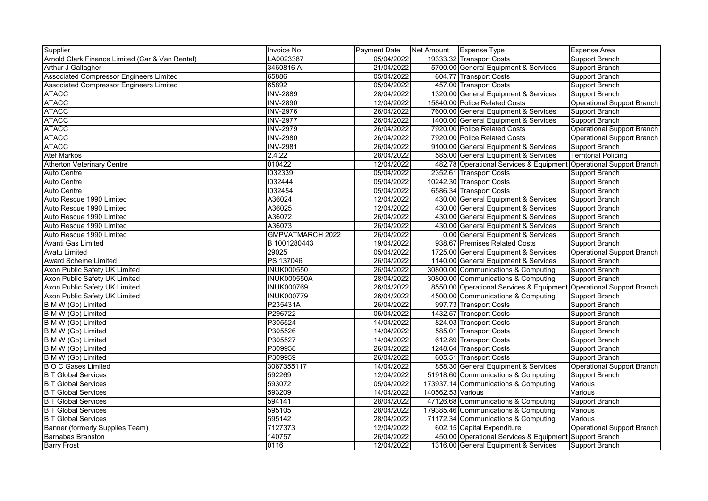| Supplier                                        | <b>Invoice No</b>  | Payment Date | Net Amount        | <b>Expense Type</b>                                                 | Expense Area                |
|-------------------------------------------------|--------------------|--------------|-------------------|---------------------------------------------------------------------|-----------------------------|
| Arnold Clark Finance Limited (Car & Van Rental) | LA0023387          | 05/04/2022   |                   | 19333.32 Transport Costs                                            | Support Branch              |
| Arthur J Gallagher                              | 3460816 A          | 21/04/2022   |                   | 5700.00 General Equipment & Services                                | Support Branch              |
| Associated Compressor Engineers Limited         | 65886              | 05/04/2022   |                   | 604.77 Transport Costs                                              | Support Branch              |
| <b>Associated Compressor Engineers Limited</b>  | 65892              | 05/04/2022   |                   | 457.00 Transport Costs                                              | Support Branch              |
| <b>ATACC</b>                                    | <b>INV-2889</b>    | 28/04/2022   |                   | 1320.00 General Equipment & Services                                | Support Branch              |
| <b>ATACC</b>                                    | <b>INV-2890</b>    | 12/04/2022   |                   | 15840.00 Police Related Costs                                       | Operational Support Branch  |
| <b>ATACC</b>                                    | <b>INV-2976</b>    | 26/04/2022   |                   | 7600.00 General Equipment & Services                                | Support Branch              |
| <b>ATACC</b>                                    | <b>INV-2977</b>    | 26/04/2022   |                   | 1400.00 General Equipment & Services                                | Support Branch              |
| <b>ATACC</b>                                    | <b>INV-2979</b>    | 26/04/2022   |                   | 7920.00 Police Related Costs                                        | Operational Support Branch  |
| <b>ATACC</b>                                    | <b>INV-2980</b>    | 26/04/2022   |                   | 7920.00 Police Related Costs                                        | Operational Support Branch  |
| <b>ATACC</b>                                    | <b>INV-2981</b>    | 26/04/2022   |                   | 9100.00 General Equipment & Services                                | Support Branch              |
| <b>Atef Markos</b>                              | 2.4.22             | 28/04/2022   |                   | 585.00 General Equipment & Services                                 | <b>Territorial Policing</b> |
| <b>Atherton Veterinary Centre</b>               | 010422             | 12/04/2022   |                   | 482.78 Operational Services & Equipment Operational Support Branch  |                             |
| Auto Centre                                     | 1032339            | 05/04/2022   |                   | 2352.61 Transport Costs                                             | Support Branch              |
| Auto Centre                                     | 1032444            | 05/04/2022   |                   | 10242.30 Transport Costs                                            | Support Branch              |
| <b>Auto Centre</b>                              | 1032454            | 05/04/2022   |                   | 6586.34 Transport Costs                                             | <b>Support Branch</b>       |
| Auto Rescue 1990 Limited                        | A36024             | 12/04/2022   |                   | 430.00 General Equipment & Services                                 | Support Branch              |
| Auto Rescue 1990 Limited                        | A36025             | 12/04/2022   |                   | 430.00 General Equipment & Services                                 | Support Branch              |
| Auto Rescue 1990 Limited                        | A36072             | 26/04/2022   |                   | 430.00 General Equipment & Services                                 | Support Branch              |
| Auto Rescue 1990 Limited                        | A36073             | 26/04/2022   |                   | 430.00 General Equipment & Services                                 | <b>Support Branch</b>       |
| Auto Rescue 1990 Limited                        | GMPVATMARCH 2022   | 26/04/2022   |                   | 0.00 General Equipment & Services                                   | Support Branch              |
| Avanti Gas Limited                              | B 1001280443       | 19/04/2022   |                   | 938.67 Premises Related Costs                                       | Support Branch              |
| <b>Avatu Limited</b>                            | 29025              | 05/04/2022   |                   | 1725.00 General Equipment & Services                                | Operational Support Branch  |
| <b>Award Scheme Limited</b>                     | <b>PSI137046</b>   | 26/04/2022   |                   | 1140.00 General Equipment & Services                                | Support Branch              |
| Axon Public Safety UK Limited                   | <b>INUK000550</b>  | 26/04/2022   |                   | 30800.00 Communications & Computing                                 | Support Branch              |
| Axon Public Safety UK Limited                   | <b>INUK000550A</b> | 28/04/2022   |                   | 30800.00 Communications & Computing                                 | Support Branch              |
| Axon Public Safety UK Limited                   | <b>INUK000769</b>  | 26/04/2022   |                   | 8550.00 Operational Services & Equipment Operational Support Branch |                             |
| Axon Public Safety UK Limited                   | <b>INUK000779</b>  | 26/04/2022   |                   | 4500.00 Communications & Computing                                  | Support Branch              |
| B M W (Gb) Limited                              | P235431A           | 26/04/2022   |                   | 997.73 Transport Costs                                              | Support Branch              |
| B M W (Gb) Limited                              | P296722            | 05/04/2022   |                   | 1432.57 Transport Costs                                             | Support Branch              |
| B M W (Gb) Limited                              | P305524            | 14/04/2022   |                   | 824.03 Transport Costs                                              | Support Branch              |
| B M W (Gb) Limited                              | P305526            | 14/04/2022   |                   | 585.01 Transport Costs                                              | Support Branch              |
| <b>B M W (Gb) Limited</b>                       | P305527            | 14/04/2022   |                   | 612.89 Transport Costs                                              | Support Branch              |
| B M W (Gb) Limited                              | P309958            | 26/04/2022   |                   | 1248.64 Transport Costs                                             | Support Branch              |
| B M W (Gb) Limited                              | P309959            | 26/04/2022   |                   | 605.51 Transport Costs                                              | Support Branch              |
| <b>B O C Gases Limited</b>                      | 3067355117         | 14/04/2022   |                   | 858.30 General Equipment & Services                                 | Operational Support Branch  |
| <b>B T Global Services</b>                      | 592269             | 12/04/2022   |                   | 51918.60 Communications & Computing                                 | <b>Support Branch</b>       |
| <b>B T Global Services</b>                      | 593072             | 05/04/2022   |                   | 173937.14 Communications & Computing                                | Various                     |
| <b>B T Global Services</b>                      | 593209             | 14/04/2022   | 140562.53 Various |                                                                     | Various                     |
| <b>B T Global Services</b>                      | 594141             | 28/04/2022   |                   | 47126.68 Communications & Computing                                 | Support Branch              |
| <b>B T Global Services</b>                      | 595105             | 28/04/2022   |                   | 179385.46 Communications & Computing                                | Various                     |
| <b>B T Global Services</b>                      | 595142             | 28/04/2022   |                   | 71172.34 Communications & Computing                                 | Various                     |
| Banner (formerly Supplies Team)                 | 7127373            | 12/04/2022   |                   | 602.15 Capital Expenditure                                          | Operational Support Branch  |
| <b>Barnabas Branston</b>                        | 140757             | 26/04/2022   |                   | 450.00 Operational Services & Equipment Support Branch              |                             |
| <b>Barry Frost</b>                              | 0116               | 12/04/2022   |                   | 1316.00 General Equipment & Services                                | Support Branch              |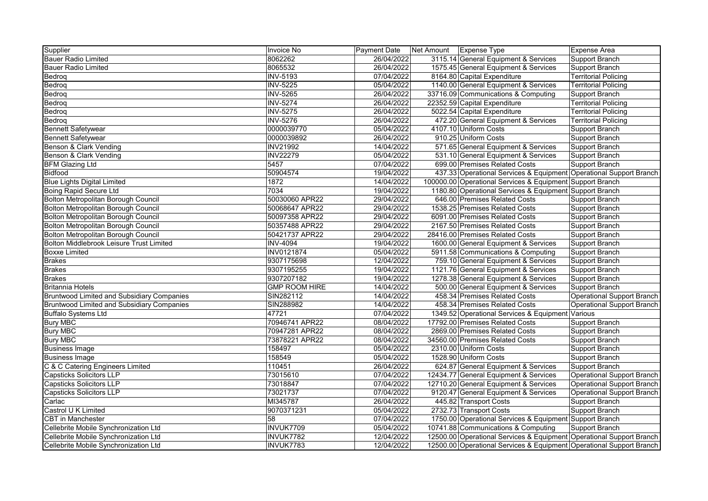| Supplier                                   | Invoice No           | Payment Date | Expense Type<br>Net Amount                                           | <b>Expense Area</b>               |
|--------------------------------------------|----------------------|--------------|----------------------------------------------------------------------|-----------------------------------|
| <b>Bauer Radio Limited</b>                 | 8062262              | 26/04/2022   | 3115.14 General Equipment & Services                                 | Support Branch                    |
| <b>Bauer Radio Limited</b>                 | 8065532              | 26/04/2022   | 1575.45 General Equipment & Services                                 | Support Branch                    |
| Bedroq                                     | <b>INV-5193</b>      | 07/04/2022   | 8164.80 Capital Expenditure                                          | <b>Territorial Policing</b>       |
| Bedroq                                     | <b>INV-5225</b>      | 05/04/2022   | 1140.00 General Equipment & Services                                 | <b>Territorial Policing</b>       |
| Bedroq                                     | <b>INV-5265</b>      | 26/04/2022   | 33716.09 Communications & Computing                                  | Support Branch                    |
| Bedroq                                     | <b>INV-5274</b>      | 26/04/2022   | 22352.59 Capital Expenditure                                         | <b>Territorial Policing</b>       |
| Bedroq                                     | <b>INV-5275</b>      | 26/04/2022   | 5022.54 Capital Expenditure                                          | <b>Territorial Policing</b>       |
| Bedrog                                     | <b>INV-5276</b>      | 26/04/2022   | 472.20 General Equipment & Services                                  | <b>Territorial Policing</b>       |
| <b>Bennett Safetywear</b>                  | 0000039770           | 05/04/2022   | 4107.10 Uniform Costs                                                | Support Branch                    |
| <b>Bennett Safetywear</b>                  | 0000039892           | 26/04/2022   | 910.25 Uniform Costs                                                 | Support Branch                    |
| Benson & Clark Vending                     | <b>INV21992</b>      | 14/04/2022   | 571.65 General Equipment & Services                                  | Support Branch                    |
| Benson & Clark Vending                     | <b>INV22279</b>      | 05/04/2022   | 531.10 General Equipment & Services                                  | Support Branch                    |
| <b>BFM Glazing Ltd</b>                     | 5457                 | 07/04/2022   | 699.00 Premises Related Costs                                        | Support Branch                    |
| <b>Bidfood</b>                             | 50904574             | 19/04/2022   | 437.33 Operational Services & Equipment Operational Support Branch   |                                   |
| <b>Blue Lights Digital Limited</b>         | 1872                 | 14/04/2022   | 100000.00 Operational Services & Equipment Support Branch            |                                   |
| <b>Boing Rapid Secure Ltd</b>              | 7034                 | 19/04/2022   | 1180.80 Operational Services & Equipment Support Branch              |                                   |
| Bolton Metropolitan Borough Council        | 50030060 APR22       | 29/04/2022   | 646.00 Premises Related Costs                                        | Support Branch                    |
| Bolton Metropolitan Borough Council        | 50068647 APR22       | 29/04/2022   | 1538.25 Premises Related Costs                                       | Support Branch                    |
| Bolton Metropolitan Borough Council        | 50097358 APR22       | 29/04/2022   | 6091.00 Premises Related Costs                                       | Support Branch                    |
| Bolton Metropolitan Borough Council        | 50357488 APR22       | 29/04/2022   | 2167.50 Premises Related Costs                                       | Support Branch                    |
| Bolton Metropolitan Borough Council        | 50421737 APR22       | 29/04/2022   | 28416.00 Premises Related Costs                                      | Support Branch                    |
| Bolton Middlebrook Leisure Trust Limited   | <b>INV-4094</b>      | 19/04/2022   | 1600.00 General Equipment & Services                                 | Support Branch                    |
| <b>Boxxe Limited</b>                       | <b>INV0121874</b>    | 05/04/2022   | 5911.58 Communications & Computing                                   | Support Branch                    |
| <b>Brakes</b>                              | 9307175698           | 12/04/2022   | 759.10 General Equipment & Services                                  | Support Branch                    |
| <b>Brakes</b>                              | 9307195255           | 19/04/2022   | 1121.76 General Equipment & Services                                 | Support Branch                    |
| <b>Brakes</b>                              | 9307207182           | 19/04/2022   | 1278.38 General Equipment & Services                                 | Support Branch                    |
| <b>Britannia Hotels</b>                    | <b>GMP ROOM HIRE</b> | 14/04/2022   | 500.00 General Equipment & Services                                  | Support Branch                    |
| Bruntwood Limited and Subsidiary Companies | SIN282112            | 14/04/2022   | 458.34 Premises Related Costs                                        | <b>Operational Support Branch</b> |
| Bruntwood Limited and Subsidiary Companies | SIN288982            | 14/04/2022   | 458.34 Premises Related Costs                                        | <b>Operational Support Branch</b> |
| <b>Buffalo Systems Ltd</b>                 | 47721                | 07/04/2022   | 1349.52 Operational Services & Equipment Various                     |                                   |
| <b>Bury MBC</b>                            | 70946741 APR22       | 08/04/2022   | 17792.00 Premises Related Costs                                      | Support Branch                    |
| <b>Bury MBC</b>                            | 70947281 APR22       | 08/04/2022   | 2869.00 Premises Related Costs                                       | Support Branch                    |
| <b>Bury MBC</b>                            | 73878221 APR22       | 08/04/2022   | 34560.00 Premises Related Costs                                      | Support Branch                    |
| <b>Business Image</b>                      | 158497               | 05/04/2022   | 2310.00 Uniform Costs                                                | Support Branch                    |
| <b>Business Image</b>                      | 158549               | 05/04/2022   | 1528.90 Uniform Costs                                                | Support Branch                    |
| C & C Catering Engineers Limited           | 110451               | 26/04/2022   | 624.87 General Equipment & Services                                  | Support Branch                    |
| <b>Capsticks Solicitors LLP</b>            | 73015610             | 07/04/2022   | 12434.77 General Equipment & Services                                | <b>Operational Support Branch</b> |
| <b>Capsticks Solicitors LLP</b>            | 73018847             | 07/04/2022   | 12710.20 General Equipment & Services                                | <b>Operational Support Branch</b> |
| <b>Capsticks Solicitors LLP</b>            | 73021737             | 07/04/2022   | 9120.47 General Equipment & Services                                 | <b>Operational Support Branch</b> |
| Carlac                                     | MI345787             | 26/04/2022   | 445.82 Transport Costs                                               | Support Branch                    |
| Castrol U K Limited                        | 9070371231           | 05/04/2022   | 2732.73 Transport Costs                                              | Support Branch                    |
| <b>CBT</b> in Manchester                   | 58                   | 07/04/2022   | 1750.00 Operational Services & Equipment Support Branch              |                                   |
| Cellebrite Mobile Synchronization Ltd      | INVUK7709            | 05/04/2022   | 10741.88 Communications & Computing                                  | Support Branch                    |
| Cellebrite Mobile Synchronization Ltd      | INVUK7782            | 12/04/2022   | 12500.00 Operational Services & Equipment Operational Support Branch |                                   |
| Cellebrite Mobile Synchronization Ltd      | INVUK7783            | 12/04/2022   | 12500.00 Operational Services & Equipment Operational Support Branch |                                   |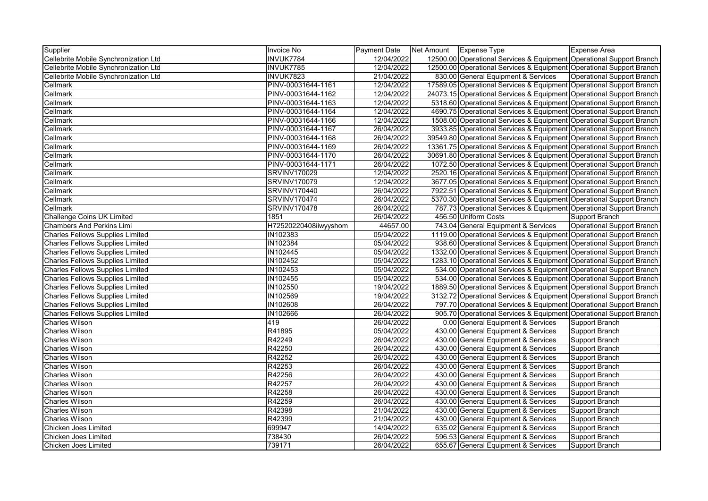| Supplier                                | <b>Invoice No</b>     | Payment Date | Net Amount | <b>Expense Type</b>                                                  | Expense Area                      |
|-----------------------------------------|-----------------------|--------------|------------|----------------------------------------------------------------------|-----------------------------------|
| Cellebrite Mobile Synchronization Ltd   | INVUK7784             | 12/04/2022   |            | 12500.00 Operational Services & Equipment Operational Support Branch |                                   |
| Cellebrite Mobile Synchronization Ltd   | INVUK7785             | 12/04/2022   |            | 12500.00 Operational Services & Equipment Operational Support Branch |                                   |
| Cellebrite Mobile Synchronization Ltd   | INVUK7823             | 21/04/2022   |            | 830.00 General Equipment & Services                                  | <b>Operational Support Branch</b> |
| Cellmark                                | PINV-00031644-1161    | 12/04/2022   |            | 17589.05 Operational Services & Equipment Operational Support Branch |                                   |
| Cellmark                                | PINV-00031644-1162    | 12/04/2022   |            | 24073.15 Operational Services & Equipment Operational Support Branch |                                   |
| Cellmark                                | PINV-00031644-1163    | 12/04/2022   |            | 5318.60 Operational Services & Equipment Operational Support Branch  |                                   |
| Cellmark                                | PINV-00031644-1164    | 12/04/2022   |            | 4690.75 Operational Services & Equipment Operational Support Branch  |                                   |
| Cellmark                                | PINV-00031644-1166    | 12/04/2022   |            | 1508.00 Operational Services & Equipment Operational Support Branch  |                                   |
| Cellmark                                | PINV-00031644-1167    | 26/04/2022   |            | 3933.85 Operational Services & Equipment Operational Support Branch  |                                   |
| Cellmark                                | PINV-00031644-1168    | 26/04/2022   |            | 39549.80 Operational Services & Equipment Operational Support Branch |                                   |
| Cellmark                                | PINV-00031644-1169    | 26/04/2022   |            | 13361.75 Operational Services & Equipment Operational Support Branch |                                   |
| Cellmark                                | PINV-00031644-1170    | 26/04/2022   |            | 30691.80 Operational Services & Equipment Operational Support Branch |                                   |
| Cellmark                                | PINV-00031644-1171    | 26/04/2022   |            | 1072.50 Operational Services & Equipment Operational Support Branch  |                                   |
| Cellmark                                | <b>SRVINV170029</b>   | 12/04/2022   |            | 2520.16 Operational Services & Equipment Operational Support Branch  |                                   |
| Cellmark                                | <b>SRVINV170079</b>   | 12/04/2022   |            | 3677.05 Operational Services & Equipment Operational Support Branch  |                                   |
| Cellmark                                | <b>SRVINV170440</b>   | 26/04/2022   |            | 7922.51 Operational Services & Equipment Operational Support Branch  |                                   |
| Cellmark                                | <b>SRVINV170474</b>   | 26/04/2022   |            | 5370.30 Operational Services & Equipment Operational Support Branch  |                                   |
| Cellmark                                | <b>SRVINV170478</b>   | 26/04/2022   |            | 787.73 Operational Services & Equipment Operational Support Branch   |                                   |
| <b>Challenge Coins UK Limited</b>       | 1851                  | 26/04/2022   |            | 456.50 Uniform Costs                                                 | Support Branch                    |
| <b>Chambers And Perkins Limi</b>        | H72520220408iiwyyshom | 44657.00     |            | 743.04 General Equipment & Services                                  | Operational Support Branch        |
| <b>Charles Fellows Supplies Limited</b> | IN102383              | 05/04/2022   |            | 1119.00 Operational Services & Equipment Operational Support Branch  |                                   |
| <b>Charles Fellows Supplies Limited</b> | IN102384              | 05/04/2022   |            | 938.60 Operational Services & Equipment Operational Support Branch   |                                   |
| <b>Charles Fellows Supplies Limited</b> | <b>IN102445</b>       | 05/04/2022   |            | 1332.00 Operational Services & Equipment Operational Support Branch  |                                   |
| <b>Charles Fellows Supplies Limited</b> | IN102452              | 05/04/2022   |            | 1283.10 Operational Services & Equipment Operational Support Branch  |                                   |
| <b>Charles Fellows Supplies Limited</b> | IN102453              | 05/04/2022   |            | 534.00 Operational Services & Equipment Operational Support Branch   |                                   |
| <b>Charles Fellows Supplies Limited</b> | IN102455              | 05/04/2022   |            | 534.00 Operational Services & Equipment Operational Support Branch   |                                   |
| <b>Charles Fellows Supplies Limited</b> | IN102550              | 19/04/2022   |            | 1889.50 Operational Services & Equipment Operational Support Branch  |                                   |
| <b>Charles Fellows Supplies Limited</b> | IN102569              | 19/04/2022   |            | 3132.72 Operational Services & Equipment Operational Support Branch  |                                   |
| <b>Charles Fellows Supplies Limited</b> | <b>IN102608</b>       | 26/04/2022   |            | 797.70 Operational Services & Equipment Operational Support Branch   |                                   |
| <b>Charles Fellows Supplies Limited</b> | IN102666              | 26/04/2022   |            | 905.70 Operational Services & Equipment Operational Support Branch   |                                   |
| <b>Charles Wilson</b>                   | 419                   | 26/04/2022   |            | 0.00 General Equipment & Services                                    | Support Branch                    |
| <b>Charles Wilson</b>                   | R41895                | 05/04/2022   |            | 430.00 General Equipment & Services                                  | Support Branch                    |
| <b>Charles Wilson</b>                   | R42249                | 26/04/2022   |            | 430.00 General Equipment & Services                                  | Support Branch                    |
| <b>Charles Wilson</b>                   | R42250                | 26/04/2022   |            | 430.00 General Equipment & Services                                  | Support Branch                    |
| <b>Charles Wilson</b>                   | R42252                | 26/04/2022   |            | 430.00 General Equipment & Services                                  | Support Branch                    |
| <b>Charles Wilson</b>                   | R42253                | 26/04/2022   |            | 430.00 General Equipment & Services                                  | Support Branch                    |
| <b>Charles Wilson</b>                   | R42256                | 26/04/2022   |            | 430.00 General Equipment & Services                                  | Support Branch                    |
| <b>Charles Wilson</b>                   | R42257                | 26/04/2022   |            | 430.00 General Equipment & Services                                  | Support Branch                    |
| <b>Charles Wilson</b>                   | R42258                | 26/04/2022   |            | 430.00 General Equipment & Services                                  | Support Branch                    |
| <b>Charles Wilson</b>                   | R42259                | 26/04/2022   |            | 430.00 General Equipment & Services                                  | Support Branch                    |
| <b>Charles Wilson</b>                   | R42398                | 21/04/2022   |            | 430.00 General Equipment & Services                                  | Support Branch                    |
| <b>Charles Wilson</b>                   | R42399                | 21/04/2022   |            | 430.00 General Equipment & Services                                  | Support Branch                    |
| Chicken Joes Limited                    | 699947                | 14/04/2022   |            | 635.02 General Equipment & Services                                  | Support Branch                    |
| Chicken Joes Limited                    | 738430                | 26/04/2022   |            | 596.53 General Equipment & Services                                  | Support Branch                    |
| Chicken Joes Limited                    | 739171                | 26/04/2022   |            | 655.67 General Equipment & Services                                  | Support Branch                    |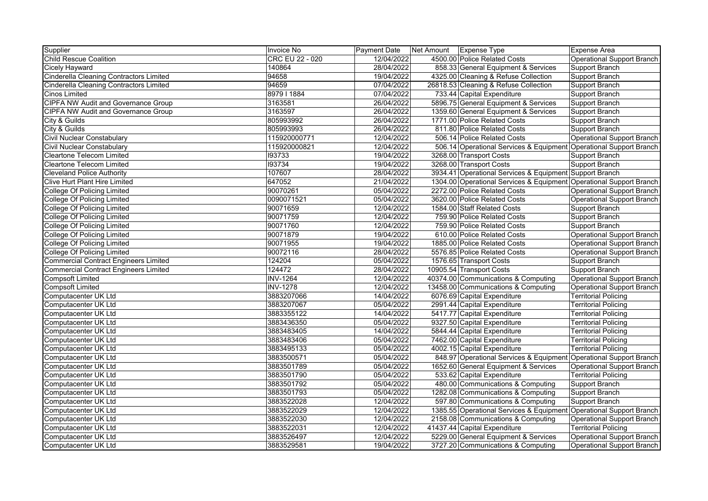| Supplier                                     | Invoice No      | <b>Payment Date</b> | Net Amount   Expense Type |                                                                     | Expense Area                |
|----------------------------------------------|-----------------|---------------------|---------------------------|---------------------------------------------------------------------|-----------------------------|
| <b>Child Rescue Coalition</b>                | CRC EU 22 - 020 | 12/04/2022          |                           | 4500.00 Police Related Costs                                        | Operational Support Branch  |
| <b>Cicely Hayward</b>                        | 140864          | 28/04/2022          |                           | 858.33 General Equipment & Services                                 | Support Branch              |
| Cinderella Cleaning Contractors Limited      | 94658           | 19/04/2022          |                           | 4325.00 Cleaning & Refuse Collection                                | Support Branch              |
| Cinderella Cleaning Contractors Limited      | 94659           | 07/04/2022          |                           | 26818.53 Cleaning & Refuse Collection                               | Support Branch              |
| <b>Cinos Limited</b>                         | 897911884       | 07/04/2022          |                           | 733.44 Capital Expenditure                                          | Support Branch              |
| <b>CIPFA NW Audit and Governance Group</b>   | 3163581         | 26/04/2022          |                           | 5896.75 General Equipment & Services                                | Support Branch              |
| <b>CIPFA NW Audit and Governance Group</b>   | 3163597         | 26/04/2022          |                           | 1359.60 General Equipment & Services                                | Support Branch              |
| City & Guilds                                | 805993992       | 26/04/2022          |                           | 1771.00 Police Related Costs                                        | Support Branch              |
| City & Guilds                                | 805993993       | 26/04/2022          |                           | 811.80 Police Related Costs                                         | Support Branch              |
| <b>Civil Nuclear Constabulary</b>            | 115920000771    | 12/04/2022          |                           | 506.14 Police Related Costs                                         | Operational Support Branch  |
| <b>Civil Nuclear Constabulary</b>            | 115920000821    | 12/04/2022          |                           | 506.14 Operational Services & Equipment Operational Support Branch  |                             |
| <b>Cleartone Telecom Limited</b>             | 193733          | 19/04/2022          |                           | 3268.00 Transport Costs                                             | Support Branch              |
| <b>Cleartone Telecom Limited</b>             | 193734          | 19/04/2022          |                           | 3268.00 Transport Costs                                             | Support Branch              |
| <b>Cleveland Police Authority</b>            | 107607          | 28/04/2022          |                           | 3934.41 Operational Services & Equipment Support Branch             |                             |
| <b>Clive Hurt Plant Hire Limited</b>         | 647052          | 21/04/2022          |                           | 1304.00 Operational Services & Equipment Operational Support Branch |                             |
| <b>College Of Policing Limited</b>           | 90070261        | 05/04/2022          |                           | 2272.00 Police Related Costs                                        | Operational Support Branch  |
| <b>College Of Policing Limited</b>           | 0090071521      | 05/04/2022          |                           | 3620.00 Police Related Costs                                        | Operational Support Branch  |
| <b>College Of Policing Limited</b>           | 90071659        | 12/04/2022          |                           | 1584.00 Staff Related Costs                                         | Support Branch              |
| College Of Policing Limited                  | 90071759        | 12/04/2022          |                           | 759.90 Police Related Costs                                         | Support Branch              |
| <b>College Of Policing Limited</b>           | 90071760        | 12/04/2022          |                           | 759.90 Police Related Costs                                         | Support Branch              |
| <b>College Of Policing Limited</b>           | 90071879        | 19/04/2022          |                           | 610.00 Police Related Costs                                         | Operational Support Branch  |
| <b>College Of Policing Limited</b>           | 90071955        | 19/04/2022          |                           | 1885.00 Police Related Costs                                        | Operational Support Branch  |
| <b>College Of Policing Limited</b>           | 90072116        | 28/04/2022          |                           | 5576.85 Police Related Costs                                        | Operational Support Branch  |
| <b>Commercial Contract Engineers Limited</b> | 124204          | 05/04/2022          |                           | 1576.65 Transport Costs                                             | Support Branch              |
| <b>Commercial Contract Engineers Limited</b> | 124472          | 28/04/2022          |                           | 10905.54 Transport Costs                                            | Support Branch              |
| <b>Compsoft Limited</b>                      | <b>INV-1264</b> | 12/04/2022          |                           | 40374.00 Communications & Computing                                 | Operational Support Branch  |
| <b>Compsoft Limited</b>                      | <b>INV-1278</b> | 12/04/2022          |                           | 13458.00 Communications & Computing                                 | Operational Support Branch  |
| Computacenter UK Ltd                         | 3883207066      | 14/04/2022          |                           | 6076.69 Capital Expenditure                                         | <b>Territorial Policing</b> |
| Computacenter UK Ltd                         | 3883207067      | 05/04/2022          |                           | 2991.44 Capital Expenditure                                         | <b>Territorial Policing</b> |
| Computacenter UK Ltd                         | 3883355122      | 14/04/2022          |                           | 5417.77 Capital Expenditure                                         | <b>Territorial Policing</b> |
| Computacenter UK Ltd                         | 3883436350      | 05/04/2022          |                           | 9327.50 Capital Expenditure                                         | Territorial Policing        |
| Computacenter UK Ltd                         | 3883483405      | 14/04/2022          |                           | 5844.44 Capital Expenditure                                         | <b>Territorial Policing</b> |
| Computacenter UK Ltd                         | 3883483406      | 05/04/2022          |                           | 7462.00 Capital Expenditure                                         | <b>Territorial Policing</b> |
| Computacenter UK Ltd                         | 3883495133      | 05/04/2022          |                           | 4002.15 Capital Expenditure                                         | <b>Territorial Policing</b> |
| Computacenter UK Ltd                         | 3883500571      | 05/04/2022          |                           | 848.97 Operational Services & Equipment Operational Support Branch  |                             |
| Computacenter UK Ltd                         | 3883501789      | 05/04/2022          |                           | 1652.60 General Equipment & Services                                | Operational Support Branch  |
| Computacenter UK Ltd                         | 3883501790      | 05/04/2022          |                           | 533.62 Capital Expenditure                                          | <b>Territorial Policing</b> |
| Computacenter UK Ltd                         | 3883501792      | 05/04/2022          |                           | 480.00 Communications & Computing                                   | Support Branch              |
| Computacenter UK Ltd                         | 3883501793      | 05/04/2022          |                           | 1282.08 Communications & Computing                                  | Support Branch              |
| Computacenter UK Ltd                         | 3883522028      | 12/04/2022          |                           | 597.80 Communications & Computing                                   | Support Branch              |
| Computacenter UK Ltd                         | 3883522029      | 12/04/2022          |                           | 1385.55 Operational Services & Equipment Operational Support Branch |                             |
| Computacenter UK Ltd                         | 3883522030      | 12/04/2022          |                           | 2158.08 Communications & Computing                                  | Operational Support Branch  |
| Computacenter UK Ltd                         | 3883522031      | 12/04/2022          |                           | 41437.44 Capital Expenditure                                        | <b>Territorial Policing</b> |
| Computacenter UK Ltd                         | 3883526497      | 12/04/2022          |                           | 5229.00 General Equipment & Services                                | Operational Support Branch  |
| Computacenter UK Ltd                         | 3883529581      | 19/04/2022          |                           | 3727.20 Communications & Computing                                  | Operational Support Branch  |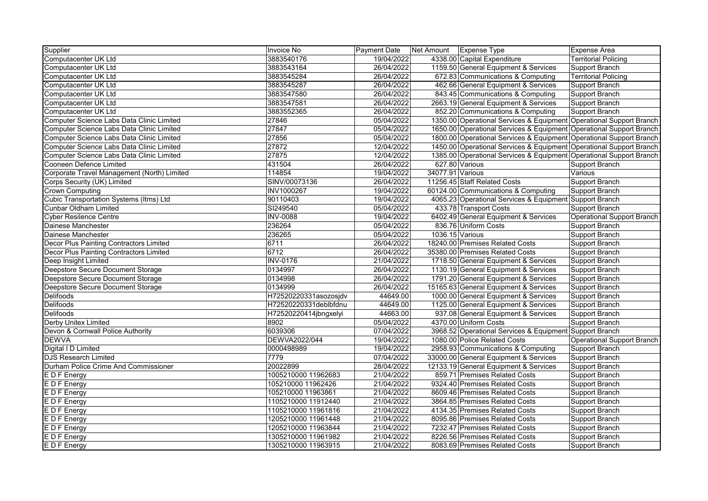| Supplier                                       | Invoice No            | Payment Date | Net Amount       | Expense Type                                                        | <b>Expense Area</b>         |
|------------------------------------------------|-----------------------|--------------|------------------|---------------------------------------------------------------------|-----------------------------|
| Computacenter UK Ltd                           | 3883540176            | 19/04/2022   |                  | 4338.00 Capital Expenditure                                         | <b>Territorial Policing</b> |
| Computacenter UK Ltd                           | 3883543164            | 26/04/2022   |                  | 1159.50 General Equipment & Services                                | Support Branch              |
| Computacenter UK Ltd                           | 3883545284            | 26/04/2022   |                  | 672.83 Communications & Computing                                   | <b>Territorial Policing</b> |
| Computacenter UK Ltd                           | 3883545287            | 26/04/2022   |                  | 462.66 General Equipment & Services                                 | Support Branch              |
| Computacenter UK Ltd                           | 3883547580            | 26/04/2022   |                  | 843.45 Communications & Computing                                   | Support Branch              |
| Computacenter UK Ltd                           | 3883547581            | 26/04/2022   |                  | 2663.19 General Equipment & Services                                | Support Branch              |
| Computacenter UK Ltd                           | 3883552365            | 26/04/2022   |                  | 852.20 Communications & Computing                                   | Support Branch              |
| Computer Science Labs Data Clinic Limited      | 27846                 | 05/04/2022   |                  | 1350.00 Operational Services & Equipment Operational Support Branch |                             |
| Computer Science Labs Data Clinic Limited      | 27847                 | 05/04/2022   |                  | 1650.00 Operational Services & Equipment Operational Support Branch |                             |
| Computer Science Labs Data Clinic Limited      | 27856                 | 05/04/2022   |                  | 1800.00 Operational Services & Equipment Operational Support Branch |                             |
| Computer Science Labs Data Clinic Limited      | 27872                 | 12/04/2022   |                  | 1450.00 Operational Services & Equipment Operational Support Branch |                             |
| Computer Science Labs Data Clinic Limited      | 27875                 | 12/04/2022   |                  | 1385.00 Operational Services & Equipment Operational Support Branch |                             |
| Cooneen Defence Limited                        | 431504                | 26/04/2022   |                  | 627.80 Various                                                      | Support Branch              |
| Corporate Travel Management (North) Limited    | 114854                | 19/04/2022   | 34077.91 Various |                                                                     | Various                     |
| Corps Security (UK) Limited                    | SINV/00073136         | 26/04/2022   |                  | 11256.45 Staff Related Costs                                        | Support Branch              |
| <b>Crown Computing</b>                         | <b>INV1000267</b>     | 19/04/2022   |                  | 60124.00 Communications & Computing                                 | Support Branch              |
| <b>Cubic Transportation Systems (Itms) Ltd</b> | 90110403              | 19/04/2022   |                  | 4065.23 Operational Services & Equipment Support Branch             |                             |
| <b>Cunbar Oldham Limited</b>                   | SI249540              | 05/04/2022   |                  | 433.78 Transport Costs                                              | Support Branch              |
| <b>Cyber Resilence Centre</b>                  | <b>INV-0088</b>       | 19/04/2022   |                  | 6402.49 General Equipment & Services                                | Operational Support Branch  |
| Dainese Manchester                             | 236264                | 05/04/2022   |                  | 836.76 Uniform Costs                                                | Support Branch              |
| Dainese Manchester                             | 236265                | 05/04/2022   | 1036.15 Various  |                                                                     | Support Branch              |
| Decor Plus Painting Contractors Limited        | 6711                  | 26/04/2022   |                  | 18240.00 Premises Related Costs                                     | Support Branch              |
| Decor Plus Painting Contractors Limited        | 6712                  | 26/04/2022   |                  | 35380.00 Premises Related Costs                                     | Support Branch              |
| Deep Insight Limited                           | <b>INV-0176</b>       | 21/04/2022   |                  | 1718.50 General Equipment & Services                                | Support Branch              |
| Deepstore Secure Document Storage              | 0134997               | 26/04/2022   |                  | 1130.19 General Equipment & Services                                | Support Branch              |
| Deepstore Secure Document Storage              | 0134998               | 26/04/2022   |                  | 1791.20 General Equipment & Services                                | Support Branch              |
| Deepstore Secure Document Storage              | 0134999               | 26/04/2022   |                  | 15165.63 General Equipment & Services                               | Support Branch              |
| <b>Delifoods</b>                               | H72520220331asozosjdv | 44649.00     |                  | 1000.00 General Equipment & Services                                | Support Branch              |
| <b>Delifoods</b>                               | H72520220331deblbfdnu | 44649.00     |                  | 1125.00 General Equipment & Services                                | Support Branch              |
| <b>Delifoods</b>                               | H72520220414jbngxelyi | 44663.00     |                  | 937.08 General Equipment & Services                                 | Support Branch              |
| Derby Unitex Limited                           | 8902                  | 05/04/2022   |                  | 4370.00 Uniform Costs                                               | Support Branch              |
| Devon & Cornwall Police Authority              | 6039306               | 07/04/2022   |                  | 3968.52 Operational Services & Equipment Support Branch             |                             |
| <b>DEWVA</b>                                   | DEWVA2022/044         | 19/04/2022   |                  | 1080.00 Police Related Costs                                        | Operational Support Branch  |
| Digital I D Limited                            | 0000498989            | 19/04/2022   |                  | 2958.93 Communications & Computing                                  | Support Branch              |
| <b>DJS Research Limited</b>                    | 7779                  | 07/04/2022   |                  | 33000.00 General Equipment & Services                               | Support Branch              |
| Durham Police Crime And Commissioner           | 20022899              | 28/04/2022   |                  | 12133.19 General Equipment & Services                               | Support Branch              |
| E D F Energy                                   | 1005210000 11962683   | 21/04/2022   |                  | 859.71 Premises Related Costs                                       | Support Branch              |
| E D F Energy                                   | 105210000 11962426    | 21/04/2022   |                  | 9324.40 Premises Related Costs                                      | Support Branch              |
| E D F Energy                                   | 105210000 11963861    | 21/04/2022   |                  | 8609.46 Premises Related Costs                                      | Support Branch              |
| E D F Energy                                   | 1105210000 11912440   | 21/04/2022   |                  | 3864.85 Premises Related Costs                                      | Support Branch              |
| E D F Energy                                   | 1105210000 11961816   | 21/04/2022   |                  | 4134.35 Premises Related Costs                                      | Support Branch              |
| E D F Energy                                   | 1205210000 11961448   | 21/04/2022   |                  | 8095.86 Premises Related Costs                                      | Support Branch              |
| E D F Energy                                   | 1205210000 11963844   | 21/04/2022   |                  | 7232.47 Premises Related Costs                                      | <b>Support Branch</b>       |
| E D F Energy                                   | 1305210000 11961982   | 21/04/2022   |                  | 8226.56 Premises Related Costs                                      | Support Branch              |
| E D F Energy                                   | 1305210000 11963915   | 21/04/2022   |                  | 8083.69 Premises Related Costs                                      | Support Branch              |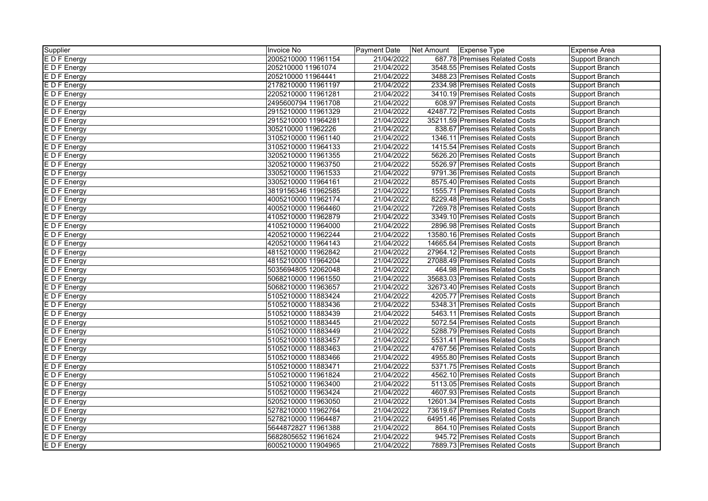| Supplier     | Invoice No          | <b>Payment Date</b> | Net Amount | Expense Type                    | <b>Expense Area</b>   |
|--------------|---------------------|---------------------|------------|---------------------------------|-----------------------|
| E D F Energy | 2005210000 11961154 | 21/04/2022          |            | 687.78 Premises Related Costs   | Support Branch        |
| E D F Energy | 205210000 11961074  | 21/04/2022          |            | 3548.55 Premises Related Costs  | Support Branch        |
| E D F Energy | 205210000 11964441  | 21/04/2022          |            | 3488.23 Premises Related Costs  | Support Branch        |
| E D F Energy | 2178210000 11961197 | 21/04/2022          |            | 2334.98 Premises Related Costs  | <b>Support Branch</b> |
| E D F Energy | 2205210000 11961281 | 21/04/2022          |            | 3410.19 Premises Related Costs  | <b>Support Branch</b> |
| E D F Energy | 2495600794 11961708 | 21/04/2022          |            | 608.97 Premises Related Costs   | Support Branch        |
| E D F Energy | 2915210000 11961329 | 21/04/2022          |            | 42487.72 Premises Related Costs | Support Branch        |
| E D F Energy | 2915210000 11964281 | 21/04/2022          |            | 35211.59 Premises Related Costs | Support Branch        |
| E D F Energy | 305210000 11962226  | 21/04/2022          |            | 838.67 Premises Related Costs   | Support Branch        |
| E D F Energy | 3105210000 11961140 | 21/04/2022          |            | 1346.11 Premises Related Costs  | Support Branch        |
| E D F Energy | 3105210000 11964133 | 21/04/2022          |            | 1415.54 Premises Related Costs  | Support Branch        |
| E D F Energy | 3205210000 11961355 | 21/04/2022          |            | 5626.20 Premises Related Costs  | Support Branch        |
| E D F Energy | 3205210000 11963750 | 21/04/2022          |            | 5526.97 Premises Related Costs  | Support Branch        |
| E D F Energy | 3305210000 11961533 | 21/04/2022          |            | 9791.36 Premises Related Costs  | Support Branch        |
| E D F Energy | 3305210000 11964161 | 21/04/2022          |            | 8575.40 Premises Related Costs  | Support Branch        |
| EDF Energy   | 3819156346 11962585 | 21/04/2022          |            | 1555.71 Premises Related Costs  | <b>Support Branch</b> |
| E D F Energy | 4005210000 11962174 | 21/04/2022          |            | 8229.48 Premises Related Costs  | Support Branch        |
| E D F Energy | 4005210000 11964460 | 21/04/2022          |            | 7269.78 Premises Related Costs  | Support Branch        |
| E D F Energy | 4105210000 11962879 | 21/04/2022          |            | 3349.10 Premises Related Costs  | Support Branch        |
| E D F Energy | 4105210000 11964000 | 21/04/2022          |            | 2896.98 Premises Related Costs  | Support Branch        |
| E D F Energy | 4205210000 11962244 | 21/04/2022          |            | 13580.16 Premises Related Costs | Support Branch        |
| E D F Energy | 4205210000 11964143 | 21/04/2022          |            | 14665.64 Premises Related Costs | Support Branch        |
| E D F Energy | 4815210000 11962842 | 21/04/2022          |            | 27964.12 Premises Related Costs | Support Branch        |
| E D F Energy | 4815210000 11964204 | 21/04/2022          |            | 27088.49 Premises Related Costs | Support Branch        |
| E D F Energy | 5035694805 12062048 | 21/04/2022          |            | 464.98 Premises Related Costs   | Support Branch        |
| E D F Energy | 5068210000 11961550 | 21/04/2022          |            | 35683.03 Premises Related Costs | Support Branch        |
| E D F Energy | 5068210000 11963657 | 21/04/2022          |            | 32673.40 Premises Related Costs | Support Branch        |
| E D F Energy | 5105210000 11883424 | 21/04/2022          |            | 4205.77 Premises Related Costs  | Support Branch        |
| E D F Energy | 5105210000 11883436 | 21/04/2022          |            | 5348.31 Premises Related Costs  | Support Branch        |
| E D F Energy | 5105210000 11883439 | 21/04/2022          |            | 5463.11 Premises Related Costs  | Support Branch        |
| E D F Energy | 5105210000 11883445 | 21/04/2022          |            | 5072.54 Premises Related Costs  | Support Branch        |
| E D F Energy | 5105210000 11883449 | 21/04/2022          |            | 5288.79 Premises Related Costs  | Support Branch        |
| E D F Energy | 5105210000 11883457 | 21/04/2022          |            | 5531.41 Premises Related Costs  | Support Branch        |
| E D F Energy | 5105210000 11883463 | 21/04/2022          |            | 4767.56 Premises Related Costs  | Support Branch        |
| E D F Energy | 5105210000 11883466 | 21/04/2022          |            | 4955.80 Premises Related Costs  | Support Branch        |
| E D F Energy | 5105210000 11883471 | 21/04/2022          |            | 5371.75 Premises Related Costs  | Support Branch        |
| E D F Energy | 5105210000 11961824 | 21/04/2022          |            | 4562.10 Premises Related Costs  | Support Branch        |
| E D F Energy | 5105210000 11963400 | 21/04/2022          |            | 5113.05 Premises Related Costs  | Support Branch        |
| E D F Energy | 5105210000 11963424 | 21/04/2022          |            | 4607.93 Premises Related Costs  | <b>Support Branch</b> |
| E D F Energy | 5205210000 11963050 | 21/04/2022          |            | 12601.34 Premises Related Costs | Support Branch        |
| E D F Energy | 5278210000 11962764 | 21/04/2022          |            | 73619.67 Premises Related Costs | Support Branch        |
| E D F Energy | 5278210000 11964487 | 21/04/2022          |            | 64951.46 Premises Related Costs | Support Branch        |
| E D F Energy | 5644872827 11961388 | 21/04/2022          |            | 864.10 Premises Related Costs   | Support Branch        |
| E D F Energy | 5682805652 11961624 | 21/04/2022          |            | 945.72 Premises Related Costs   | Support Branch        |
| E D F Energy | 6005210000 11904965 | 21/04/2022          |            | 7889.73 Premises Related Costs  | Support Branch        |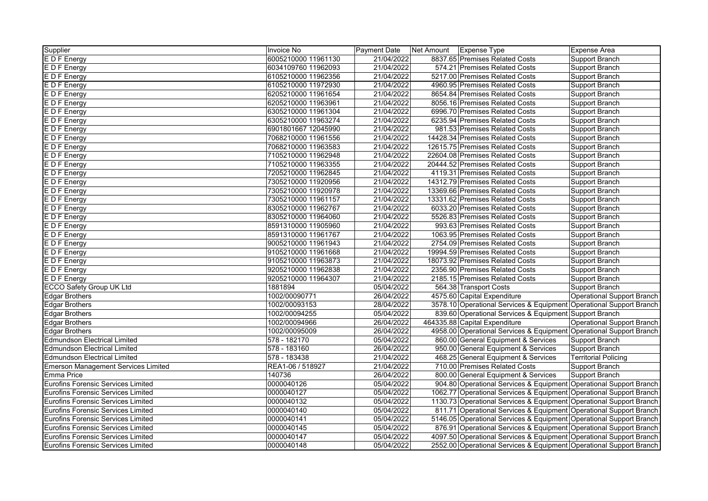| Supplier                                   | Invoice No          | Payment Date | Net Amount | Expense Type                                                        | <b>Expense Area</b>               |
|--------------------------------------------|---------------------|--------------|------------|---------------------------------------------------------------------|-----------------------------------|
| E D F Energy                               | 6005210000 11961130 | 21/04/2022   |            | 8837.65 Premises Related Costs                                      | Support Branch                    |
| E D F Energy                               | 6034109760 11962093 | 21/04/2022   |            | 574.21 Premises Related Costs                                       | Support Branch                    |
| E D F Energy                               | 6105210000 11962356 | 21/04/2022   |            | 5217.00 Premises Related Costs                                      | Support Branch                    |
| E D F Energy                               | 6105210000 11972930 | 21/04/2022   |            | 4960.95 Premises Related Costs                                      | Support Branch                    |
| E D F Energy                               | 6205210000 11961654 | 21/04/2022   |            | 8654.84 Premises Related Costs                                      | Support Branch                    |
| E D F Energy                               | 6205210000 11963961 | 21/04/2022   |            | 8056.16 Premises Related Costs                                      | Support Branch                    |
| E D F Energy                               | 6305210000 11961304 | 21/04/2022   |            | 6996.70 Premises Related Costs                                      | Support Branch                    |
| E D F Energy                               | 6305210000 11963274 | 21/04/2022   |            | 6235.94 Premises Related Costs                                      | Support Branch                    |
| E D F Energy                               | 6901801667 12045990 | 21/04/2022   |            | 981.53 Premises Related Costs                                       | Support Branch                    |
| E D F Energy                               | 7068210000 11961556 | 21/04/2022   |            | 14428.34 Premises Related Costs                                     | Support Branch                    |
| E D F Energy                               | 7068210000 11963583 | 21/04/2022   |            | 12615.75 Premises Related Costs                                     | Support Branch                    |
| E D F Energy                               | 7105210000 11962948 | 21/04/2022   |            | 22604.08 Premises Related Costs                                     | Support Branch                    |
| E D F Energy                               | 7105210000 11963355 | 21/04/2022   |            | 20444.52 Premises Related Costs                                     | Support Branch                    |
| E D F Energy                               | 7205210000 11962845 | 21/04/2022   |            | 4119.31 Premises Related Costs                                      | Support Branch                    |
| E D F Energy                               | 7305210000 11920956 | 21/04/2022   |            | 14312.79 Premises Related Costs                                     | Support Branch                    |
| E D F Energy                               | 7305210000 11920978 | 21/04/2022   |            | 13369.66 Premises Related Costs                                     | Support Branch                    |
| E D F Energy                               | 7305210000 11961157 | 21/04/2022   |            | 13331.62 Premises Related Costs                                     | Support Branch                    |
| E D F Energy                               | 8305210000 11962767 | 21/04/2022   |            | 6033.20 Premises Related Costs                                      | Support Branch                    |
| E D F Energy                               | 8305210000 11964060 | 21/04/2022   |            | 5526.83 Premises Related Costs                                      | Support Branch                    |
| E D F Energy                               | 8591310000 11905960 | 21/04/2022   |            | 993.63 Premises Related Costs                                       | Support Branch                    |
| E D F Energy                               | 8591310000 11961767 | 21/04/2022   |            | 1063.95 Premises Related Costs                                      | Support Branch                    |
| E D F Energy                               | 9005210000 11961943 | 21/04/2022   |            | 2754.09 Premises Related Costs                                      | Support Branch                    |
| E D F Energy                               | 9105210000 11961668 | 21/04/2022   |            | 19994.59 Premises Related Costs                                     | Support Branch                    |
| E D F Energy                               | 9105210000 11963873 | 21/04/2022   |            | 18073.92 Premises Related Costs                                     | Support Branch                    |
| E D F Energy                               | 9205210000 11962838 | 21/04/2022   |            | 2356.90 Premises Related Costs                                      | Support Branch                    |
| E D F Energy                               | 9205210000 11964307 | 21/04/2022   |            | 2185.15 Premises Related Costs                                      | Support Branch                    |
| <b>ECCO Safety Group UK Ltd</b>            | 1881894             | 05/04/2022   |            | 564.38 Transport Costs                                              | <b>Support Branch</b>             |
| <b>Edgar Brothers</b>                      | 1002/00090771       | 26/04/2022   |            | 4575.60 Capital Expenditure                                         | Operational Support Branch        |
| Edgar Brothers                             | 1002/00093153       | 28/04/2022   |            | 3578.10 Operational Services & Equipment Operational Support Branch |                                   |
| <b>Edgar Brothers</b>                      | 1002/00094255       | 05/04/2022   |            | 839.60 Operational Services & Equipment Support Branch              |                                   |
| <b>Edgar Brothers</b>                      | 1002/00094966       | 26/04/2022   |            | 464335.88 Capital Expenditure                                       | <b>Operational Support Branch</b> |
| <b>Edgar Brothers</b>                      | 1002/00095009       | 26/04/2022   |            | 4958.00 Operational Services & Equipment Operational Support Branch |                                   |
| <b>Edmundson Electrical Limited</b>        | 578 - 182170        | 05/04/2022   |            | 860.00 General Equipment & Services                                 | Support Branch                    |
| <b>Edmundson Electrical Limited</b>        | 578 - 183160        | 26/04/2022   |            | 950.00 General Equipment & Services                                 | Support Branch                    |
| <b>Edmundson Electrical Limited</b>        | 578 - 183438        | 21/04/2022   |            | 468.25 General Equipment & Services                                 | <b>Territorial Policing</b>       |
| <b>Emerson Management Services Limited</b> | REA1-06 / 518927    | 21/04/2022   |            | 710.00 Premises Related Costs                                       | Support Branch                    |
| <b>Emma Price</b>                          | 140736              | 26/04/2022   |            | 800.00 General Equipment & Services                                 | <b>Support Branch</b>             |
| <b>Eurofins Forensic Services Limited</b>  | 0000040126          | 05/04/2022   |            | 904.80 Operational Services & Equipment Operational Support Branch  |                                   |
| Eurofins Forensic Services Limited         | 0000040127          | 05/04/2022   |            | 1062.77 Operational Services & Equipment Operational Support Branch |                                   |
| Eurofins Forensic Services Limited         | 0000040132          | 05/04/2022   |            | 1130.73 Operational Services & Equipment Operational Support Branch |                                   |
| Eurofins Forensic Services Limited         | 0000040140          | 05/04/2022   |            | 811.71 Operational Services & Equipment Operational Support Branch  |                                   |
| Eurofins Forensic Services Limited         | 0000040141          | 05/04/2022   |            | 5146.05 Operational Services & Equipment Operational Support Branch |                                   |
| Eurofins Forensic Services Limited         | 0000040145          | 05/04/2022   |            | 876.91 Operational Services & Equipment Operational Support Branch  |                                   |
| Eurofins Forensic Services Limited         | 0000040147          | 05/04/2022   |            | 4097.50 Operational Services & Equipment Operational Support Branch |                                   |
| Eurofins Forensic Services Limited         | 0000040148          | 05/04/2022   |            | 2552.00 Operational Services & Equipment Operational Support Branch |                                   |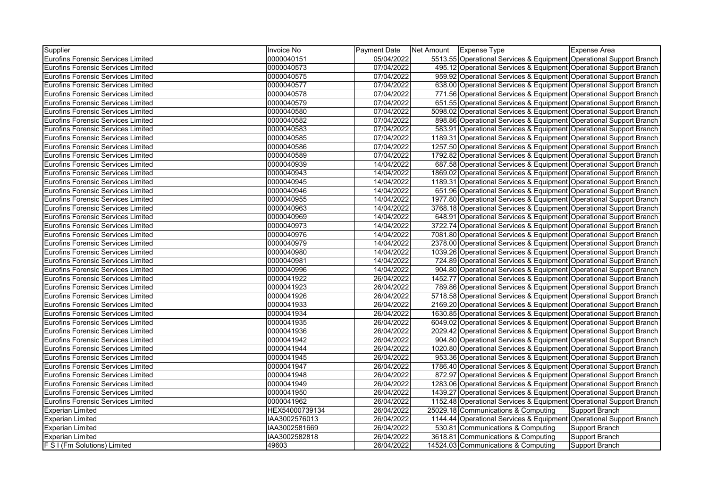| Supplier                                  | <b>Invoice No</b> | <b>Payment Date</b> | Net Amount | <b>Expense Type</b>                 | Expense Area                                                        |
|-------------------------------------------|-------------------|---------------------|------------|-------------------------------------|---------------------------------------------------------------------|
| <b>Eurofins Forensic Services Limited</b> | 0000040151        | 05/04/2022          |            |                                     | 5513.55 Operational Services & Equipment Operational Support Branch |
| <b>Eurofins Forensic Services Limited</b> | 0000040573        | 07/04/2022          |            |                                     | 495.12 Operational Services & Equipment Operational Support Branch  |
| <b>Eurofins Forensic Services Limited</b> | 0000040575        | 07/04/2022          |            |                                     | 959.92 Operational Services & Equipment Operational Support Branch  |
| <b>Eurofins Forensic Services Limited</b> | 0000040577        | 07/04/2022          |            |                                     | 638.00 Operational Services & Equipment Operational Support Branch  |
| <b>Eurofins Forensic Services Limited</b> | 0000040578        | 07/04/2022          |            |                                     | 771.56 Operational Services & Equipment Operational Support Branch  |
| <b>Eurofins Forensic Services Limited</b> | 0000040579        | 07/04/2022          |            |                                     | 651.55 Operational Services & Equipment Operational Support Branch  |
| <b>Eurofins Forensic Services Limited</b> | 0000040580        | 07/04/2022          |            |                                     | 5098.02 Operational Services & Equipment Operational Support Branch |
| Eurofins Forensic Services Limited        | 0000040582        | 07/04/2022          |            |                                     | 898.86 Operational Services & Equipment Operational Support Branch  |
| <b>Eurofins Forensic Services Limited</b> | 0000040583        | 07/04/2022          |            |                                     | 583.91 Operational Services & Equipment Operational Support Branch  |
| <b>Eurofins Forensic Services Limited</b> | 0000040585        | 07/04/2022          |            |                                     | 1189.31 Operational Services & Equipment Operational Support Branch |
| <b>Eurofins Forensic Services Limited</b> | 0000040586        | 07/04/2022          |            |                                     | 1257.50 Operational Services & Equipment Operational Support Branch |
| <b>Eurofins Forensic Services Limited</b> | 0000040589        | 07/04/2022          |            |                                     | 1792.82 Operational Services & Equipment Operational Support Branch |
| <b>Eurofins Forensic Services Limited</b> | 0000040939        | 14/04/2022          |            |                                     | 687.58 Operational Services & Equipment Operational Support Branch  |
| <b>Eurofins Forensic Services Limited</b> | 0000040943        | 14/04/2022          |            |                                     | 1869.02 Operational Services & Equipment Operational Support Branch |
| <b>Eurofins Forensic Services Limited</b> | 0000040945        | 14/04/2022          |            |                                     | 1189.31 Operational Services & Equipment Operational Support Branch |
| <b>Eurofins Forensic Services Limited</b> | 0000040946        | 14/04/2022          |            |                                     | 651.96 Operational Services & Equipment Operational Support Branch  |
| <b>Eurofins Forensic Services Limited</b> | 0000040955        | 14/04/2022          |            |                                     | 1977.80 Operational Services & Equipment Operational Support Branch |
| <b>Eurofins Forensic Services Limited</b> | 0000040963        | 14/04/2022          |            |                                     | 3768.18 Operational Services & Equipment Operational Support Branch |
| <b>Eurofins Forensic Services Limited</b> | 0000040969        | 14/04/2022          |            |                                     | 648.91 Operational Services & Equipment Operational Support Branch  |
| <b>Eurofins Forensic Services Limited</b> | 0000040973        | 14/04/2022          |            |                                     | 3722.74 Operational Services & Equipment Operational Support Branch |
| <b>Eurofins Forensic Services Limited</b> | 0000040976        | 14/04/2022          |            |                                     | 7081.80 Operational Services & Equipment Operational Support Branch |
| <b>Eurofins Forensic Services Limited</b> | 0000040979        | 14/04/2022          |            |                                     | 2378.00 Operational Services & Equipment Operational Support Branch |
| <b>Eurofins Forensic Services Limited</b> | 0000040980        | 14/04/2022          |            |                                     | 1039.26 Operational Services & Equipment Operational Support Branch |
| Eurofins Forensic Services Limited        | 0000040981        | 14/04/2022          |            |                                     | 724.89 Operational Services & Equipment Operational Support Branch  |
| <b>Eurofins Forensic Services Limited</b> | 0000040996        | 14/04/2022          |            |                                     | 904.80 Operational Services & Equipment Operational Support Branch  |
| <b>Eurofins Forensic Services Limited</b> | 0000041922        | 26/04/2022          |            |                                     | 1452.77 Operational Services & Equipment Operational Support Branch |
| <b>Eurofins Forensic Services Limited</b> | 0000041923        | 26/04/2022          |            |                                     | 789.86 Operational Services & Equipment Operational Support Branch  |
| <b>Eurofins Forensic Services Limited</b> | 0000041926        | 26/04/2022          |            |                                     | 5718.58 Operational Services & Equipment Operational Support Branch |
| <b>Eurofins Forensic Services Limited</b> | 0000041933        | 26/04/2022          |            |                                     | 2169.20 Operational Services & Equipment Operational Support Branch |
| <b>Eurofins Forensic Services Limited</b> | 0000041934        | 26/04/2022          |            |                                     | 1630.85 Operational Services & Equipment Operational Support Branch |
| <b>Eurofins Forensic Services Limited</b> | 0000041935        | 26/04/2022          |            |                                     | 6049.02 Operational Services & Equipment Operational Support Branch |
| <b>Eurofins Forensic Services Limited</b> | 0000041936        | 26/04/2022          |            |                                     | 2029.42 Operational Services & Equipment Operational Support Branch |
| <b>Eurofins Forensic Services Limited</b> | 0000041942        | 26/04/2022          |            |                                     | 904.80 Operational Services & Equipment Operational Support Branch  |
| <b>Eurofins Forensic Services Limited</b> | 0000041944        | 26/04/2022          |            |                                     | 1020.80 Operational Services & Equipment Operational Support Branch |
| <b>Eurofins Forensic Services Limited</b> | 0000041945        | 26/04/2022          |            |                                     | 953.36 Operational Services & Equipment Operational Support Branch  |
| <b>Eurofins Forensic Services Limited</b> | 0000041947        | 26/04/2022          |            |                                     | 1786.40 Operational Services & Equipment Operational Support Branch |
| <b>Eurofins Forensic Services Limited</b> | 0000041948        | 26/04/2022          |            |                                     | 872.97 Operational Services & Equipment Operational Support Branch  |
| <b>Eurofins Forensic Services Limited</b> | 0000041949        | 26/04/2022          |            |                                     | 1283.06 Operational Services & Equipment Operational Support Branch |
| <b>Eurofins Forensic Services Limited</b> | 0000041950        | 26/04/2022          |            |                                     | 1439.27 Operational Services & Equipment Operational Support Branch |
| <b>Eurofins Forensic Services Limited</b> | 0000041962        | 26/04/2022          |            |                                     | 1152.48 Operational Services & Equipment Operational Support Branch |
| <b>Experian Limited</b>                   | HEX54000739134    | 26/04/2022          |            | 25029.18 Communications & Computing | <b>Support Branch</b>                                               |
| <b>Experian Limited</b>                   | IAA3002576013     | 26/04/2022          |            |                                     | 1144.44 Operational Services & Equipment Operational Support Branch |
| <b>Experian Limited</b>                   | IAA3002581669     | 26/04/2022          |            | 530.81 Communications & Computing   | Support Branch                                                      |
| <b>Experian Limited</b>                   | IAA3002582818     | 26/04/2022          |            | 3618.81 Communications & Computing  | Support Branch                                                      |
| F S I (Fm Solutions) Limited              | 49603             | 26/04/2022          |            | 14524.03 Communications & Computing | <b>Support Branch</b>                                               |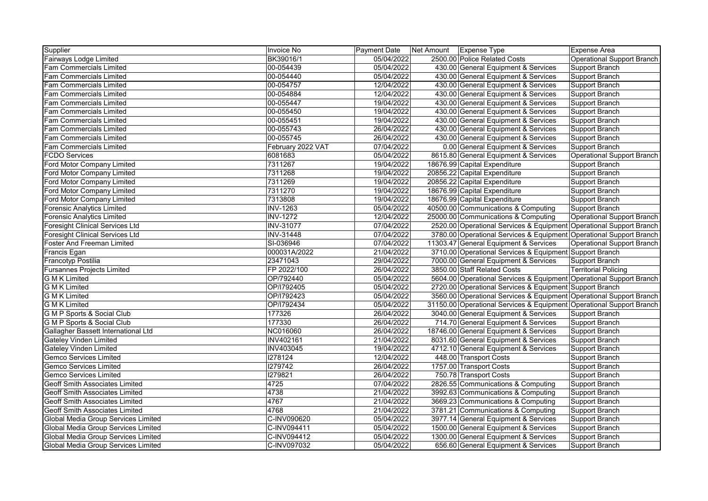| Supplier                               | Invoice No        | Payment Date | Net Amount | <b>Expense Type</b>                                                  | <b>Expense Area</b>         |
|----------------------------------------|-------------------|--------------|------------|----------------------------------------------------------------------|-----------------------------|
| Fairways Lodge Limited                 | BK39016/1         | 05/04/2022   |            | 2500.00 Police Related Costs                                         | Operational Support Branch  |
| Fam Commercials Limited                | 00-054439         | 05/04/2022   |            | 430.00 General Equipment & Services                                  | Support Branch              |
| <b>Fam Commercials Limited</b>         | 00-054440         | 05/04/2022   |            | 430.00 General Equipment & Services                                  | Support Branch              |
| Fam Commercials Limited                | 00-054757         | 12/04/2022   |            | 430.00 General Equipment & Services                                  | Support Branch              |
| <b>Fam Commercials Limited</b>         | 00-054884         | 12/04/2022   |            | 430.00 General Equipment & Services                                  | Support Branch              |
| <b>Fam Commercials Limited</b>         | 00-055447         | 19/04/2022   |            | 430.00 General Equipment & Services                                  | Support Branch              |
| <b>Fam Commercials Limited</b>         | 00-055450         | 19/04/2022   |            | 430.00 General Equipment & Services                                  | Support Branch              |
| Fam Commercials Limited                | 00-055451         | 19/04/2022   |            | 430.00 General Equipment & Services                                  | Support Branch              |
| Fam Commercials Limited                | 00-055743         | 26/04/2022   |            | 430.00 General Equipment & Services                                  | Support Branch              |
| Fam Commercials Limited                | 00-055745         | 26/04/2022   |            | 430.00 General Equipment & Services                                  | Support Branch              |
| Fam Commercials Limited                | February 2022 VAT | 07/04/2022   |            | 0.00 General Equipment & Services                                    | Support Branch              |
| <b>FCDO Services</b>                   | 6081683           | 05/04/2022   |            | 8615.80 General Equipment & Services                                 | Operational Support Branch  |
| Ford Motor Company Limited             | 7311267           | 19/04/2022   |            | 18676.99 Capital Expenditure                                         | Support Branch              |
| Ford Motor Company Limited             | 7311268           | 19/04/2022   |            | 20856.22 Capital Expenditure                                         | Support Branch              |
| Ford Motor Company Limited             | 7311269           | 19/04/2022   |            | 20856.22 Capital Expenditure                                         | Support Branch              |
| Ford Motor Company Limited             | 7311270           | 19/04/2022   |            | 18676.99 Capital Expenditure                                         | Support Branch              |
| Ford Motor Company Limited             | 7313808           | 19/04/2022   |            | 18676.99 Capital Expenditure                                         | Support Branch              |
| <b>Forensic Analytics Limited</b>      | <b>INV-1263</b>   | 05/04/2022   |            | 40500.00 Communications & Computing                                  | Support Branch              |
| <b>Forensic Analytics Limited</b>      | <b>INV-1272</b>   | 12/04/2022   |            | 25000.00 Communications & Computing                                  | Operational Support Branch  |
| <b>Foresight Clinical Services Ltd</b> | <b>INV-31077</b>  | 07/04/2022   |            | 2520.00 Operational Services & Equipment Operational Support Branch  |                             |
| <b>Foresight Clinical Services Ltd</b> | <b>INV-31448</b>  | 07/04/2022   |            | 3780.00 Operational Services & Equipment Operational Support Branch  |                             |
| <b>Foster And Freeman Limited</b>      | SI-036946         | 07/04/2022   |            | 11303.47 General Equipment & Services                                | Operational Support Branch  |
| Francis Egan                           | 000031A/2022      | 21/04/2022   |            | 3710.00 Operational Services & Equipment Support Branch              |                             |
| <b>Francotyp Postilia</b>              | 23471043          | 29/04/2022   |            | 7000.00 General Equipment & Services                                 | Support Branch              |
| <b>Fursannes Projects Limited</b>      | FP 2022/100       | 26/04/2022   |            | 3850.00 Staff Related Costs                                          | <b>Territorial Policing</b> |
| <b>GMK</b> Limited                     | OP/792440         | 05/04/2022   |            | 5604.00 Operational Services & Equipment Operational Support Branch  |                             |
| <b>GMK</b> Limited                     | OP/I792405        | 05/04/2022   |            | 2720.00 Operational Services & Equipment Support Branch              |                             |
| <b>G M K Limited</b>                   | OP/I792423        | 05/04/2022   |            | 3560.00 Operational Services & Equipment Operational Support Branch  |                             |
| <b>GMK</b> Limited                     | OP/I792434        | 05/04/2022   |            | 31150.00 Operational Services & Equipment Operational Support Branch |                             |
| <b>GMP Sports &amp; Social Club</b>    | 177326            | 26/04/2022   |            | 3040.00 General Equipment & Services                                 | Support Branch              |
| G M P Sports & Social Club             | 177330            | 26/04/2022   |            | 714.70 General Equipment & Services                                  | Support Branch              |
| Gallagher Bassett International Ltd    | <b>NC016060</b>   | 26/04/2022   |            | 18746.00 General Equipment & Services                                | Support Branch              |
| <b>Gateley Vinden Limited</b>          | INV402161         | 21/04/2022   |            | 8031.60 General Equipment & Services                                 | Support Branch              |
| <b>Gateley Vinden Limited</b>          | <b>INV403045</b>  | 19/04/2022   |            | 4712.10 General Equipment & Services                                 | Support Branch              |
| <b>Gemco Services Limited</b>          | 1278124           | 12/04/2022   |            | 448.00 Transport Costs                                               | Support Branch              |
| <b>Gemco Services Limited</b>          | 1279742           | 26/04/2022   |            | 1757.00 Transport Costs                                              | Support Branch              |
| <b>Gemco Services Limited</b>          | 1279821           | 26/04/2022   |            | 750.78 Transport Costs                                               | Support Branch              |
| Geoff Smith Associates Limited         | 4725              | 07/04/2022   |            | 2826.55 Communications & Computing                                   | Support Branch              |
| Geoff Smith Associates Limited         | 4738              | 21/04/2022   |            | 3992.63 Communications & Computing                                   | Support Branch              |
| Geoff Smith Associates Limited         | 4767              | 21/04/2022   |            | 3669.23 Communications & Computing                                   | Support Branch              |
| Geoff Smith Associates Limited         | 4768              | 21/04/2022   |            | 3781.21 Communications & Computing                                   | Support Branch              |
| Global Media Group Services Limited    | C-INV090620       | 05/04/2022   |            | 3977.14 General Equipment & Services                                 | Support Branch              |
| Global Media Group Services Limited    | C-INV094411       | 05/04/2022   |            | 1500.00 General Equipment & Services                                 | Support Branch              |
| Global Media Group Services Limited    | C-INV094412       | 05/04/2022   |            | 1300.00 General Equipment & Services                                 | Support Branch              |
| Global Media Group Services Limited    | C-INV097032       | 05/04/2022   |            | 656.60 General Equipment & Services                                  | Support Branch              |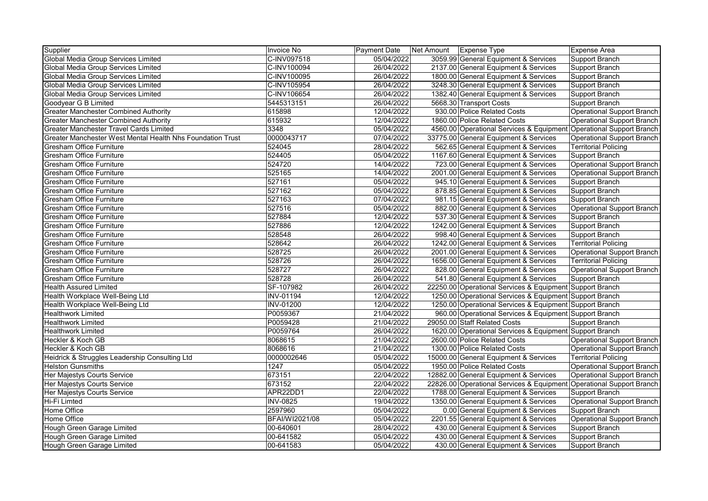| Supplier                                                   | <b>Invoice No</b> | Payment Date | Net Amount | <b>Expense Type</b>                                                 | Expense Area                      |
|------------------------------------------------------------|-------------------|--------------|------------|---------------------------------------------------------------------|-----------------------------------|
| Global Media Group Services Limited                        | C-INV097518       | 05/04/2022   |            | 3059.99 General Equipment & Services                                | Support Branch                    |
| Global Media Group Services Limited                        | C-INV100094       | 26/04/2022   |            | 2137.00 General Equipment & Services                                | Support Branch                    |
| Global Media Group Services Limited                        | C-INV100095       | 26/04/2022   |            | 1800.00 General Equipment & Services                                | Support Branch                    |
| Global Media Group Services Limited                        | C-INV105954       | 26/04/2022   |            | 3248.30 General Equipment & Services                                | Support Branch                    |
| Global Media Group Services Limited                        | C-INV106654       | 26/04/2022   |            | 1382.40 General Equipment & Services                                | Support Branch                    |
| Goodyear G B Limited                                       | 5445313151        | 26/04/2022   |            | 5668.30 Transport Costs                                             | Support Branch                    |
| <b>Greater Manchester Combined Authority</b>               | 615898            | 12/04/2022   |            | 930.00 Police Related Costs                                         | <b>Operational Support Branch</b> |
| <b>Greater Manchester Combined Authority</b>               | 615932            | 12/04/2022   |            | 1860.00 Police Related Costs                                        | Operational Support Branch        |
| Greater Manchester Travel Cards Limited                    | 3348              | 05/04/2022   |            | 4560.00 Operational Services & Equipment Operational Support Branch |                                   |
| Greater Manchester West Mental Health Nhs Foundation Trust | 0000043717        | 07/04/2022   |            | 33775.00 General Equipment & Services                               | Operational Support Branch        |
| Gresham Office Furniture                                   | 524045            | 28/04/2022   |            | 562.65 General Equipment & Services                                 | <b>Territorial Policing</b>       |
| <b>Gresham Office Furniture</b>                            | 524405            | 05/04/2022   |            | 1167.60 General Equipment & Services                                | Support Branch                    |
| Gresham Office Furniture                                   | 524720            | 14/04/2022   |            | 723.00 General Equipment & Services                                 | <b>Operational Support Branch</b> |
| <b>Gresham Office Furniture</b>                            | 525165            | 14/04/2022   |            | 2001.00 General Equipment & Services                                | Operational Support Branch        |
| Gresham Office Furniture                                   | 527161            | 05/04/2022   |            | 945.10 General Equipment & Services                                 | Support Branch                    |
| <b>Gresham Office Furniture</b>                            | 527162            | 05/04/2022   |            | 878.85 General Equipment & Services                                 | Support Branch                    |
| <b>Gresham Office Furniture</b>                            | 527163            | 07/04/2022   |            | 981.15 General Equipment & Services                                 | Support Branch                    |
| <b>Gresham Office Furniture</b>                            | 527516            | 05/04/2022   |            | 882.00 General Equipment & Services                                 | <b>Operational Support Branch</b> |
| <b>Gresham Office Furniture</b>                            | 527884            | 12/04/2022   |            | 537.30 General Equipment & Services                                 | Support Branch                    |
| Gresham Office Furniture                                   | 527886            | 12/04/2022   |            | 1242.00 General Equipment & Services                                | Support Branch                    |
| Gresham Office Furniture                                   | 528548            | 26/04/2022   |            | 998.40 General Equipment & Services                                 | Support Branch                    |
| Gresham Office Furniture                                   | 528642            | 26/04/2022   |            | 1242.00 General Equipment & Services                                | <b>Territorial Policing</b>       |
| Gresham Office Furniture                                   | 528725            | 26/04/2022   |            | 2001.00 General Equipment & Services                                | <b>Operational Support Branch</b> |
| <b>Gresham Office Furniture</b>                            | 528726            | 26/04/2022   |            | 1656.00 General Equipment & Services                                | <b>Territorial Policing</b>       |
| <b>Gresham Office Furniture</b>                            | 528727            | 26/04/2022   |            | 828.00 General Equipment & Services                                 | <b>Operational Support Branch</b> |
| <b>Gresham Office Furniture</b>                            | 528728            | 26/04/2022   |            | 541.80 General Equipment & Services                                 | Support Branch                    |
| <b>Health Assured Limited</b>                              | SF-107982         | 26/04/2022   |            | 22250.00 Operational Services & Equipment Support Branch            |                                   |
| Health Workplace Well-Being Ltd                            | <b>INV-01194</b>  | 12/04/2022   |            | 1250.00 Operational Services & Equipment Support Branch             |                                   |
| Health Workplace Well-Being Ltd                            | <b>INV-01200</b>  | 12/04/2022   |            | 1250.00 Operational Services & Equipment Support Branch             |                                   |
| <b>Healthwork Limited</b>                                  | P0059367          | 21/04/2022   |            | 960.00 Operational Services & Equipment Support Branch              |                                   |
| <b>Healthwork Limited</b>                                  | P0059428          | 21/04/2022   |            | 29050.00 Staff Related Costs                                        | Support Branch                    |
| <b>Healthwork Limited</b>                                  | P0059764          | 26/04/2022   |            | 1620.00 Operational Services & Equipment Support Branch             |                                   |
| Heckler & Koch GB                                          | 8068615           | 21/04/2022   |            | 2600.00 Police Related Costs                                        | Operational Support Branch        |
| Heckler & Koch GB                                          | 8068616           | 21/04/2022   |            | 1300.00 Police Related Costs                                        | Operational Support Branch        |
| Heidrick & Struggles Leadership Consulting Ltd             | 0000002646        | 05/04/2022   |            | 15000.00 General Equipment & Services                               | <b>Territorial Policing</b>       |
| <b>Helston Gunsmiths</b>                                   | 1247              | 05/04/2022   |            | 1950.00 Police Related Costs                                        | Operational Support Branch        |
| Her Majestys Courts Service                                | 673151            | 22/04/2022   |            | 12882.00 General Equipment & Services                               | <b>Operational Support Branch</b> |
| Her Majestys Courts Service                                | 673152            | 22/04/2022   |            | 22826.00 Operational Services & Equipment                           | Operational Support Branch        |
| Her Majestys Courts Service                                | APR22DD1          | 22/04/2022   |            | 1788.00 General Equipment & Services                                | Support Branch                    |
| Hi-Fi Limted                                               | <b>INV-0825</b>   | 19/04/2022   |            | 1350.00 General Equipment & Services                                | Operational Support Branch        |
| Home Office                                                | 2597960           | 05/04/2022   |            | 0.00 General Equipment & Services                                   | Support Branch                    |
| Home Office                                                | BFAI/WI2021/08    | 05/04/2022   |            | 2201.55 General Equipment & Services                                | Operational Support Branch        |
| Hough Green Garage Limited                                 | 00-640601         | 28/04/2022   |            | 430.00 General Equipment & Services                                 | Support Branch                    |
| Hough Green Garage Limited                                 | 00-641582         | 05/04/2022   |            | 430.00 General Equipment & Services                                 | Support Branch                    |
| Hough Green Garage Limited                                 | 00-641583         | 05/04/2022   |            | 430.00 General Equipment & Services                                 | Support Branch                    |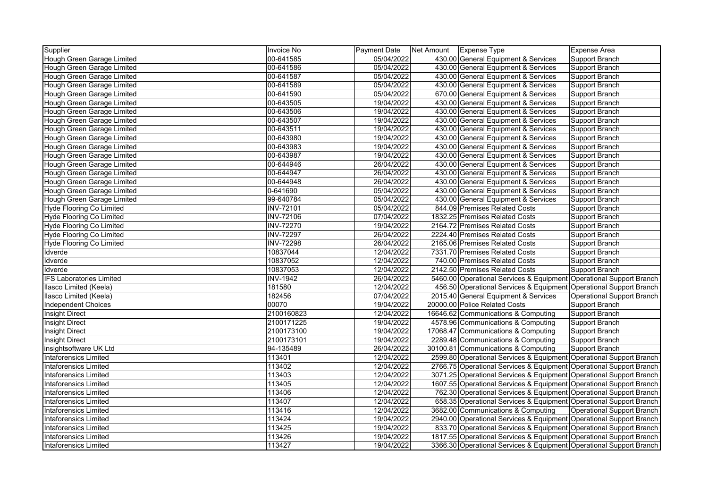| Supplier                        | Invoice No       | Payment Date | Net Amount | <b>Expense Type</b>                                                 | <b>Expense Area</b>               |
|---------------------------------|------------------|--------------|------------|---------------------------------------------------------------------|-----------------------------------|
| Hough Green Garage Limited      | 00-641585        | 05/04/2022   |            | 430.00 General Equipment & Services                                 | Support Branch                    |
| Hough Green Garage Limited      | 00-641586        | 05/04/2022   |            | 430.00 General Equipment & Services                                 | Support Branch                    |
| Hough Green Garage Limited      | 00-641587        | 05/04/2022   |            | 430.00 General Equipment & Services                                 | Support Branch                    |
| Hough Green Garage Limited      | 00-641589        | 05/04/2022   |            | 430.00 General Equipment & Services                                 | Support Branch                    |
| Hough Green Garage Limited      | 00-641590        | 05/04/2022   |            | 670.00 General Equipment & Services                                 | Support Branch                    |
| Hough Green Garage Limited      | 00-643505        | 19/04/2022   |            | 430.00 General Equipment & Services                                 | Support Branch                    |
| Hough Green Garage Limited      | 00-643506        | 19/04/2022   |            | 430.00 General Equipment & Services                                 | Support Branch                    |
| Hough Green Garage Limited      | 00-643507        | 19/04/2022   |            | 430.00 General Equipment & Services                                 | Support Branch                    |
| Hough Green Garage Limited      | 00-643511        | 19/04/2022   |            | 430.00 General Equipment & Services                                 | Support Branch                    |
| Hough Green Garage Limited      | 00-643980        | 19/04/2022   |            | 430.00 General Equipment & Services                                 | Support Branch                    |
| Hough Green Garage Limited      | 00-643983        | 19/04/2022   |            | 430.00 General Equipment & Services                                 | Support Branch                    |
| Hough Green Garage Limited      | 00-643987        | 19/04/2022   |            | 430.00 General Equipment & Services                                 | Support Branch                    |
| Hough Green Garage Limited      | 00-644946        | 26/04/2022   |            | 430.00 General Equipment & Services                                 | Support Branch                    |
| Hough Green Garage Limited      | 00-644947        | 26/04/2022   |            | 430.00 General Equipment & Services                                 | Support Branch                    |
| Hough Green Garage Limited      | 00-644948        | 26/04/2022   |            | 430.00 General Equipment & Services                                 | Support Branch                    |
| Hough Green Garage Limited      | 0-641690         | 05/04/2022   |            | 430.00 General Equipment & Services                                 | Support Branch                    |
| Hough Green Garage Limited      | 99-640784        | 05/04/2022   |            | 430.00 General Equipment & Services                                 | Support Branch                    |
| <b>Hyde Flooring Co Limited</b> | <b>INV-72101</b> | 05/04/2022   |            | 844.09 Premises Related Costs                                       | Support Branch                    |
| <b>Hyde Flooring Co Limited</b> | <b>INV-72106</b> | 07/04/2022   |            | 1832.25 Premises Related Costs                                      | Support Branch                    |
| <b>Hyde Flooring Co Limited</b> | <b>INV-72270</b> | 19/04/2022   |            | 2164.72 Premises Related Costs                                      | Support Branch                    |
| Hyde Flooring Co Limited        | <b>INV-72297</b> | 26/04/2022   |            | 2224.40 Premises Related Costs                                      | Support Branch                    |
| <b>Hyde Flooring Co Limited</b> | <b>INV-72298</b> | 26/04/2022   |            | 2165.06 Premises Related Costs                                      | Support Branch                    |
| Idverde                         | 10837044         | 12/04/2022   |            | 7331.70 Premises Related Costs                                      | Support Branch                    |
| Idverde                         | 10837052         | 12/04/2022   |            | 740.00 Premises Related Costs                                       | Support Branch                    |
| Idverde                         | 10837053         | 12/04/2022   |            | 2142.50 Premises Related Costs                                      | Support Branch                    |
| <b>IFS Laboratories Limited</b> | <b>INV-1942</b>  | 26/04/2022   |            | 5460.00 Operational Services & Equipment Operational Support Branch |                                   |
| Ilasco Limited (Keela)          | 181580           | 12/04/2022   |            | 456.50 Operational Services & Equipment Operational Support Branch  |                                   |
| Ilasco Limited (Keela)          | 182456           | 07/04/2022   |            | 2015.40 General Equipment & Services                                | <b>Operational Support Branch</b> |
| <b>Independent Choices</b>      | 00070            | 19/04/2022   |            | 20000.00 Police Related Costs                                       | Support Branch                    |
| <b>Insight Direct</b>           | 2100160823       | 12/04/2022   |            | 16646.62 Communications & Computing                                 | Support Branch                    |
| <b>Insight Direct</b>           | 2100171225       | 19/04/2022   |            | 4578.96 Communications & Computing                                  | Support Branch                    |
| Insight Direct                  | 2100173100       | 19/04/2022   |            | 17068.47 Communications & Computing                                 | Support Branch                    |
| <b>Insight Direct</b>           | 2100173101       | 19/04/2022   |            | 2289.48 Communications & Computing                                  | Support Branch                    |
| insightsoftware UK Ltd          | 94-135489        | 26/04/2022   |            | 30100.81 Communications & Computing                                 | Support Branch                    |
| <b>Intaforensics Limited</b>    | 113401           | 12/04/2022   |            | 2599.80 Operational Services & Equipment Operational Support Branch |                                   |
| <b>Intaforensics Limited</b>    | 113402           | 12/04/2022   |            | 2766.75 Operational Services & Equipment Operational Support Branch |                                   |
| <b>Intaforensics Limited</b>    | 113403           | 12/04/2022   |            | 3071.25 Operational Services & Equipment Operational Support Branch |                                   |
| <b>Intaforensics Limited</b>    | 113405           | 12/04/2022   |            | 1607.55 Operational Services & Equipment Operational Support Branch |                                   |
| <b>Intaforensics Limited</b>    | 113406           | 12/04/2022   |            | 762.30 Operational Services & Equipment Operational Support Branch  |                                   |
| <b>Intaforensics Limited</b>    | 113407           | 12/04/2022   |            | 658.35 Operational Services & Equipment Operational Support Branch  |                                   |
| <b>Intaforensics Limited</b>    | 113416           | 12/04/2022   |            | 3682.00 Communications & Computing                                  | Operational Support Branch        |
| <b>Intaforensics Limited</b>    | 113424           | 19/04/2022   |            | 2940.00 Operational Services & Equipment Operational Support Branch |                                   |
| <b>Intaforensics Limited</b>    | 113425           | 19/04/2022   |            | 833.70 Operational Services & Equipment Operational Support Branch  |                                   |
| <b>Intaforensics Limited</b>    | 113426           | 19/04/2022   |            | 1817.55 Operational Services & Equipment Operational Support Branch |                                   |
| <b>Intaforensics Limited</b>    | 113427           | 19/04/2022   |            | 3366.30 Operational Services & Equipment Operational Support Branch |                                   |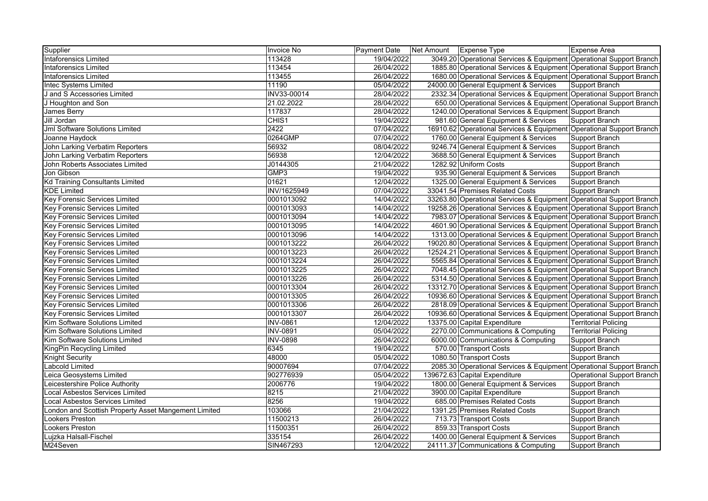| Supplier                                             | Invoice No      | Payment Date | Net Amount   Expense Type |                                                                      | Expense Area                      |
|------------------------------------------------------|-----------------|--------------|---------------------------|----------------------------------------------------------------------|-----------------------------------|
| <b>Intaforensics Limited</b>                         | 113428          | 19/04/2022   |                           | 3049.20 Operational Services & Equipment Operational Support Branch  |                                   |
| <b>Intaforensics Limited</b>                         | 113454          | 26/04/2022   |                           | 1885.80 Operational Services & Equipment Operational Support Branch  |                                   |
| <b>Intaforensics Limited</b>                         | 113455          | 26/04/2022   |                           | 1680.00 Operational Services & Equipment Operational Support Branch  |                                   |
| <b>Intec Systems Limited</b>                         | 11190           | 05/04/2022   |                           | 24000.00 General Equipment & Services                                | Support Branch                    |
| J and S Accessories Limited                          | INV33-00014     | 28/04/2022   |                           | 2332.34 Operational Services & Equipment Operational Support Branch  |                                   |
| J Houghton and Son                                   | 21.02.2022      | 28/04/2022   |                           | 650.00 Operational Services & Equipment Operational Support Branch   |                                   |
| James Berry                                          | 117837          | 28/04/2022   |                           | 1240.00 Operational Services & Equipment Support Branch              |                                   |
| Jill Jordan                                          | CHIS1           | 19/04/2022   |                           | 981.60 General Equipment & Services                                  | Support Branch                    |
| Jml Software Solutions Limited                       | 2422            | 07/04/2022   |                           | 16910.62 Operational Services & Equipment Operational Support Branch |                                   |
| Joanne Haydock                                       | 0264GMP         | 07/04/2022   |                           | 1760.00 General Equipment & Services                                 | Support Branch                    |
| John Larking Verbatim Reporters                      | 56932           | 08/04/2022   |                           | 9246.74 General Equipment & Services                                 | Support Branch                    |
| John Larking Verbatim Reporters                      | 56938           | 12/04/2022   |                           | 3688.50 General Equipment & Services                                 | Support Branch                    |
| John Roberts Associates Limited                      | J0144305        | 21/04/2022   |                           | 1282.92 Uniform Costs                                                | <b>Support Branch</b>             |
| Jon Gibson                                           | GMP3            | 19/04/2022   |                           | 935.90 General Equipment & Services                                  | Support Branch                    |
| <b>Kd Training Consultants Limited</b>               | 01621           | 12/04/2022   |                           | 1325.00 General Equipment & Services                                 | Support Branch                    |
| <b>KDE Limited</b>                                   | INV/1625949     | 07/04/2022   |                           | 33041.54 Premises Related Costs                                      | <b>Support Branch</b>             |
| <b>Key Forensic Services Limited</b>                 | 0001013092      | 14/04/2022   |                           | 33263.80 Operational Services & Equipment Operational Support Branch |                                   |
| <b>Key Forensic Services Limited</b>                 | 0001013093      | 14/04/2022   |                           | 19258.26 Operational Services & Equipment Operational Support Branch |                                   |
| <b>Key Forensic Services Limited</b>                 | 0001013094      | 14/04/2022   |                           | 7983.07 Operational Services & Equipment Operational Support Branch  |                                   |
| <b>Key Forensic Services Limited</b>                 | 0001013095      | 14/04/2022   |                           | 4601.90 Operational Services & Equipment Operational Support Branch  |                                   |
| <b>Key Forensic Services Limited</b>                 | 0001013096      | 14/04/2022   |                           | 1313.00 Operational Services & Equipment Operational Support Branch  |                                   |
| <b>Key Forensic Services Limited</b>                 | 0001013222      | 26/04/2022   |                           | 19020.80 Operational Services & Equipment Operational Support Branch |                                   |
| <b>Key Forensic Services Limited</b>                 | 0001013223      | 26/04/2022   |                           | 12524.21 Operational Services & Equipment Operational Support Branch |                                   |
| <b>Key Forensic Services Limited</b>                 | 0001013224      | 26/04/2022   |                           | 5565.84 Operational Services & Equipment Operational Support Branch  |                                   |
| Key Forensic Services Limited                        | 0001013225      | 26/04/2022   |                           | 7048.45 Operational Services & Equipment Operational Support Branch  |                                   |
| <b>Key Forensic Services Limited</b>                 | 0001013226      | 26/04/2022   |                           | 5314.50 Operational Services & Equipment Operational Support Branch  |                                   |
| Key Forensic Services Limited                        | 0001013304      | 26/04/2022   |                           | 13312.70 Operational Services & Equipment Operational Support Branch |                                   |
| <b>Key Forensic Services Limited</b>                 | 0001013305      | 26/04/2022   |                           | 10936.60 Operational Services & Equipment Operational Support Branch |                                   |
| <b>Key Forensic Services Limited</b>                 | 0001013306      | 26/04/2022   |                           | 2818.09 Operational Services & Equipment Operational Support Branch  |                                   |
| <b>Key Forensic Services Limited</b>                 | 0001013307      | 26/04/2022   |                           | 10936.60 Operational Services & Equipment Operational Support Branch |                                   |
| Kim Software Solutions Limited                       | <b>INV-0861</b> | 12/04/2022   |                           | 13375.00 Capital Expenditure                                         | <b>Territorial Policing</b>       |
| Kim Software Solutions Limited                       | <b>INV-0891</b> | 05/04/2022   |                           | 2270.00 Communications & Computing                                   | <b>Territorial Policing</b>       |
| Kim Software Solutions Limited                       | <b>INV-0898</b> | 26/04/2022   |                           | 6000.00 Communications & Computing                                   | Support Branch                    |
| KingPin Recycling Limited                            | 6345            | 19/04/2022   |                           | 570.00 Transport Costs                                               | Support Branch                    |
| <b>Knight Security</b>                               | 48000           | 05/04/2022   |                           | 1080.50 Transport Costs                                              | <b>Support Branch</b>             |
| Labcold Limited                                      | 90007694        | 07/04/2022   |                           | 2085.30 Operational Services & Equipment Operational Support Branch  |                                   |
| Leica Geosystems Limited                             | 902776939       | 05/04/2022   |                           | 139672.63 Capital Expenditure                                        | <b>Operational Support Branch</b> |
| Leicestershire Police Authority                      | 2006776         | 19/04/2022   |                           | 1800.00 General Equipment & Services                                 | Support Branch                    |
| <b>Local Asbestos Services Limited</b>               | 8215            | 21/04/2022   |                           | 3900.00 Capital Expenditure                                          | <b>Support Branch</b>             |
| <b>Local Asbestos Services Limited</b>               | 8256            | 19/04/2022   |                           | 685.00 Premises Related Costs                                        | Support Branch                    |
| London and Scottish Property Asset Mangement Limited | 103066          | 21/04/2022   |                           | 1391.25 Premises Related Costs                                       | Support Branch                    |
| <b>Lookers Preston</b>                               | 11500213        | 26/04/2022   |                           | 713.73 Transport Costs                                               | <b>Support Branch</b>             |
| Lookers Preston                                      | 11500351        | 26/04/2022   |                           | 859.33 Transport Costs                                               | Support Branch                    |
| Lujzka Halsall-Fischel                               | 335154          | 26/04/2022   |                           | 1400.00 General Equipment & Services                                 | Support Branch                    |
| M24Seven                                             | SIN467293       | 12/04/2022   |                           | 24111.37 Communications & Computing                                  | Support Branch                    |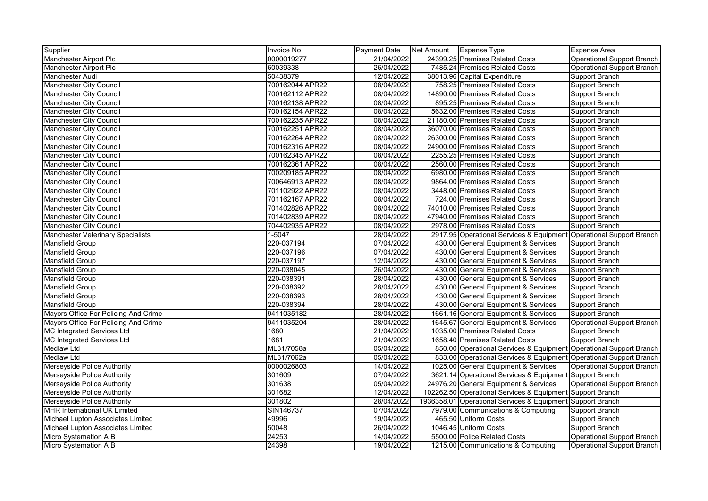| Supplier                                 | Invoice No      | <b>Payment Date</b> | Net Amount   Expense Type |                                                                     | Expense Area               |
|------------------------------------------|-----------------|---------------------|---------------------------|---------------------------------------------------------------------|----------------------------|
| Manchester Airport Plc                   | 0000019277      | 21/04/2022          |                           | 24399.25 Premises Related Costs                                     | Operational Support Branch |
| Manchester Airport Plc                   | 60039338        | 26/04/2022          |                           | 7485.24 Premises Related Costs                                      | Operational Support Branch |
| <b>Manchester Audi</b>                   | 50438379        | 12/04/2022          |                           | 38013.96 Capital Expenditure                                        | Support Branch             |
| <b>Manchester City Council</b>           | 700162044 APR22 | 08/04/2022          |                           | 758.25 Premises Related Costs                                       | Support Branch             |
| <b>Manchester City Council</b>           | 700162112 APR22 | 08/04/2022          |                           | 14890.00 Premises Related Costs                                     | Support Branch             |
| <b>Manchester City Council</b>           | 700162138 APR22 | 08/04/2022          |                           | 895.25 Premises Related Costs                                       | Support Branch             |
| <b>Manchester City Council</b>           | 700162154 APR22 | 08/04/2022          |                           | 5632.00 Premises Related Costs                                      | Support Branch             |
| <b>Manchester City Council</b>           | 700162235 APR22 | 08/04/2022          |                           | 21180.00 Premises Related Costs                                     | Support Branch             |
| <b>Manchester City Council</b>           | 700162251 APR22 | 08/04/2022          |                           | 36070.00 Premises Related Costs                                     | Support Branch             |
| <b>Manchester City Council</b>           | 700162264 APR22 | 08/04/2022          |                           | 26300.00 Premises Related Costs                                     | Support Branch             |
| <b>Manchester City Council</b>           | 700162316 APR22 | 08/04/2022          |                           | 24900.00 Premises Related Costs                                     | Support Branch             |
| <b>Manchester City Council</b>           | 700162345 APR22 | 08/04/2022          |                           | 2255.25 Premises Related Costs                                      | Support Branch             |
| <b>Manchester City Council</b>           | 700162361 APR22 | 08/04/2022          |                           | 2560.00 Premises Related Costs                                      | Support Branch             |
| <b>Manchester City Council</b>           | 700209185 APR22 | 08/04/2022          |                           | 6980.00 Premises Related Costs                                      | Support Branch             |
| <b>Manchester City Council</b>           | 700646913 APR22 | 08/04/2022          |                           | 9864.00 Premises Related Costs                                      | Support Branch             |
| <b>Manchester City Council</b>           | 701102922 APR22 | 08/04/2022          |                           | 3448.00 Premises Related Costs                                      | Support Branch             |
| <b>Manchester City Council</b>           | 701162167 APR22 | 08/04/2022          |                           | 724.00 Premises Related Costs                                       | Support Branch             |
| <b>Manchester City Council</b>           | 701402826 APR22 | 08/04/2022          |                           | 74010.00 Premises Related Costs                                     | Support Branch             |
| <b>Manchester City Council</b>           | 701402839 APR22 | 08/04/2022          |                           | 47940.00 Premises Related Costs                                     | Support Branch             |
| <b>Manchester City Council</b>           | 704402935 APR22 | 08/04/2022          |                           | 2978.00 Premises Related Costs                                      | Support Branch             |
| <b>Manchester Veterinary Specialists</b> | $1-5047$        | 28/04/2022          |                           | 2917.95 Operational Services & Equipment Operational Support Branch |                            |
| Mansfield Group                          | 220-037194      | 07/04/2022          |                           | 430.00 General Equipment & Services                                 | Support Branch             |
| Mansfield Group                          | 220-037196      | 07/04/2022          |                           | 430.00 General Equipment & Services                                 | Support Branch             |
| Mansfield Group                          | 220-037197      | 12/04/2022          |                           | 430.00 General Equipment & Services                                 | Support Branch             |
| Mansfield Group                          | 220-038045      | 26/04/2022          |                           | 430.00 General Equipment & Services                                 | Support Branch             |
| <b>Mansfield Group</b>                   | 220-038391      | 28/04/2022          |                           | 430.00 General Equipment & Services                                 | Support Branch             |
| Mansfield Group                          | 220-038392      | 28/04/2022          |                           | 430.00 General Equipment & Services                                 | Support Branch             |
| <b>Mansfield Group</b>                   | 220-038393      | 28/04/2022          |                           | 430.00 General Equipment & Services                                 | Support Branch             |
| Mansfield Group                          | 220-038394      | 28/04/2022          |                           | 430.00 General Equipment & Services                                 | Support Branch             |
| Mayors Office For Policing And Crime     | 9411035182      | 28/04/2022          |                           | 1661.16 General Equipment & Services                                | Support Branch             |
| Mayors Office For Policing And Crime     | 9411035204      | 28/04/2022          |                           | 1645.67 General Equipment & Services                                | Operational Support Branch |
| MC Integrated Services Ltd               | 1680            | 21/04/2022          |                           | 1035.00 Premises Related Costs                                      | Support Branch             |
| <b>MC Integrated Services Ltd</b>        | 1681            | 21/04/2022          |                           | 1658.40 Premises Related Costs                                      | Support Branch             |
| <b>Medlaw Ltd</b>                        | ML31/7058a      | 05/04/2022          |                           | 850.00 Operational Services & Equipment Operational Support Branch  |                            |
| <b>Medlaw Ltd</b>                        | ML31/7062a      | 05/04/2022          |                           | 833.00 Operational Services & Equipment Operational Support Branch  |                            |
| Merseyside Police Authority              | 0000026803      | 14/04/2022          |                           | 1025.00 General Equipment & Services                                | Operational Support Branch |
| Merseyside Police Authority              | 301609          | 07/04/2022          |                           | 3621.14 Operational Services & Equipment Support Branch             |                            |
| Merseyside Police Authority              | 301638          | 05/04/2022          |                           | 24976.20 General Equipment & Services                               | Operational Support Branch |
| Merseyside Police Authority              | 301682          | 12/04/2022          |                           | 102262.50 Operational Services & Equipment Support Branch           |                            |
| Merseyside Police Authority              | 301802          | 28/04/2022          |                           | 1936358.01 Operational Services & Equipment Support Branch          |                            |
| <b>MHR International UK Limited</b>      | SIN146737       | 07/04/2022          |                           | 7979.00 Communications & Computing                                  | Support Branch             |
| Michael Lupton Associates Limited        | 49996           | 19/04/2022          |                           | 465.50 Uniform Costs                                                | Support Branch             |
| Michael Lupton Associates Limited        | 50048           | 26/04/2022          |                           | 1046.45 Uniform Costs                                               | Support Branch             |
| Micro Systemation A B                    | 24253           | 14/04/2022          |                           | 5500.00 Police Related Costs                                        | Operational Support Branch |
| Micro Systemation A B                    | 24398           | 19/04/2022          |                           | 1215.00 Communications & Computing                                  | Operational Support Branch |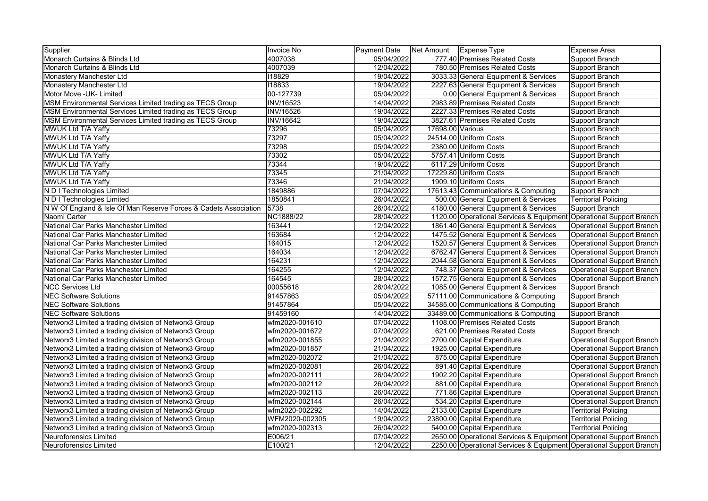| Supplier                                                         | Invoice No       | Payment Date | Net Amount       | <b>Expense Type</b>                                                 | Expense Area                      |
|------------------------------------------------------------------|------------------|--------------|------------------|---------------------------------------------------------------------|-----------------------------------|
| Monarch Curtains & Blinds Ltd                                    | 4007038          | 05/04/2022   |                  | 777.40 Premises Related Costs                                       | Support Branch                    |
| Monarch Curtains & Blinds Ltd                                    | 4007039          | 12/04/2022   |                  | 780.50 Premises Related Costs                                       | Support Branch                    |
| Monastery Manchester Ltd                                         | 118829           | 19/04/2022   |                  | 3033.33 General Equipment & Services                                | Support Branch                    |
| Monastery Manchester Ltd                                         | 118833           | 19/04/2022   |                  | 2227.63 General Equipment & Services                                | Support Branch                    |
| Motor Move - UK- Limited                                         | 00-127739        | 05/04/2022   |                  | 0.00 General Equipment & Services                                   | Support Branch                    |
| MSM Environmental Services Limited trading as TECS Group         | <b>INV/16523</b> | 14/04/2022   |                  | 2983.89 Premises Related Costs                                      | Support Branch                    |
| MSM Environmental Services Limited trading as TECS Group         | <b>INV/16526</b> | 19/04/2022   |                  | 2227.33 Premises Related Costs                                      | Support Branch                    |
| MSM Environmental Services Limited trading as TECS Group         | <b>INV/16642</b> | 19/04/2022   |                  | 3827.61 Premises Related Costs                                      | Support Branch                    |
| MWUK Ltd T/A Yaffv                                               | 73296            | 05/04/2022   | 17698.00 Various |                                                                     | Support Branch                    |
| MWUK Ltd T/A Yaffy                                               | 73297            | 05/04/2022   |                  | 24514.00 Uniform Costs                                              | Support Branch                    |
| MWUK Ltd T/A Yaffy                                               | 73298            | 05/04/2022   |                  | 2380.00 Uniform Costs                                               | Support Branch                    |
| MWUK Ltd T/A Yaffy                                               | 73302            | 05/04/2022   |                  | 5757.41 Uniform Costs                                               | Support Branch                    |
| MWUK Ltd T/A Yaffy                                               | 73344            | 19/04/2022   |                  | 6117.29 Uniform Costs                                               | Support Branch                    |
| MWUK Ltd T/A Yaffy                                               | 73345            | 21/04/2022   |                  | 17229.80 Uniform Costs                                              | Support Branch                    |
| MWUK Ltd T/A Yaffy                                               | 73346            | 21/04/2022   |                  | 1909.10 Uniform Costs                                               | Support Branch                    |
| N D I Technologies Limited                                       | 1849886          | 07/04/2022   |                  | 17613.43 Communications & Computing                                 | Support Branch                    |
| N D I Technologies Limited                                       | 1850841          | 26/04/2022   |                  | 500.00 General Equipment & Services                                 | <b>Territorial Policing</b>       |
| N W Of England & Isle Of Man Reserve Forces & Cadets Association | 5738             | 26/04/2022   |                  | 4180.00 General Equipment & Services                                | Support Branch                    |
| Naomi Carter                                                     | <b>NC1888/22</b> | 28/04/2022   |                  | 1120.00 Operational Services & Equipment Operational Support Branch |                                   |
| National Car Parks Manchester Limited                            | 163441           | 12/04/2022   |                  | 1861.40 General Equipment & Services                                | <b>Operational Support Branch</b> |
| National Car Parks Manchester Limited                            | 163684           | 12/04/2022   |                  | 1475.52 General Equipment & Services                                | Operational Support Branch        |
| National Car Parks Manchester Limited                            | 164015           | 12/04/2022   |                  | 1520.57 General Equipment & Services                                | <b>Operational Support Branch</b> |
| National Car Parks Manchester Limited                            | 164034           | 12/04/2022   |                  | 6762.47 General Equipment & Services                                | <b>Operational Support Branch</b> |
| National Car Parks Manchester Limited                            | 164231           | 12/04/2022   |                  | 2044.58 General Equipment & Services                                | <b>Operational Support Branch</b> |
| National Car Parks Manchester Limited                            | 164255           | 12/04/2022   |                  | 748.37 General Equipment & Services                                 | <b>Operational Support Branch</b> |
| National Car Parks Manchester Limited                            | 164545           | 28/04/2022   |                  | 1572.75 General Equipment & Services                                | <b>Operational Support Branch</b> |
| <b>NCC Services Ltd</b>                                          | 00055618         | 26/04/2022   |                  | 1085.00 General Equipment & Services                                | Support Branch                    |
| <b>NEC Software Solutions</b>                                    | 91457863         | 05/04/2022   |                  | 57111.00 Communications & Computing                                 | Support Branch                    |
| <b>NEC Software Solutions</b>                                    | 91457864         | 05/04/2022   |                  | 34585.00 Communications & Computing                                 | Support Branch                    |
| <b>NEC Software Solutions</b>                                    | 91459160         | 14/04/2022   |                  | 33489.00 Communications & Computing                                 | Support Branch                    |
| Networx3 Limited a trading division of Networx3 Group            | wfm2020-001610   | 07/04/2022   |                  | 1108.00 Premises Related Costs                                      | Support Branch                    |
| Networx3 Limited a trading division of Networx3 Group            | wfm2020-001672   | 07/04/2022   |                  | 621.00 Premises Related Costs                                       | Support Branch                    |
| Networx3 Limited a trading division of Networx3 Group            | wfm2020-001855   | 21/04/2022   |                  | 2700.00 Capital Expenditure                                         | <b>Operational Support Branch</b> |
| Networx3 Limited a trading division of Networx3 Group            | wfm2020-001857   | 21/04/2022   |                  | 1925.00 Capital Expenditure                                         | <b>Operational Support Branch</b> |
| Networx3 Limited a trading division of Networx3 Group            | wfm2020-002072   | 21/04/2022   |                  | 875.00 Capital Expenditure                                          | Operational Support Branch        |
| Networx3 Limited a trading division of Networx3 Group            | wfm2020-002081   | 26/04/2022   |                  | 891.40 Capital Expenditure                                          | Operational Support Branch        |
| Networx3 Limited a trading division of Networx3 Group            | wfm2020-002111   | 26/04/2022   |                  | 1902.20 Capital Expenditure                                         | <b>Operational Support Branch</b> |
| Networx3 Limited a trading division of Networx3 Group            | wfm2020-002112   | 26/04/2022   |                  | 881.00 Capital Expenditure                                          | Operational Support Branch        |
| Networx3 Limited a trading division of Networx3 Group            | wfm2020-002113   | 26/04/2022   |                  | 771.86 Capital Expenditure                                          | <b>Operational Support Branch</b> |
| Networx3 Limited a trading division of Networx3 Group            | wfm2020-002144   | 26/04/2022   |                  | 534.20 Capital Expenditure                                          | <b>Operational Support Branch</b> |
| Networx3 Limited a trading division of Networx3 Group            | wfm2020-002292   | 14/04/2022   |                  | 2133.00 Capital Expenditure                                         | <b>Territorial Policing</b>       |
| Networx3 Limited a trading division of Networx3 Group            | WFM2020-002305   | 19/04/2022   |                  | 23800.00 Capital Expenditure                                        | <b>Territorial Policing</b>       |
| Networx3 Limited a trading division of Networx3 Group            | wfm2020-002313   | 26/04/2022   |                  | 5400.00 Capital Expenditure                                         | <b>Territorial Policing</b>       |
| Neuroforensics Limited                                           | E006/21          | 07/04/2022   |                  | 2650.00 Operational Services & Equipment Operational Support Branch |                                   |
| <b>Neuroforensics Limited</b>                                    | E100/21          | 12/04/2022   |                  | 2250.00 Operational Services & Equipment Operational Support Branch |                                   |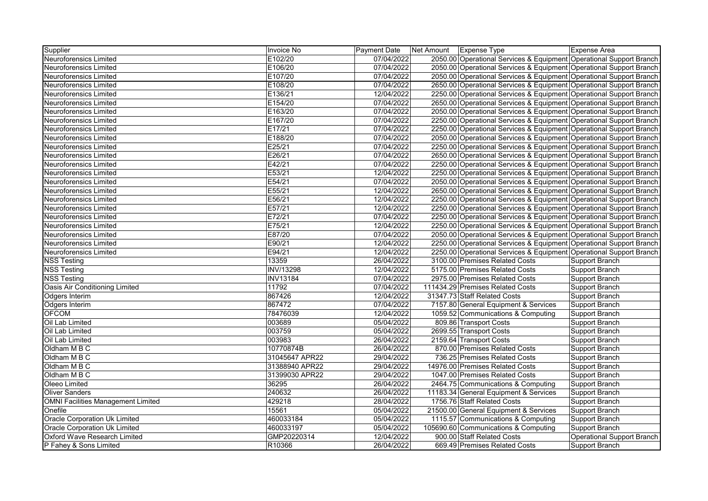| Supplier                                  | Invoice No       | Payment Date | Net Amount | Expense Type                                                        | Expense Area               |
|-------------------------------------------|------------------|--------------|------------|---------------------------------------------------------------------|----------------------------|
| <b>Neuroforensics Limited</b>             | E102/20          | 07/04/2022   |            | 2050.00 Operational Services & Equipment Operational Support Branch |                            |
| <b>Neuroforensics Limited</b>             | E106/20          | 07/04/2022   |            | 2050.00 Operational Services & Equipment Operational Support Branch |                            |
| <b>Neuroforensics Limited</b>             | E107/20          | 07/04/2022   |            | 2050.00 Operational Services & Equipment Operational Support Branch |                            |
| <b>Neuroforensics Limited</b>             | E108/20          | 07/04/2022   |            | 2650.00 Operational Services & Equipment Operational Support Branch |                            |
| <b>Neuroforensics Limited</b>             | E136/21          | 12/04/2022   |            | 2250.00 Operational Services & Equipment Operational Support Branch |                            |
| Neuroforensics Limited                    | E154/20          | 07/04/2022   |            | 2650.00 Operational Services & Equipment Operational Support Branch |                            |
| Neuroforensics Limited                    | E163/20          | 07/04/2022   |            | 2050.00 Operational Services & Equipment Operational Support Branch |                            |
| <b>Neuroforensics Limited</b>             | E167/20          | 07/04/2022   |            | 2250.00 Operational Services & Equipment Operational Support Branch |                            |
| <b>Neuroforensics Limited</b>             | E17/21           | 07/04/2022   |            | 2250.00 Operational Services & Equipment Operational Support Branch |                            |
| <b>Neuroforensics Limited</b>             | E188/20          | 07/04/2022   |            | 2050.00 Operational Services & Equipment Operational Support Branch |                            |
| <b>Neuroforensics Limited</b>             | E25/21           | 07/04/2022   |            | 2250.00 Operational Services & Equipment Operational Support Branch |                            |
| <b>Neuroforensics Limited</b>             | E26/21           | 07/04/2022   |            | 2650.00 Operational Services & Equipment Operational Support Branch |                            |
| <b>Neuroforensics Limited</b>             | E42/21           | 07/04/2022   |            | 2250.00 Operational Services & Equipment Operational Support Branch |                            |
| Neuroforensics Limited                    | E53/21           | 12/04/2022   |            | 2250.00 Operational Services & Equipment Operational Support Branch |                            |
| Neuroforensics Limited                    | E54/21           | 07/04/2022   |            | 2050.00 Operational Services & Equipment Operational Support Branch |                            |
| <b>Neuroforensics Limited</b>             | E55/21           | 12/04/2022   |            | 2650.00 Operational Services & Equipment Operational Support Branch |                            |
| <b>Neuroforensics Limited</b>             | E56/21           | 12/04/2022   |            | 2250.00 Operational Services & Equipment Operational Support Branch |                            |
| <b>Neuroforensics Limited</b>             | E57/21           | 12/04/2022   |            | 2250.00 Operational Services & Equipment Operational Support Branch |                            |
| <b>Neuroforensics Limited</b>             | E72/21           | 07/04/2022   |            | 2250.00 Operational Services & Equipment Operational Support Branch |                            |
| <b>Neuroforensics Limited</b>             | E75/21           | 12/04/2022   |            | 2250.00 Operational Services & Equipment Operational Support Branch |                            |
| <b>Neuroforensics Limited</b>             | E87/20           | 07/04/2022   |            | 2050.00 Operational Services & Equipment Operational Support Branch |                            |
| <b>Neuroforensics Limited</b>             | E90/21           | 12/04/2022   |            | 2250.00 Operational Services & Equipment Operational Support Branch |                            |
| Neuroforensics Limited                    | E94/21           | 12/04/2022   |            | 2250.00 Operational Services & Equipment Operational Support Branch |                            |
| <b>NSS Testing</b>                        | 13359            | 26/04/2022   |            | 3100.00 Premises Related Costs                                      | Support Branch             |
| <b>NSS Testing</b>                        | <b>INV/13298</b> | 12/04/2022   |            | 5175.00 Premises Related Costs                                      | Support Branch             |
| <b>NSS Testing</b>                        | <b>INV13184</b>  | 07/04/2022   |            | 2975.00 Premises Related Costs                                      | Support Branch             |
| Oasis Air Conditioning Limited            | 11792            | 07/04/2022   |            | 111434.29 Premises Related Costs                                    | Support Branch             |
| Odgers Interim                            | 867426           | 12/04/2022   |            | 31347.73 Staff Related Costs                                        | Support Branch             |
| Odgers Interim                            | 867472           | 07/04/2022   |            | 7157.80 General Equipment & Services                                | Support Branch             |
| <b>OFCOM</b>                              | 78476039         | 12/04/2022   |            | 1059.52 Communications & Computing                                  | Support Branch             |
| Oil Lab Limited                           | 003689           | 05/04/2022   |            | 809.86 Transport Costs                                              | Support Branch             |
| Oil Lab Limited                           | 003759           | 05/04/2022   |            | 2699.55 Transport Costs                                             | Support Branch             |
| Oil Lab Limited                           | 003983           | 26/04/2022   |            | 2159.64 Transport Costs                                             | Support Branch             |
| Oldham M B C                              | 10770874B        | 26/04/2022   |            | 870.00 Premises Related Costs                                       | Support Branch             |
| Oldham M B C                              | 31045647 APR22   | 29/04/2022   |            | 736.25 Premises Related Costs                                       | Support Branch             |
| Oldham M B C                              | 31388940 APR22   | 29/04/2022   |            | 14976.00 Premises Related Costs                                     | Support Branch             |
| Oldham M B C                              | 31399030 APR22   | 29/04/2022   |            | 1047.00 Premises Related Costs                                      | Support Branch             |
| Oleeo Limited                             | 36295            | 26/04/2022   |            | 2464.75 Communications & Computing                                  | Support Branch             |
| <b>Oliver Sanders</b>                     | 240632           | 26/04/2022   |            | 11183.34 General Equipment & Services                               | Support Branch             |
| <b>OMNI Facilities Management Limited</b> | 429218           | 28/04/2022   |            | 1756.76 Staff Related Costs                                         | Support Branch             |
| Onefile                                   | 15561            | 05/04/2022   |            | 21500.00 General Equipment & Services                               | Support Branch             |
| Oracle Corporation Uk Limited             | 460033184        | 05/04/2022   |            | 1115.57 Communications & Computing                                  | Support Branch             |
| Oracle Corporation Uk Limited             | 460033197        | 05/04/2022   |            | 105690.60 Communications & Computing                                | Support Branch             |
| Oxford Wave Research Limited              | GMP20220314      | 12/04/2022   |            | 900.00 Staff Related Costs                                          | Operational Support Branch |
| P Fahey & Sons Limited                    | R10366           | 26/04/2022   |            | 669.49 Premises Related Costs                                       | Support Branch             |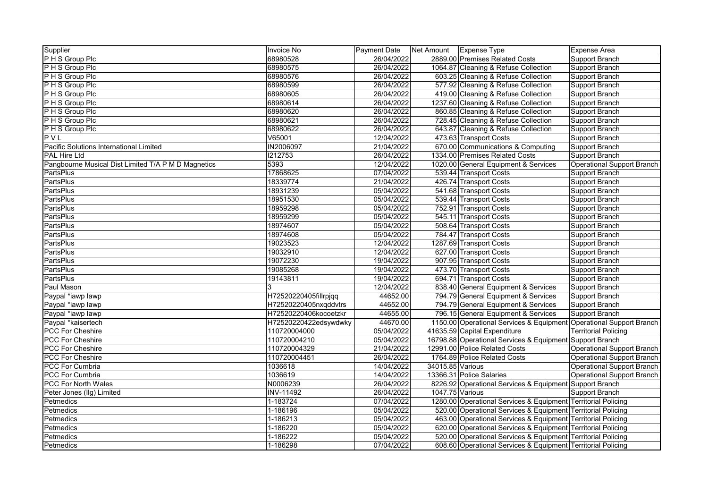| Supplier                                            | Invoice No            | Payment Date | Net Amount       | <b>Expense Type</b>                                                 | <b>Expense Area</b>               |
|-----------------------------------------------------|-----------------------|--------------|------------------|---------------------------------------------------------------------|-----------------------------------|
| P H S Group Plc                                     | 68980528              | 26/04/2022   |                  | 2889.00 Premises Related Costs                                      | Support Branch                    |
| P H S Group Plc                                     | 68980575              | 26/04/2022   |                  | 1064.87 Cleaning & Refuse Collection                                | Support Branch                    |
| P H S Group Plc                                     | 68980576              | 26/04/2022   |                  | 603.25 Cleaning & Refuse Collection                                 | Support Branch                    |
| P H S Group Plc                                     | 68980599              | 26/04/2022   |                  | 577.92 Cleaning & Refuse Collection                                 | Support Branch                    |
| P H S Group Plc                                     | 68980605              | 26/04/2022   |                  | 419.00 Cleaning & Refuse Collection                                 | <b>Support Branch</b>             |
| P H S Group Plc                                     | 68980614              | 26/04/2022   |                  | 1237.60 Cleaning & Refuse Collection                                | Support Branch                    |
| P H S Group Plc                                     | 68980620              | 26/04/2022   |                  | 860.85 Cleaning & Refuse Collection                                 | Support Branch                    |
| P H S Group Plc                                     | 68980621              | 26/04/2022   |                  | 728.45 Cleaning & Refuse Collection                                 | Support Branch                    |
| P H S Group Plc                                     | 68980622              | 26/04/2022   |                  | 643.87 Cleaning & Refuse Collection                                 | Support Branch                    |
| PVL                                                 | V65001                | 12/04/2022   |                  | 473.63 Transport Costs                                              | Support Branch                    |
| Pacific Solutions International Limited             | <b>IN2006097</b>      | 21/04/2022   |                  | 670.00 Communications & Computing                                   | Support Branch                    |
| <b>PAL Hire Ltd</b>                                 | 1212753               | 26/04/2022   |                  | 1334.00 Premises Related Costs                                      | Support Branch                    |
| Pangbourne Musical Dist Limited T/A P M D Magnetics | 5393                  | 12/04/2022   |                  | 1020.00 General Equipment & Services                                | <b>Operational Support Branch</b> |
| PartsPlus                                           | 17868625              | 07/04/2022   |                  | 539.44 Transport Costs                                              | Support Branch                    |
| <b>PartsPlus</b>                                    | 18339774              | 21/04/2022   |                  | 426.74 Transport Costs                                              | Support Branch                    |
| <b>PartsPlus</b>                                    | 18931239              | 05/04/2022   |                  | 541.68 Transport Costs                                              | Support Branch                    |
| <b>PartsPlus</b>                                    | 18951530              | 05/04/2022   |                  | 539.44 Transport Costs                                              | Support Branch                    |
| PartsPlus                                           | 18959298              | 05/04/2022   |                  | 752.91 Transport Costs                                              | Support Branch                    |
| PartsPlus                                           | 18959299              | 05/04/2022   |                  | 545.11 Transport Costs                                              | Support Branch                    |
| PartsPlus                                           | 18974607              | 05/04/2022   |                  | 508.64 Transport Costs                                              | Support Branch                    |
| PartsPlus                                           | 18974608              | 05/04/2022   |                  | 784.47 Transport Costs                                              | Support Branch                    |
| <b>PartsPlus</b>                                    | 19023523              | 12/04/2022   |                  | 1287.69 Transport Costs                                             | Support Branch                    |
| <b>PartsPlus</b>                                    | 19032910              | 12/04/2022   |                  | 627.00 Transport Costs                                              | Support Branch                    |
| <b>PartsPlus</b>                                    | 19072230              | 19/04/2022   |                  | 907.95 Transport Costs                                              | Support Branch                    |
| PartsPlus                                           | 19085268              | 19/04/2022   |                  | 473.70 Transport Costs                                              | Support Branch                    |
| PartsPlus                                           | 19143811              | 19/04/2022   |                  | 694.71 Transport Costs                                              | Support Branch                    |
| Paul Mason                                          | 3                     | 12/04/2022   |                  | 838.40 General Equipment & Services                                 | Support Branch                    |
| Paypal *iawp lawp                                   | H72520220405fillrpjqq | 44652.00     |                  | 794.79 General Equipment & Services                                 | Support Branch                    |
| Paypal *iawp lawp                                   | H72520220405nxqddvtrs | 44652.00     |                  | 794.79 General Equipment & Services                                 | Support Branch                    |
| Paypal *iawp lawp                                   | H72520220406kocoetzkr | 44655.00     |                  | 796.15 General Equipment & Services                                 | Support Branch                    |
| Paypal *kaisertech                                  | H72520220422edsywdwky | 44670.00     |                  | 1150.00 Operational Services & Equipment Operational Support Branch |                                   |
| <b>PCC For Cheshire</b>                             | 110720004000          | 05/04/2022   |                  | 41635.59 Capital Expenditure                                        | <b>Territorial Policing</b>       |
| <b>PCC For Cheshire</b>                             | 110720004210          | 05/04/2022   |                  | 16798.88 Operational Services & Equipment Support Branch            |                                   |
| <b>PCC For Cheshire</b>                             | 110720004329          | 21/04/2022   |                  | 12991.00 Police Related Costs                                       | Operational Support Branch        |
| <b>PCC For Cheshire</b>                             | 110720004451          | 26/04/2022   |                  | 1764.89 Police Related Costs                                        | Operational Support Branch        |
| <b>PCC For Cumbria</b>                              | 1036618               | 14/04/2022   | 34015.85 Various |                                                                     | Operational Support Branch        |
| PCC For Cumbria                                     | 1036619               | 14/04/2022   |                  | 13366.31 Police Salaries                                            | <b>Operational Support Branch</b> |
| <b>PCC For North Wales</b>                          | N0006239              | 26/04/2022   |                  | 8226.92 Operational Services & Equipment Support Branch             |                                   |
| Peter Jones (Ilg) Limited                           | <b>INV-11492</b>      | 26/04/2022   | 1047.75 Various  |                                                                     | Support Branch                    |
| Petmedics                                           | 1-183724              | 07/04/2022   |                  | 1280.00 Operational Services & Equipment Territorial Policing       |                                   |
| Petmedics                                           | 1-186196              | 05/04/2022   |                  | 520.00 Operational Services & Equipment Territorial Policing        |                                   |
| Petmedics                                           | 1-186213              | 05/04/2022   |                  | 463.00 Operational Services & Equipment Territorial Policing        |                                   |
| Petmedics                                           | 1-186220              | 05/04/2022   |                  | 620.00 Operational Services & Equipment Territorial Policing        |                                   |
| Petmedics                                           | 1-186222              | 05/04/2022   |                  | 520.00 Operational Services & Equipment Territorial Policing        |                                   |
| Petmedics                                           | 1-186298              | 07/04/2022   |                  | 608.60 Operational Services & Equipment Territorial Policing        |                                   |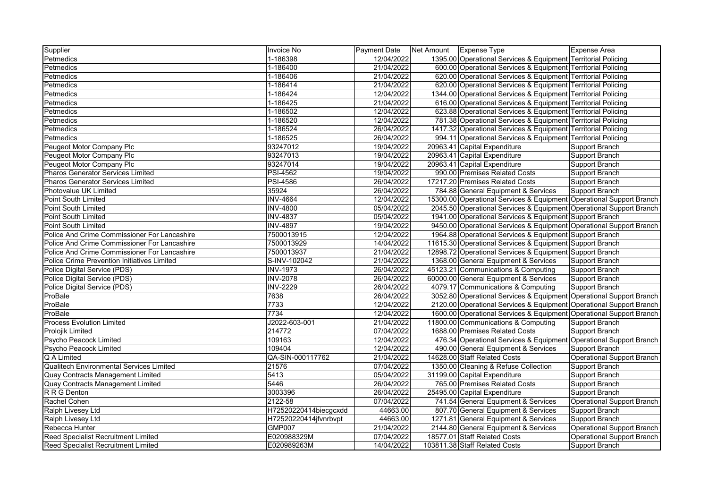| Supplier                                           | Invoice No            | Payment Date | Net Amount   Expense Type                                            | Expense Area                      |
|----------------------------------------------------|-----------------------|--------------|----------------------------------------------------------------------|-----------------------------------|
| Petmedics                                          | 1-186398              | 12/04/2022   | 1395.00 Operational Services & Equipment Territorial Policing        |                                   |
| Petmedics                                          | 1-186400              | 21/04/2022   | 600.00 Operational Services & Equipment Territorial Policing         |                                   |
| Petmedics                                          | 1-186406              | 21/04/2022   | 620.00 Operational Services & Equipment Territorial Policing         |                                   |
| Petmedics                                          | 1-186414              | 21/04/2022   | 620.00 Operational Services & Equipment Territorial Policing         |                                   |
| Petmedics                                          | 1-186424              | 12/04/2022   | 1344.00 Operational Services & Equipment Territorial Policing        |                                   |
| Petmedics                                          | 1-186425              | 21/04/2022   | 616.00 Operational Services & Equipment Territorial Policing         |                                   |
| Petmedics                                          | 1-186502              | 12/04/2022   | 623.88 Operational Services & Equipment Territorial Policing         |                                   |
| Petmedics                                          | 1-186520              | 12/04/2022   | 781.38 Operational Services & Equipment Territorial Policing         |                                   |
| Petmedics                                          | 1-186524              | 26/04/2022   | 1417.32 Operational Services & Equipment Territorial Policing        |                                   |
| Petmedics                                          | 1-186525              | 26/04/2022   | 994.11 Operational Services & Equipment Territorial Policing         |                                   |
| Peugeot Motor Company Plc                          | 93247012              | 19/04/2022   | 20963.41 Capital Expenditure                                         | Support Branch                    |
| Peugeot Motor Company Plc                          | 93247013              | 19/04/2022   | 20963.41 Capital Expenditure                                         | <b>Support Branch</b>             |
| Peugeot Motor Company Plc                          | 93247014              | 19/04/2022   | 20963.41 Capital Expenditure                                         | Support Branch                    |
| <b>Pharos Generator Services Limited</b>           | <b>PSI-4562</b>       | 19/04/2022   | 990.00 Premises Related Costs                                        | Support Branch                    |
| <b>Pharos Generator Services Limited</b>           | <b>PSI-4586</b>       | 26/04/2022   | 17217.20 Premises Related Costs                                      | Support Branch                    |
| Photovalue UK Limited                              | 35924                 | 26/04/2022   | 784.88 General Equipment & Services                                  | Support Branch                    |
| <b>Point South Limited</b>                         | <b>INV-4664</b>       | 12/04/2022   | 15300.00 Operational Services & Equipment Operational Support Branch |                                   |
| Point South Limited                                | <b>INV-4800</b>       | 05/04/2022   | 2045.50 Operational Services & Equipment Operational Support Branch  |                                   |
| Point South Limited                                | <b>INV-4837</b>       | 05/04/2022   | 1941.00 Operational Services & Equipment Support Branch              |                                   |
| Point South Limited                                | <b>INV-4897</b>       | 19/04/2022   | 9450.00 Operational Services & Equipment Operational Support Branch  |                                   |
| Police And Crime Commissioner For Lancashire       | 7500013915            | 12/04/2022   | 1964.88 Operational Services & Equipment Support Branch              |                                   |
| Police And Crime Commissioner For Lancashire       | 7500013929            | 14/04/2022   | 11615.30 Operational Services & Equipment Support Branch             |                                   |
| Police And Crime Commissioner For Lancashire       | 7500013937            | 21/04/2022   | 12898.72 Operational Services & Equipment Support Branch             |                                   |
| <b>Police Crime Prevention Initiatives Limited</b> | S-INV-102042          | 21/04/2022   | 1368.00 General Equipment & Services                                 | Support Branch                    |
| Police Digital Service (PDS)                       | <b>INV-1973</b>       | 26/04/2022   | 45123.21 Communications & Computing                                  | Support Branch                    |
| Police Digital Service (PDS)                       | <b>INV-2078</b>       | 26/04/2022   | 60000.00 General Equipment & Services                                | Support Branch                    |
| Police Digital Service (PDS)                       | <b>INV-2229</b>       | 26/04/2022   | 4079.17 Communications & Computing                                   | Support Branch                    |
| ProBale                                            | 7638                  | 26/04/2022   | 3052.80 Operational Services & Equipment Operational Support Branch  |                                   |
| ProBale                                            | 7733                  | 12/04/2022   | 2120.00 Operational Services & Equipment Operational Support Branch  |                                   |
| ProBale                                            | 7734                  | 12/04/2022   | 1600.00 Operational Services & Equipment Operational Support Branch  |                                   |
| <b>Process Evolution Limited</b>                   | J2022-603-001         | 21/04/2022   | 11800.00 Communications & Computing                                  | Support Branch                    |
| <b>Prolojik Limited</b>                            | 214772                | 07/04/2022   | 1688.00 Premises Related Costs                                       | Support Branch                    |
| Psycho Peacock Limited                             | 109163                | 12/04/2022   | 476.34 Operational Services & Equipment Operational Support Branch   |                                   |
| Psycho Peacock Limited                             | 109404                | 12/04/2022   | 490.00 General Equipment & Services                                  | Support Branch                    |
| Q A Limited                                        | QA-SIN-000117762      | 21/04/2022   | 14628.00 Staff Related Costs                                         | Operational Support Branch        |
| Qualitech Environmental Services Limited           | 21576                 | 07/04/2022   | 1350.00 Cleaning & Refuse Collection                                 | Support Branch                    |
| Quay Contracts Management Limited                  | 5413                  | 05/04/2022   | 31199.00 Capital Expenditure                                         | Support Branch                    |
| Quay Contracts Management Limited                  | 5446                  | 26/04/2022   | 765.00 Premises Related Costs                                        | Support Branch                    |
| R R G Denton                                       | 3003396               | 26/04/2022   | 25495.00 Capital Expenditure                                         | Support Branch                    |
| Rachel Cohen                                       | 2122-58               | 07/04/2022   | 741.54 General Equipment & Services                                  | <b>Operational Support Branch</b> |
| Ralph Livesey Ltd                                  | H72520220414biecgcxdd | 44663.00     | 807.70 General Equipment & Services                                  | Support Branch                    |
| Ralph Livesey Ltd                                  | H72520220414jfvnrbvpt | 44663.00     | 1271.81 General Equipment & Services                                 | <b>Support Branch</b>             |
| Rebecca Hunter                                     | <b>GMP007</b>         | 21/04/2022   | 2144.80 General Equipment & Services                                 | Operational Support Branch        |
| <b>Reed Specialist Recruitment Limited</b>         | E020988329M           | 07/04/2022   | 18577.01 Staff Related Costs                                         | <b>Operational Support Branch</b> |
| Reed Specialist Recruitment Limited                | E020989263M           | 14/04/2022   | 103811.38 Staff Related Costs                                        | Support Branch                    |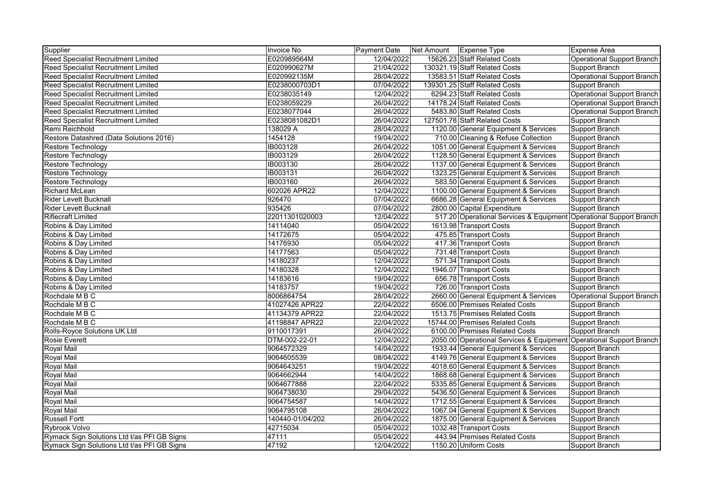| Supplier                                    | Invoice No       | Payment Date | Net Amount | Expense Type                                                        | Expense Area                      |
|---------------------------------------------|------------------|--------------|------------|---------------------------------------------------------------------|-----------------------------------|
| <b>Reed Specialist Recruitment Limited</b>  | E020989564M      | 12/04/2022   |            | 15626.23 Staff Related Costs                                        | Operational Support Branch        |
| <b>Reed Specialist Recruitment Limited</b>  | E020990627M      | 21/04/2022   |            | 130321.19 Staff Related Costs                                       | Support Branch                    |
| <b>Reed Specialist Recruitment Limited</b>  | E020992135M      | 28/04/2022   |            | 13583.51 Staff Related Costs                                        | <b>Operational Support Branch</b> |
| <b>Reed Specialist Recruitment Limited</b>  | E0238000703D1    | 07/04/2022   |            | 139301.25 Staff Related Costs                                       | Support Branch                    |
| Reed Specialist Recruitment Limited         | E0238035149      | 12/04/2022   |            | 6294.23 Staff Related Costs                                         | Operational Support Branch        |
| Reed Specialist Recruitment Limited         | E0238059229      | 26/04/2022   |            | 14178.24 Staff Related Costs                                        | <b>Operational Support Branch</b> |
| <b>Reed Specialist Recruitment Limited</b>  | E0238077044      | 26/04/2022   |            | 5483.80 Staff Related Costs                                         | <b>Operational Support Branch</b> |
| Reed Specialist Recruitment Limited         | E0238081082D1    | 26/04/2022   |            | 127501.78 Staff Related Costs                                       | Support Branch                    |
| Remi Reichhold                              | 138029 A         | 28/04/2022   |            | 1120.00 General Equipment & Services                                | <b>Support Branch</b>             |
| Restore Datashred (Data Solutions 2016)     | 1454128          | 19/04/2022   |            | 710.00 Cleaning & Refuse Collection                                 | Support Branch                    |
| Restore Technology                          | <b>IB003128</b>  | 26/04/2022   |            | 1051.00 General Equipment & Services                                | Support Branch                    |
| Restore Technology                          | IB003129         | 26/04/2022   |            | 1128.50 General Equipment & Services                                | Support Branch                    |
| Restore Technology                          | IB003130         | 26/04/2022   |            | 1137.00 General Equipment & Services                                | Support Branch                    |
| Restore Technology                          | IB003131         | 26/04/2022   |            | 1323.25 General Equipment & Services                                | Support Branch                    |
| Restore Technology                          | IB003160         | 26/04/2022   |            | 583.50 General Equipment & Services                                 | Support Branch                    |
| <b>Richard McLean</b>                       | 602026 APR22     | 12/04/2022   |            | 1100.00 General Equipment & Services                                | Support Branch                    |
| <b>Rider Levett Bucknall</b>                | 926470           | 07/04/2022   |            | 6686.28 General Equipment & Services                                | Support Branch                    |
| <b>Rider Levett Bucknall</b>                | 935426           | 07/04/2022   |            | 2800.00 Capital Expenditure                                         | <b>Support Branch</b>             |
| <b>Riflecraft Limited</b>                   | 22011301020003   | 12/04/2022   |            | 517.20 Operational Services & Equipment Operational Support Branch  |                                   |
| Robins & Day Limited                        | 14114040         | 05/04/2022   |            | 1613.98 Transport Costs                                             | Support Branch                    |
| Robins & Day Limited                        | 14172675         | 05/04/2022   |            | 475.85 Transport Costs                                              | Support Branch                    |
| Robins & Day Limited                        | 14176930         | 05/04/2022   |            | 417.36 Transport Costs                                              | Support Branch                    |
| Robins & Day Limited                        | 14177563         | 05/04/2022   |            | 731.48 Transport Costs                                              | <b>Support Branch</b>             |
| Robins & Day Limited                        | 14180237         | 12/04/2022   |            | 571.34 Transport Costs                                              | Support Branch                    |
| Robins & Day Limited                        | 14180328         | 12/04/2022   |            | 1946.07 Transport Costs                                             | Support Branch                    |
| Robins & Day Limited                        | 14183616         | 19/04/2022   |            | 656.78 Transport Costs                                              | Support Branch                    |
| Robins & Day Limited                        | 14183757         | 19/04/2022   |            | 726.00 Transport Costs                                              | Support Branch                    |
| Rochdale M B C                              | 8006864754       | 28/04/2022   |            | 2660.00 General Equipment & Services                                | <b>Operational Support Branch</b> |
| Rochdale M B C                              | 41027426 APR22   | 22/04/2022   |            | 6506.00 Premises Related Costs                                      | Support Branch                    |
| Rochdale M B C                              | 41134379 APR22   | 22/04/2022   |            | 1513.75 Premises Related Costs                                      | <b>Support Branch</b>             |
| Rochdale M B C                              | 41198847 APR22   | 22/04/2022   |            | 15744.00 Premises Related Costs                                     | <b>Support Branch</b>             |
| Rolls-Royce Solutions UK Ltd                | 9110017391       | 26/04/2022   |            | 6100.00 Premises Related Costs                                      | Support Branch                    |
| <b>Rosie Everett</b>                        | DTM-002-22-01    | 12/04/2022   |            | 2050.00 Operational Services & Equipment Operational Support Branch |                                   |
| Royal Mail                                  | 9064572329       | 14/04/2022   |            | 1933.44 General Equipment & Services                                | Support Branch                    |
| Royal Mail                                  | 9064605539       | 08/04/2022   |            | 4149.76 General Equipment & Services                                | Support Branch                    |
| <b>Royal Mail</b>                           | 9064643251       | 19/04/2022   |            | 4018.60 General Equipment & Services                                | Support Branch                    |
| <b>Royal Mail</b>                           | 9064662944       | 14/04/2022   |            | 1868.68 General Equipment & Services                                | Support Branch                    |
| <b>Royal Mail</b>                           | 9064677888       | 22/04/2022   |            | 5335.85 General Equipment & Services                                | Support Branch                    |
| Royal Mail                                  | 9064738030       | 29/04/2022   |            | 5436.50 General Equipment & Services                                | Support Branch                    |
| <b>Royal Mail</b>                           | 9064754587       | 14/04/2022   |            | 1712.55 General Equipment & Services                                | Support Branch                    |
| <b>Royal Mail</b>                           | 9064795108       | 26/04/2022   |            | 1067.04 General Equipment & Services                                | Support Branch                    |
| <b>Russell Fortt</b>                        | 140440-01/04/202 | 26/04/2022   |            | 1875.00 General Equipment & Services                                | Support Branch                    |
| Rybrook Volvo                               | 42715034         | 05/04/2022   |            | 1032.48 Transport Costs                                             | Support Branch                    |
| Rymack Sign Solutions Ltd t/as PFI GB Signs | 47111            | 05/04/2022   |            | 443.94 Premises Related Costs                                       | Support Branch                    |
| Rymack Sign Solutions Ltd t/as PFI GB Signs | 47192            | 12/04/2022   |            | 1150.20 Uniform Costs                                               | Support Branch                    |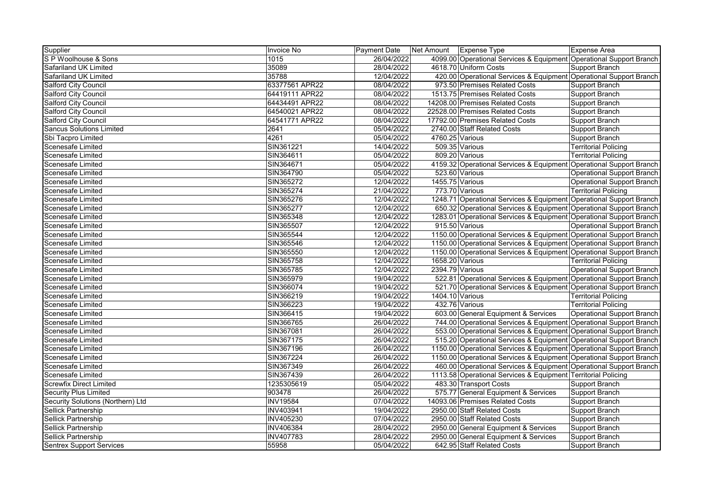| Supplier                          | Invoice No       | Payment Date | Net Amount      | Expense Type                                                        | Expense Area                      |
|-----------------------------------|------------------|--------------|-----------------|---------------------------------------------------------------------|-----------------------------------|
| S P Woolhouse & Sons              | 1015             | 26/04/2022   |                 | 4099.00 Operational Services & Equipment Operational Support Branch |                                   |
| Safariland UK Limited             | 35089            | 28/04/2022   |                 | 4618.70 Uniform Costs                                               | <b>Support Branch</b>             |
| Safariland UK Limited             | 35788            | 12/04/2022   |                 | 420.00 Operational Services & Equipment Operational Support Branch  |                                   |
| <b>Salford City Council</b>       | 63377561 APR22   | 08/04/2022   |                 | 973.50 Premises Related Costs                                       | Support Branch                    |
| <b>Salford City Council</b>       | 64419111 APR22   | 08/04/2022   |                 | 1513.75 Premises Related Costs                                      | Support Branch                    |
| <b>Salford City Council</b>       | 64434491 APR22   | 08/04/2022   |                 | 14208.00 Premises Related Costs                                     | Support Branch                    |
| Salford City Council              | 64540021 APR22   | 08/04/2022   |                 | 22528.00 Premises Related Costs                                     | Support Branch                    |
| <b>Salford City Council</b>       | 64541771 APR22   | 08/04/2022   |                 | 17792.00 Premises Related Costs                                     | Support Branch                    |
| <b>Sancus Solutions Limited</b>   | 2641             | 05/04/2022   |                 | 2740.00 Staff Related Costs                                         | Support Branch                    |
| Sbi Tacpro Limited                | 4261             | 05/04/2022   | 4760.25 Various |                                                                     | <b>Support Branch</b>             |
| <b>Scenesafe Limited</b>          | SIN361221        | 14/04/2022   |                 | 509.35 Various                                                      | <b>Territorial Policing</b>       |
| Scenesafe Limited                 | SIN364611        | 05/04/2022   |                 | 809.20 Various                                                      | <b>Territorial Policing</b>       |
| Scenesafe Limited                 | SIN364671        | 05/04/2022   |                 | 4159.32 Operational Services & Equipment Operational Support Branch |                                   |
| Scenesafe Limited                 | SIN364790        | 05/04/2022   |                 | 523.60 Various                                                      | <b>Operational Support Branch</b> |
| Scenesafe Limited                 | SIN365272        | 12/04/2022   | 1455.75 Various |                                                                     | Operational Support Branch        |
| <b>Scenesafe Limited</b>          | SIN365274        | 21/04/2022   |                 | 773.70 Various                                                      | <b>Territorial Policing</b>       |
| Scenesafe Limited                 | SIN365276        | 12/04/2022   |                 | 1248.71 Operational Services & Equipment Operational Support Branch |                                   |
| <b>Scenesafe Limited</b>          | SIN365277        | 12/04/2022   |                 | 650.32 Operational Services & Equipment Operational Support Branch  |                                   |
| Scenesafe Limited                 | SIN365348        | 12/04/2022   |                 | 1283.01 Operational Services & Equipment Operational Support Branch |                                   |
| Scenesafe Limited                 | SIN365507        | 12/04/2022   |                 | 915.50 Various                                                      | <b>Operational Support Branch</b> |
| Scenesafe Limited                 | SIN365544        | 12/04/2022   |                 | 1150.00 Operational Services & Equipment Operational Support Branch |                                   |
| Scenesafe Limited                 | SIN365546        | 12/04/2022   |                 | 1150.00 Operational Services & Equipment Operational Support Branch |                                   |
| Scenesafe Limited                 | SIN365550        | 12/04/2022   |                 | 1150.00 Operational Services & Equipment Operational Support Branch |                                   |
| Scenesafe Limited                 | SIN365758        | 12/04/2022   | 1658.20 Various |                                                                     | <b>Territorial Policing</b>       |
| Scenesafe Limited                 | SIN365785        | 12/04/2022   | 2394.79 Various |                                                                     | <b>Operational Support Branch</b> |
| <b>Scenesafe Limited</b>          | SIN365979        | 19/04/2022   |                 | 522.81 Operational Services & Equipment Operational Support Branch  |                                   |
| <b>Scenesafe Limited</b>          | SIN366074        | 19/04/2022   |                 | 521.70 Operational Services & Equipment Operational Support Branch  |                                   |
| Scenesafe Limited                 | SIN366219        | 19/04/2022   | 1404.10 Various |                                                                     | <b>Territorial Policing</b>       |
| Scenesafe Limited                 | SIN366223        | 19/04/2022   |                 | 432.76 Various                                                      | <b>Territorial Policing</b>       |
| Scenesafe Limited                 | SIN366415        | 19/04/2022   |                 | 603.00 General Equipment & Services                                 | <b>Operational Support Branch</b> |
| <b>Scenesafe Limited</b>          | SIN366765        | 26/04/2022   |                 | 744.00 Operational Services & Equipment Operational Support Branch  |                                   |
| <b>Scenesafe Limited</b>          | SIN367081        | 26/04/2022   |                 | 553.00 Operational Services & Equipment Operational Support Branch  |                                   |
| <b>Scenesafe Limited</b>          | SIN367175        | 26/04/2022   |                 | 515.20 Operational Services & Equipment Operational Support Branch  |                                   |
| <b>Scenesafe Limited</b>          | SIN367196        | 26/04/2022   |                 | 1150.00 Operational Services & Equipment Operational Support Branch |                                   |
| Scenesafe Limited                 | SIN367224        | 26/04/2022   |                 | 1150.00 Operational Services & Equipment Operational Support Branch |                                   |
| Scenesafe Limited                 | SIN367349        | 26/04/2022   |                 | 460.00 Operational Services & Equipment Operational Support Branch  |                                   |
| Scenesafe Limited                 | SIN367439        | 26/04/2022   |                 | 1113.58 Operational Services & Equipment Territorial Policing       |                                   |
| <b>Screwfix Direct Limited</b>    | 1235305619       | 05/04/2022   |                 | 483.30 Transport Costs                                              | Support Branch                    |
| <b>Security Plus Limited</b>      | 903478           | 26/04/2022   |                 | 575.77 General Equipment & Services                                 | Support Branch                    |
| Security Solutions (Northern) Ltd | <b>INV19584</b>  | 07/04/2022   |                 | 14093.06 Premises Related Costs                                     | Support Branch                    |
| Sellick Partnership               | <b>INV403941</b> | 19/04/2022   |                 | 2950.00 Staff Related Costs                                         | Support Branch                    |
| Sellick Partnership               | <b>INV405230</b> | 07/04/2022   |                 | 2950.00 Staff Related Costs                                         | Support Branch                    |
| Sellick Partnership               | INV406384        | 28/04/2022   |                 | 2950.00 General Equipment & Services                                | <b>Support Branch</b>             |
| <b>Sellick Partnership</b>        | <b>INV407783</b> | 28/04/2022   |                 | 2950.00 General Equipment & Services                                | Support Branch                    |
| <b>Sentrex Support Services</b>   | 55958            | 05/04/2022   |                 | 642.95 Staff Related Costs                                          | Support Branch                    |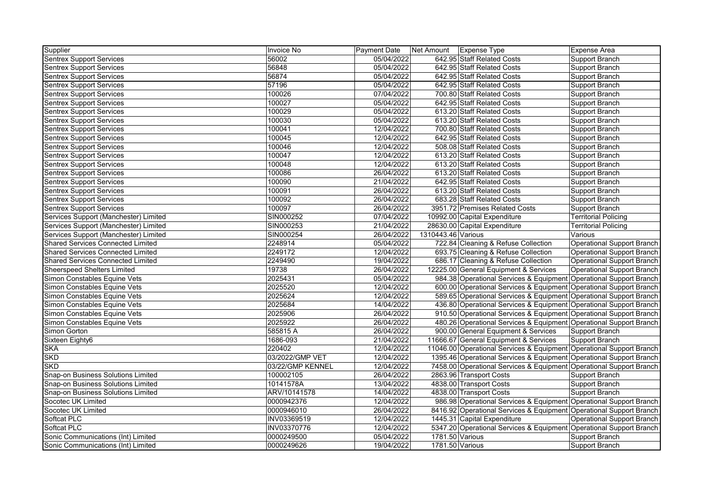| Supplier                                 | Invoice No       | <b>Payment Date</b> | Net Amount   Expense Type |                                                                      | <b>Expense Area</b>               |
|------------------------------------------|------------------|---------------------|---------------------------|----------------------------------------------------------------------|-----------------------------------|
| <b>Sentrex Support Services</b>          | 56002            | 05/04/2022          |                           | 642.95 Staff Related Costs                                           | Support Branch                    |
| <b>Sentrex Support Services</b>          | 56848            | 05/04/2022          |                           | 642.95 Staff Related Costs                                           | Support Branch                    |
| <b>Sentrex Support Services</b>          | 56874            | 05/04/2022          |                           | 642.95 Staff Related Costs                                           | <b>Support Branch</b>             |
| <b>Sentrex Support Services</b>          | 57196            | 05/04/2022          |                           | 642.95 Staff Related Costs                                           | <b>Support Branch</b>             |
| <b>Sentrex Support Services</b>          | 100026           | 07/04/2022          |                           | 700.80 Staff Related Costs                                           | <b>Support Branch</b>             |
| <b>Sentrex Support Services</b>          | 100027           | 05/04/2022          |                           | 642.95 Staff Related Costs                                           | Support Branch                    |
| <b>Sentrex Support Services</b>          | 100029           | 05/04/2022          |                           | 613.20 Staff Related Costs                                           | Support Branch                    |
| <b>Sentrex Support Services</b>          | 100030           | 05/04/2022          |                           | 613.20 Staff Related Costs                                           | Support Branch                    |
| <b>Sentrex Support Services</b>          | 100041           | 12/04/2022          |                           | 700.80 Staff Related Costs                                           | Support Branch                    |
| <b>Sentrex Support Services</b>          | 100045           | 12/04/2022          |                           | 642.95 Staff Related Costs                                           | Support Branch                    |
| <b>Sentrex Support Services</b>          | 100046           | 12/04/2022          |                           | 508.08 Staff Related Costs                                           | <b>Support Branch</b>             |
| <b>Sentrex Support Services</b>          | 100047           | 12/04/2022          |                           | 613.20 Staff Related Costs                                           | <b>Support Branch</b>             |
| <b>Sentrex Support Services</b>          | 100048           | 12/04/2022          |                           | 613.20 Staff Related Costs                                           | Support Branch                    |
| <b>Sentrex Support Services</b>          | 100086           | 26/04/2022          |                           | 613.20 Staff Related Costs                                           | Support Branch                    |
| <b>Sentrex Support Services</b>          | 100090           | 21/04/2022          |                           | 642.95 Staff Related Costs                                           | Support Branch                    |
| <b>Sentrex Support Services</b>          | 100091           | 26/04/2022          |                           | 613.20 Staff Related Costs                                           | <b>Support Branch</b>             |
| <b>Sentrex Support Services</b>          | 100092           | 26/04/2022          |                           | 683.28 Staff Related Costs                                           | <b>Support Branch</b>             |
| <b>Sentrex Support Services</b>          | 100097           | 26/04/2022          |                           | 3951.72 Premises Related Costs                                       | <b>Support Branch</b>             |
| Services Support (Manchester) Limited    | SIN000252        | 07/04/2022          |                           | 10992.00 Capital Expenditure                                         | <b>Territorial Policing</b>       |
| Services Support (Manchester) Limited    | SIN000253        | 21/04/2022          |                           | 28630.00 Capital Expenditure                                         | <b>Territorial Policing</b>       |
| Services Support (Manchester) Limited    | SIN000254        | 26/04/2022          | 1310443.46 Various        |                                                                      | Various                           |
| <b>Shared Services Connected Limited</b> | 2248914          | 05/04/2022          |                           | 722.84 Cleaning & Refuse Collection                                  | <b>Operational Support Branch</b> |
| <b>Shared Services Connected Limited</b> | 2249172          | 12/04/2022          |                           | 693.75 Cleaning & Refuse Collection                                  | <b>Operational Support Branch</b> |
| <b>Shared Services Connected Limited</b> | 2249490          | 19/04/2022          |                           | 686.17 Cleaning & Refuse Collection                                  | Operational Support Branch        |
| <b>Sheerspeed Shelters Limited</b>       | 19738            | 26/04/2022          |                           | 12225.00 General Equipment & Services                                | <b>Operational Support Branch</b> |
| Simon Constables Equine Vets             | 2025431          | 05/04/2022          |                           | 984.38 Operational Services & Equipment Operational Support Branch   |                                   |
| Simon Constables Equine Vets             | 2025520          | 12/04/2022          |                           | 600.00 Operational Services & Equipment Operational Support Branch   |                                   |
| Simon Constables Equine Vets             | 2025624          | 12/04/2022          |                           | 589.65 Operational Services & Equipment Operational Support Branch   |                                   |
| Simon Constables Equine Vets             | 2025684          | 14/04/2022          |                           | 436.80 Operational Services & Equipment Operational Support Branch   |                                   |
| Simon Constables Equine Vets             | 2025906          | 26/04/2022          |                           | 910.50 Operational Services & Equipment Operational Support Branch   |                                   |
| Simon Constables Equine Vets             | 2025922          | 26/04/2022          |                           | 480.26 Operational Services & Equipment Operational Support Branch   |                                   |
| Simon Gorton                             | 585815 A         | 26/04/2022          |                           | 900.00 General Equipment & Services                                  | <b>Support Branch</b>             |
| Sixteen Eighty6                          | 1686-093         | 21/04/2022          |                           | 11666.67 General Equipment & Services                                | Support Branch                    |
| <b>SKA</b>                               | 220402           | 12/04/2022          |                           | 11046.00 Operational Services & Equipment Operational Support Branch |                                   |
| <b>SKD</b>                               | 03/2022/GMP VET  | 12/04/2022          |                           | 1395.46 Operational Services & Equipment Operational Support Branch  |                                   |
| <b>SKD</b>                               | 03/22/GMP KENNEL | 12/04/2022          |                           | 7458.00 Operational Services & Equipment Operational Support Branch  |                                   |
| Snap-on Business Solutions Limited       | 100002105        | 26/04/2022          |                           | 2863.96 Transport Costs                                              | <b>Support Branch</b>             |
| Snap-on Business Solutions Limited       | 10141578A        | 13/04/2022          |                           | 4838.00 Transport Costs                                              | <b>Support Branch</b>             |
| Snap-on Business Solutions Limited       | ARV/10141578     | 14/04/2022          |                           | 4838.00 Transport Costs                                              | <b>Support Branch</b>             |
| Socotec UK Limited                       | 0000942376       | 12/04/2022          |                           | 986.98 Operational Services & Equipment Operational Support Branch   |                                   |
| Socotec UK Limited                       | 0000946010       | 26/04/2022          |                           | 8416.92 Operational Services & Equipment Operational Support Branch  |                                   |
| Softcat PLC                              | INV03369519      | 12/04/2022          |                           | 1445.31 Capital Expenditure                                          | <b>Operational Support Branch</b> |
| Softcat PLC                              | INV03370776      | 12/04/2022          |                           | 5347.20 Operational Services & Equipment Operational Support Branch  |                                   |
| Sonic Communications (Int) Limited       | 0000249500       | 05/04/2022          | 1781.50 Various           |                                                                      | Support Branch                    |
| Sonic Communications (Int) Limited       | 0000249626       | 19/04/2022          | 1781.50 Various           |                                                                      | <b>Support Branch</b>             |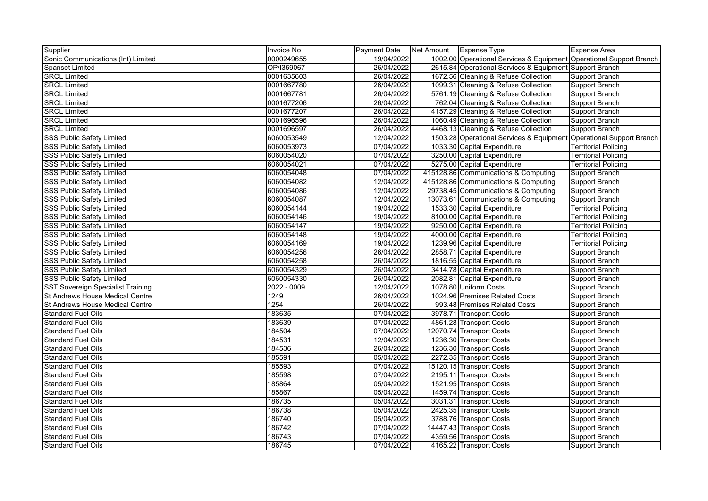| Supplier                                 | <b>Invoice No</b> | Payment Date | Net Amount | <b>Expense Type</b>                                                 | Expense Area                |
|------------------------------------------|-------------------|--------------|------------|---------------------------------------------------------------------|-----------------------------|
| Sonic Communications (Int) Limited       | 0000249655        | 19/04/2022   |            | 1002.00 Operational Services & Equipment Operational Support Branch |                             |
| Spanset Limited                          | OP/I359067        | 26/04/2022   |            | 2615.84 Operational Services & Equipment Support Branch             |                             |
| <b>SRCL Limited</b>                      | 0001635603        | 26/04/2022   |            | 1672.56 Cleaning & Refuse Collection                                | Support Branch              |
| <b>SRCL Limited</b>                      | 0001667780        | 26/04/2022   |            | 1099.31 Cleaning & Refuse Collection                                | Support Branch              |
| <b>SRCL Limited</b>                      | 0001667781        | 26/04/2022   |            | 5761.19 Cleaning & Refuse Collection                                | Support Branch              |
| <b>SRCL Limited</b>                      | 0001677206        | 26/04/2022   |            | 762.04 Cleaning & Refuse Collection                                 | Support Branch              |
| <b>SRCL Limited</b>                      | 0001677207        | 26/04/2022   |            | 4157.29 Cleaning & Refuse Collection                                | Support Branch              |
| <b>SRCL Limited</b>                      | 0001696596        | 26/04/2022   |            | 1060.49 Cleaning & Refuse Collection                                | <b>Support Branch</b>       |
| <b>SRCL Limited</b>                      | 0001696597        | 26/04/2022   |            | 4468.13 Cleaning & Refuse Collection                                | Support Branch              |
| <b>SSS Public Safety Limited</b>         | 6060053549        | 12/04/2022   |            | 1503.28 Operational Services & Equipment Operational Support Branch |                             |
| <b>SSS Public Safety Limited</b>         | 6060053973        | 07/04/2022   |            | 1033.30 Capital Expenditure                                         | <b>Territorial Policing</b> |
| <b>SSS Public Safety Limited</b>         | 6060054020        | 07/04/2022   |            | 3250.00 Capital Expenditure                                         | <b>Territorial Policing</b> |
| <b>SSS Public Safety Limited</b>         | 6060054021        | 07/04/2022   |            | 5275.00 Capital Expenditure                                         | <b>Territorial Policing</b> |
| <b>SSS Public Safety Limited</b>         | 6060054048        | 07/04/2022   |            | 415128.86 Communications & Computing                                | Support Branch              |
| <b>SSS Public Safety Limited</b>         | 6060054082        | 12/04/2022   |            | 415128.86 Communications & Computing                                | Support Branch              |
| SSS Public Safety Limited                | 6060054086        | 12/04/2022   |            | 29738.45 Communications & Computing                                 | Support Branch              |
| <b>SSS Public Safety Limited</b>         | 6060054087        | 12/04/2022   |            | 13073.61 Communications & Computing                                 | Support Branch              |
| <b>SSS Public Safety Limited</b>         | 6060054144        | 19/04/2022   |            | 1533.30 Capital Expenditure                                         | <b>Territorial Policing</b> |
| <b>SSS Public Safety Limited</b>         | 6060054146        | 19/04/2022   |            | 8100.00 Capital Expenditure                                         | <b>Territorial Policing</b> |
| <b>SSS Public Safety Limited</b>         | 6060054147        | 19/04/2022   |            | 9250.00 Capital Expenditure                                         | <b>Territorial Policing</b> |
| <b>SSS Public Safety Limited</b>         | 6060054148        | 19/04/2022   |            | 4000.00 Capital Expenditure                                         | <b>Territorial Policing</b> |
| <b>SSS Public Safety Limited</b>         | 6060054169        | 19/04/2022   |            | 1239.96 Capital Expenditure                                         | <b>Territorial Policing</b> |
| <b>SSS Public Safety Limited</b>         | 6060054256        | 26/04/2022   |            | 2858.71 Capital Expenditure                                         | Support Branch              |
| <b>SSS Public Safety Limited</b>         | 6060054258        | 26/04/2022   |            | 1816.55 Capital Expenditure                                         | Support Branch              |
| <b>SSS Public Safety Limited</b>         | 6060054329        | 26/04/2022   |            | 3414.78 Capital Expenditure                                         | Support Branch              |
| <b>SSS Public Safety Limited</b>         | 6060054330        | 26/04/2022   |            | 2082.81 Capital Expenditure                                         | Support Branch              |
| <b>SST Sovereign Specialist Training</b> | $2022 - 0009$     | 12/04/2022   |            | 1078.80 Uniform Costs                                               | Support Branch              |
| St Andrews House Medical Centre          | 1249              | 26/04/2022   |            | 1024.96 Premises Related Costs                                      | Support Branch              |
| <b>St Andrews House Medical Centre</b>   | 1254              | 26/04/2022   |            | 993.48 Premises Related Costs                                       | Support Branch              |
| <b>Standard Fuel Oils</b>                | 183635            | 07/04/2022   |            | 3978.71 Transport Costs                                             | Support Branch              |
| <b>Standard Fuel Oils</b>                | 183639            | 07/04/2022   |            | 4861.28 Transport Costs                                             | Support Branch              |
| <b>Standard Fuel Oils</b>                | 184504            | 07/04/2022   |            | 12070.74 Transport Costs                                            | Support Branch              |
| <b>Standard Fuel Oils</b>                | 184531            | 12/04/2022   |            | 1236.30 Transport Costs                                             | Support Branch              |
| <b>Standard Fuel Oils</b>                | 184536            | 26/04/2022   |            | 1236.30 Transport Costs                                             | Support Branch              |
| <b>Standard Fuel Oils</b>                | 185591            | 05/04/2022   |            | 2272.35 Transport Costs                                             | Support Branch              |
| <b>Standard Fuel Oils</b>                | 185593            | 07/04/2022   |            | 15120.15 Transport Costs                                            | Support Branch              |
| <b>Standard Fuel Oils</b>                | 185598            | 07/04/2022   |            | 2195.11 Transport Costs                                             | Support Branch              |
| <b>Standard Fuel Oils</b>                | 185864            | 05/04/2022   |            | 1521.95 Transport Costs                                             | Support Branch              |
| <b>Standard Fuel Oils</b>                | 185867            | 05/04/2022   |            | 1459.74 Transport Costs                                             | Support Branch              |
| <b>Standard Fuel Oils</b>                | 186735            | 05/04/2022   |            | 3031.31 Transport Costs                                             | Support Branch              |
| <b>Standard Fuel Oils</b>                | 186738            | 05/04/2022   |            | 2425.35 Transport Costs                                             | Support Branch              |
| <b>Standard Fuel Oils</b>                | 186740            | 05/04/2022   |            | 3788.76 Transport Costs                                             | Support Branch              |
| <b>Standard Fuel Oils</b>                | 186742            | 07/04/2022   |            | 14447.43 Transport Costs                                            | Support Branch              |
| <b>Standard Fuel Oils</b>                | 186743            | 07/04/2022   |            | 4359.56 Transport Costs                                             | Support Branch              |
| <b>Standard Fuel Oils</b>                | 186745            | 07/04/2022   |            | 4165.22 Transport Costs                                             | Support Branch              |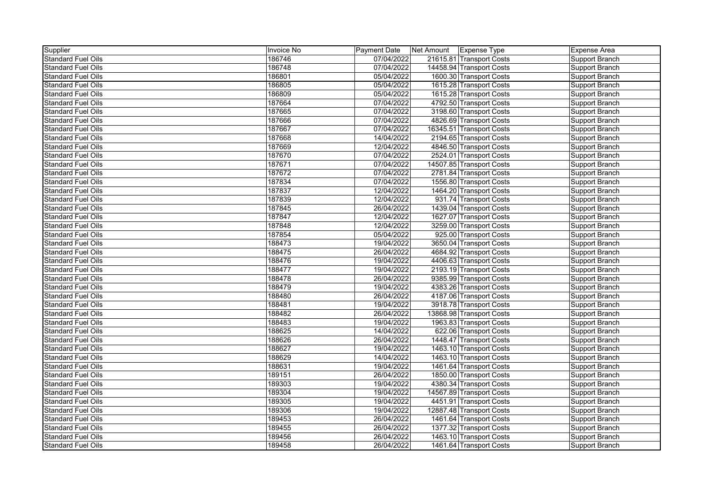| Supplier                  | Invoice No | Payment Date | Net Amount | Expense Type             | Expense Area   |
|---------------------------|------------|--------------|------------|--------------------------|----------------|
| <b>Standard Fuel Oils</b> | 186746     | 07/04/2022   |            | 21615.81 Transport Costs | Support Branch |
| <b>Standard Fuel Oils</b> | 186748     | 07/04/2022   |            | 14458.94 Transport Costs | Support Branch |
| <b>Standard Fuel Oils</b> | 186801     | 05/04/2022   |            | 1600.30 Transport Costs  | Support Branch |
| <b>Standard Fuel Oils</b> | 186805     | 05/04/2022   |            | 1615.28 Transport Costs  | Support Branch |
| <b>Standard Fuel Oils</b> | 186809     | 05/04/2022   |            | 1615.28 Transport Costs  | Support Branch |
| <b>Standard Fuel Oils</b> | 187664     | 07/04/2022   |            | 4792.50 Transport Costs  | Support Branch |
| <b>Standard Fuel Oils</b> | 187665     | 07/04/2022   |            | 3198.60 Transport Costs  | Support Branch |
| <b>Standard Fuel Oils</b> | 187666     | 07/04/2022   |            | 4826.69 Transport Costs  | Support Branch |
| <b>Standard Fuel Oils</b> | 187667     | 07/04/2022   |            | 16345.51 Transport Costs | Support Branch |
| <b>Standard Fuel Oils</b> | 187668     | 14/04/2022   |            | 2194.65 Transport Costs  | Support Branch |
| <b>Standard Fuel Oils</b> | 187669     | 12/04/2022   |            | 4846.50 Transport Costs  | Support Branch |
| <b>Standard Fuel Oils</b> | 187670     | 07/04/2022   |            | 2524.01 Transport Costs  | Support Branch |
| <b>Standard Fuel Oils</b> | 187671     | 07/04/2022   |            | 14507.85 Transport Costs | Support Branch |
| <b>Standard Fuel Oils</b> | 187672     | 07/04/2022   |            | 2781.84 Transport Costs  | Support Branch |
| <b>Standard Fuel Oils</b> | 187834     | 07/04/2022   |            | 1556.80 Transport Costs  | Support Branch |
| <b>Standard Fuel Oils</b> | 187837     | 12/04/2022   |            | 1464.20 Transport Costs  | Support Branch |
| <b>Standard Fuel Oils</b> | 187839     | 12/04/2022   |            | 931.74 Transport Costs   | Support Branch |
| <b>Standard Fuel Oils</b> | 187845     | 26/04/2022   |            | 1439.04 Transport Costs  | Support Branch |
| <b>Standard Fuel Oils</b> | 187847     | 12/04/2022   |            | 1627.07 Transport Costs  | Support Branch |
| <b>Standard Fuel Oils</b> | 187848     | 12/04/2022   |            | 3259.00 Transport Costs  | Support Branch |
| <b>Standard Fuel Oils</b> | 187854     | 05/04/2022   |            | 925.00 Transport Costs   | Support Branch |
| <b>Standard Fuel Oils</b> | 188473     | 19/04/2022   |            | 3650.04 Transport Costs  | Support Branch |
| <b>Standard Fuel Oils</b> | 188475     | 26/04/2022   |            | 4684.92 Transport Costs  | Support Branch |
| <b>Standard Fuel Oils</b> | 188476     | 19/04/2022   |            | 4406.63 Transport Costs  | Support Branch |
| <b>Standard Fuel Oils</b> | 188477     | 19/04/2022   |            | 2193.19 Transport Costs  | Support Branch |
| <b>Standard Fuel Oils</b> | 188478     | 26/04/2022   |            | 9385.99 Transport Costs  | Support Branch |
| <b>Standard Fuel Oils</b> | 188479     | 19/04/2022   |            | 4383.26 Transport Costs  | Support Branch |
| <b>Standard Fuel Oils</b> | 188480     | 26/04/2022   |            | 4187.06 Transport Costs  | Support Branch |
| <b>Standard Fuel Oils</b> | 188481     | 19/04/2022   |            | 3918.78 Transport Costs  | Support Branch |
| <b>Standard Fuel Oils</b> | 188482     | 26/04/2022   |            | 13868.98 Transport Costs | Support Branch |
| <b>Standard Fuel Oils</b> | 188483     | 19/04/2022   |            | 1963.83 Transport Costs  | Support Branch |
| <b>Standard Fuel Oils</b> | 188625     | 14/04/2022   |            | 622.06 Transport Costs   | Support Branch |
| <b>Standard Fuel Oils</b> | 188626     | 26/04/2022   |            | 1448.47 Transport Costs  | Support Branch |
| <b>Standard Fuel Oils</b> | 188627     | 19/04/2022   |            | 1463.10 Transport Costs  | Support Branch |
| <b>Standard Fuel Oils</b> | 188629     | 14/04/2022   |            | 1463.10 Transport Costs  | Support Branch |
| <b>Standard Fuel Oils</b> | 188631     | 19/04/2022   |            | 1461.64 Transport Costs  | Support Branch |
| <b>Standard Fuel Oils</b> | 189151     | 26/04/2022   |            | 1850.00 Transport Costs  | Support Branch |
| <b>Standard Fuel Oils</b> | 189303     | 19/04/2022   |            | 4380.34 Transport Costs  | Support Branch |
| <b>Standard Fuel Oils</b> | 189304     | 19/04/2022   |            | 14567.89 Transport Costs | Support Branch |
| <b>Standard Fuel Oils</b> | 189305     | 19/04/2022   |            | 4451.91 Transport Costs  | Support Branch |
| <b>Standard Fuel Oils</b> | 189306     | 19/04/2022   |            | 12887.48 Transport Costs | Support Branch |
| <b>Standard Fuel Oils</b> | 189453     | 26/04/2022   |            | 1461.64 Transport Costs  | Support Branch |
| <b>Standard Fuel Oils</b> | 189455     | 26/04/2022   |            | 1377.32 Transport Costs  | Support Branch |
| <b>Standard Fuel Oils</b> | 189456     | 26/04/2022   |            | 1463.10 Transport Costs  | Support Branch |
| <b>Standard Fuel Oils</b> | 189458     | 26/04/2022   |            | 1461.64 Transport Costs  | Support Branch |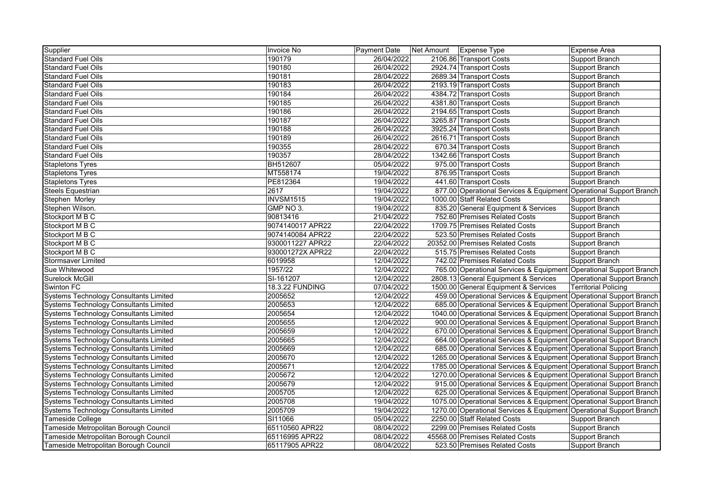| Supplier                                      | Invoice No             | Payment Date | Net Amount | Expense Type                                                        | Expense Area                      |
|-----------------------------------------------|------------------------|--------------|------------|---------------------------------------------------------------------|-----------------------------------|
| <b>Standard Fuel Oils</b>                     | 190179                 | 26/04/2022   |            | 2106.86 Transport Costs                                             | Support Branch                    |
| Standard Fuel Oils                            | 190180                 | 26/04/2022   |            | 2924.74 Transport Costs                                             | Support Branch                    |
| Standard Fuel Oils                            | 190181                 | 28/04/2022   |            | 2689.34 Transport Costs                                             | Support Branch                    |
| Standard Fuel Oils                            | 190183                 | 26/04/2022   |            | 2193.19 Transport Costs                                             | Support Branch                    |
| <b>Standard Fuel Oils</b>                     | 190184                 | 26/04/2022   |            | 4384.72 Transport Costs                                             | Support Branch                    |
| <b>Standard Fuel Oils</b>                     | 190185                 | 26/04/2022   |            | 4381.80 Transport Costs                                             | Support Branch                    |
| <b>Standard Fuel Oils</b>                     | 190186                 | 26/04/2022   |            | 2194.65 Transport Costs                                             | Support Branch                    |
| <b>Standard Fuel Oils</b>                     | 190187                 | 26/04/2022   |            | 3265.87 Transport Costs                                             | Support Branch                    |
| <b>Standard Fuel Oils</b>                     | 190188                 | 26/04/2022   |            | 3925.24 Transport Costs                                             | Support Branch                    |
| <b>Standard Fuel Oils</b>                     | 190189                 | 26/04/2022   |            | 2616.71 Transport Costs                                             | Support Branch                    |
| <b>Standard Fuel Oils</b>                     | 190355                 | 28/04/2022   |            | 670.34 Transport Costs                                              | Support Branch                    |
| <b>Standard Fuel Oils</b>                     | 190357                 | 28/04/2022   |            | 1342.66 Transport Costs                                             | Support Branch                    |
| <b>Stapletons Tyres</b>                       | BH512607               | 05/04/2022   |            | 975.00 Transport Costs                                              | <b>Support Branch</b>             |
| <b>Stapletons Tyres</b>                       | MT558174               | 19/04/2022   |            | 876.95 Transport Costs                                              | Support Branch                    |
| <b>Stapletons Tyres</b>                       | PE812364               | 19/04/2022   |            | 441.60 Transport Costs                                              | Support Branch                    |
| <b>Steels Equestrian</b>                      | 2617                   | 19/04/2022   |            | 877.00 Operational Services & Equipment Operational Support Branch  |                                   |
| Stephen Morley                                | <b>INVSM1515</b>       | 19/04/2022   |            | 1000.00 Staff Related Costs                                         | Support Branch                    |
| Stephen Wilson.                               | GMP NO 3.              | 19/04/2022   |            | 835.20 General Equipment & Services                                 | Support Branch                    |
| Stockport M B C                               | 90813416               | 21/04/2022   |            | 752.60 Premises Related Costs                                       | Support Branch                    |
| Stockport M B C                               | 9074140017 APR22       | 22/04/2022   |            | 1709.75 Premises Related Costs                                      | Support Branch                    |
| Stockport M B C                               | 9074140084 APR22       | 22/04/2022   |            | 523.50 Premises Related Costs                                       | Support Branch                    |
| Stockport M B C                               | 9300011227 APR22       | 22/04/2022   |            | 20352.00 Premises Related Costs                                     | Support Branch                    |
| Stockport M B C                               | 930001272X APR22       | 22/04/2022   |            | 515.75 Premises Related Costs                                       | Support Branch                    |
| <b>Stormsaver Limited</b>                     | 6019958                | 12/04/2022   |            | 742.02 Premises Related Costs                                       | Support Branch                    |
| Sue Whitewood                                 | 1957/22                | 12/04/2022   |            | 765.00 Operational Services & Equipment Operational Support Branch  |                                   |
| Surelock McGill                               | SI-161207              | 12/04/2022   |            | 2808.13 General Equipment & Services                                | <b>Operational Support Branch</b> |
| Swinton FC                                    | <b>18.3.22 FUNDING</b> | 07/04/2022   |            | 1500.00 General Equipment & Services                                | <b>Territorial Policing</b>       |
| Systems Technology Consultants Limited        | 2005652                | 12/04/2022   |            | 459.00 Operational Services & Equipment Operational Support Branch  |                                   |
| Systems Technology Consultants Limited        | 2005653                | 12/04/2022   |            | 685.00 Operational Services & Equipment Operational Support Branch  |                                   |
| <b>Systems Technology Consultants Limited</b> | 2005654                | 12/04/2022   |            | 1040.00 Operational Services & Equipment Operational Support Branch |                                   |
| <b>Systems Technology Consultants Limited</b> | 2005655                | 12/04/2022   |            | 900.00 Operational Services & Equipment Operational Support Branch  |                                   |
| Systems Technology Consultants Limited        | 2005659                | 12/04/2022   |            | 670.00 Operational Services & Equipment Operational Support Branch  |                                   |
| <b>Systems Technology Consultants Limited</b> | 2005665                | 12/04/2022   |            | 664.00 Operational Services & Equipment Operational Support Branch  |                                   |
| <b>Systems Technology Consultants Limited</b> | 2005669                | 12/04/2022   |            | 685.00 Operational Services & Equipment Operational Support Branch  |                                   |
| <b>Systems Technology Consultants Limited</b> | 2005670                | 12/04/2022   |            | 1265.00 Operational Services & Equipment Operational Support Branch |                                   |
| Systems Technology Consultants Limited        | 2005671                | 12/04/2022   |            | 1785.00 Operational Services & Equipment Operational Support Branch |                                   |
| Systems Technology Consultants Limited        | 2005672                | 12/04/2022   |            | 1270.00 Operational Services & Equipment Operational Support Branch |                                   |
| <b>Systems Technology Consultants Limited</b> | 2005679                | 12/04/2022   |            | 915.00 Operational Services & Equipment Operational Support Branch  |                                   |
| <b>Systems Technology Consultants Limited</b> | 2005705                | 12/04/2022   |            | 625.00 Operational Services & Equipment Operational Support Branch  |                                   |
| Systems Technology Consultants Limited        | 2005708                | 19/04/2022   |            | 1075.00 Operational Services & Equipment Operational Support Branch |                                   |
| <b>Systems Technology Consultants Limited</b> | 2005709                | 19/04/2022   |            | 1270.00 Operational Services & Equipment Operational Support Branch |                                   |
| Tameside College                              | SI11066                | 05/04/2022   |            | 2250.00 Staff Related Costs                                         | Support Branch                    |
| Tameside Metropolitan Borough Council         | 65110560 APR22         | 08/04/2022   |            | 2299.00 Premises Related Costs                                      | Support Branch                    |
| Tameside Metropolitan Borough Council         | 65116995 APR22         | 08/04/2022   |            | 45568.00 Premises Related Costs                                     | Support Branch                    |
| Tameside Metropolitan Borough Council         | 65117905 APR22         | 08/04/2022   |            | 523.50 Premises Related Costs                                       | Support Branch                    |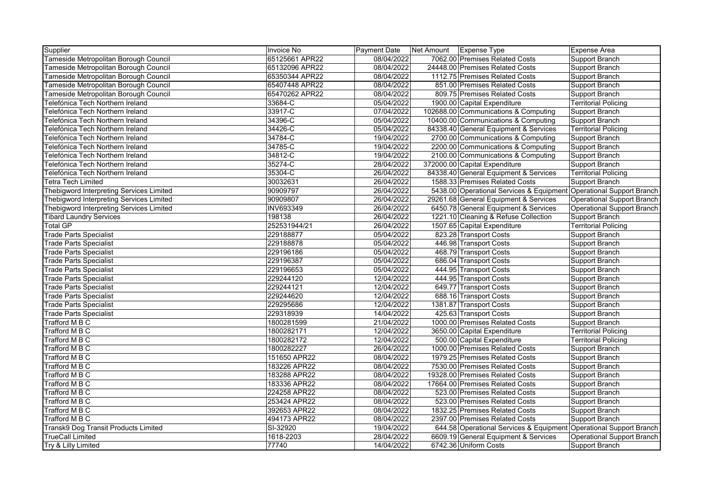| Supplier                                        | <b>Invoice No</b> | Payment Date | Net Amount | Expense Type                                                        | Expense Area                      |
|-------------------------------------------------|-------------------|--------------|------------|---------------------------------------------------------------------|-----------------------------------|
| Tameside Metropolitan Borough Council           | 65125661 APR22    | 08/04/2022   |            | 7062.00 Premises Related Costs                                      | Support Branch                    |
| Tameside Metropolitan Borough Council           | 65132096 APR22    | 08/04/2022   |            | 24448.00 Premises Related Costs                                     | Support Branch                    |
| Tameside Metropolitan Borough Council           | 65350344 APR22    | 08/04/2022   |            | 1112.75 Premises Related Costs                                      | Support Branch                    |
| Tameside Metropolitan Borough Council           | 65407448 APR22    | 08/04/2022   |            | 851.00 Premises Related Costs                                       | Support Branch                    |
| Tameside Metropolitan Borough Council           | 65470262 APR22    | 08/04/2022   |            | 809.75 Premises Related Costs                                       | Support Branch                    |
| Telefónica Tech Northern Ireland                | 33684-C           | 05/04/2022   |            | 1900.00 Capital Expenditure                                         | <b>Territorial Policing</b>       |
| Telefónica Tech Northern Ireland                | 33917-C           | 07/04/2022   |            | 102688.00 Communications & Computing                                | Support Branch                    |
| Telefónica Tech Northern Ireland                | 34396-C           | 05/04/2022   |            | 10400.00 Communications & Computing                                 | Support Branch                    |
| Telefónica Tech Northern Ireland                | 34426-C           | 05/04/2022   |            | 84338.40 General Equipment & Services                               | <b>Territorial Policing</b>       |
| Telefónica Tech Northern Ireland                | 34784-C           | 19/04/2022   |            | 2700.00 Communications & Computing                                  | Support Branch                    |
| Telefónica Tech Northern Ireland                | 34785-C           | 19/04/2022   |            | 2200.00 Communications & Computing                                  | Support Branch                    |
| Telefónica Tech Northern Ireland                | 34812-C           | 19/04/2022   |            | 2100.00 Communications & Computing                                  | Support Branch                    |
| Telefónica Tech Northern Ireland                | 35274-C           | 28/04/2022   |            | 372000.00 Capital Expenditure                                       | Support Branch                    |
| Telefónica Tech Northern Ireland                | 35304-C           | 26/04/2022   |            | 84338.40 General Equipment & Services                               | <b>Territorial Policing</b>       |
| Tetra Tech Limited                              | 30032631          | 26/04/2022   |            | 1588.33 Premises Related Costs                                      | Support Branch                    |
| <b>Thebigword Interpreting Services Limited</b> | 90909797          | 26/04/2022   |            | 5438.00 Operational Services & Equipment Operational Support Branch |                                   |
| Thebigword Interpreting Services Limited        | 90909807          | 26/04/2022   |            | 29261.68 General Equipment & Services                               | <b>Operational Support Branch</b> |
| Thebigword Interpreting Services Limited        | <b>INV693349</b>  | 26/04/2022   |            | 6450.78 General Equipment & Services                                | <b>Operational Support Branch</b> |
| <b>Tibard Laundry Services</b>                  | 198138            | 26/04/2022   |            | 1221.10 Cleaning & Refuse Collection                                | Support Branch                    |
| <b>Total GP</b>                                 | 252531944/21      | 26/04/2022   |            | 1507.65 Capital Expenditure                                         | <b>Territorial Policing</b>       |
| <b>Trade Parts Specialist</b>                   | 229188877         | 05/04/2022   |            | 823.28 Transport Costs                                              | Support Branch                    |
| <b>Trade Parts Specialist</b>                   | 229188878         | 05/04/2022   |            | 446.98 Transport Costs                                              | Support Branch                    |
| <b>Trade Parts Specialist</b>                   | 229196186         | 05/04/2022   |            | 468.79 Transport Costs                                              | Support Branch                    |
| <b>Trade Parts Specialist</b>                   | 229196387         | 05/04/2022   |            | 686.04 Transport Costs                                              | Support Branch                    |
| <b>Trade Parts Specialist</b>                   | 229196653         | 05/04/2022   |            | 444.95 Transport Costs                                              | Support Branch                    |
| <b>Trade Parts Specialist</b>                   | 229244120         | 12/04/2022   |            | 444.95 Transport Costs                                              | Support Branch                    |
| <b>Trade Parts Specialist</b>                   | 229244121         | 12/04/2022   |            | 649.77 Transport Costs                                              | Support Branch                    |
| <b>Trade Parts Specialist</b>                   | 229244620         | 12/04/2022   |            | 688.16 Transport Costs                                              | Support Branch                    |
| <b>Trade Parts Specialist</b>                   | 229295686         | 12/04/2022   |            | 1381.87 Transport Costs                                             | Support Branch                    |
| <b>Trade Parts Specialist</b>                   | 229318939         | 14/04/2022   |            | 425.63 Transport Costs                                              | Support Branch                    |
| Trafford M B C                                  | 1800281599        | 21/04/2022   |            | 1000.00 Premises Related Costs                                      | Support Branch                    |
| Trafford M B C                                  | 1800282171        | 12/04/2022   |            | 3650.00 Capital Expenditure                                         | <b>Territorial Policing</b>       |
| Trafford M B C                                  | 1800282172        | 12/04/2022   |            | 500.00 Capital Expenditure                                          | <b>Territorial Policing</b>       |
| Trafford M B C                                  | 1800282227        | 26/04/2022   |            | 1000.00 Premises Related Costs                                      | Support Branch                    |
| Trafford M B C                                  | 151650 APR22      | 08/04/2022   |            | 1979.25 Premises Related Costs                                      | Support Branch                    |
| Trafford M B C                                  | 183226 APR22      | 08/04/2022   |            | 7530.00 Premises Related Costs                                      | Support Branch                    |
| Trafford M B C                                  | 183288 APR22      | 08/04/2022   |            | 19328.00 Premises Related Costs                                     | <b>Support Branch</b>             |
| Trafford M B C                                  | 183336 APR22      | 08/04/2022   |            | 17664.00 Premises Related Costs                                     | Support Branch                    |
| Trafford M B C                                  | 224258 APR22      | 08/04/2022   |            | 523.00 Premises Related Costs                                       | Support Branch                    |
| Trafford M B C                                  | 253424 APR22      | 08/04/2022   |            | 523.00 Premises Related Costs                                       | Support Branch                    |
| Trafford M B C                                  | 392653 APR22      | 08/04/2022   |            | 1832.25 Premises Related Costs                                      | Support Branch                    |
| Trafford M B C                                  | 494173 APR22      | 08/04/2022   |            | 2397.00 Premises Related Costs                                      | Support Branch                    |
| Transk9 Dog Transit Products Limited            | SI-32920          | 19/04/2022   |            | 644.58 Operational Services & Equipment Operational Support Branch  |                                   |
| <b>TrueCall Limited</b>                         | 1618-2203         | 28/04/2022   |            | 6609.19 General Equipment & Services                                | <b>Operational Support Branch</b> |
| Try & Lilly Limited                             | 77740             | 14/04/2022   |            | 6742.36 Uniform Costs                                               | Support Branch                    |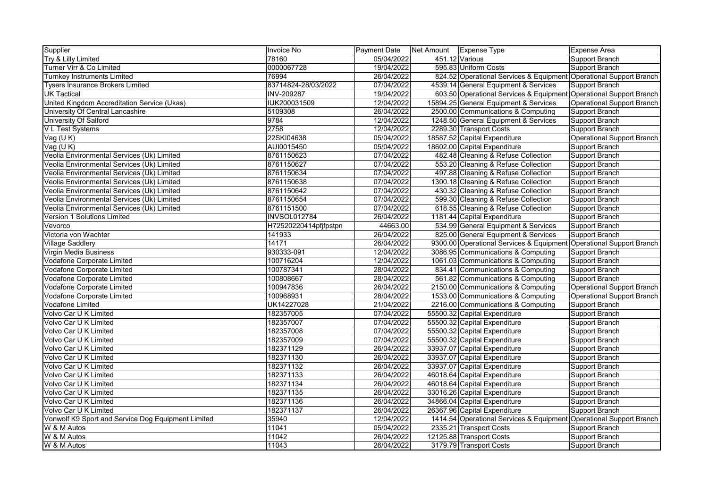| Supplier                                           | <b>Invoice No</b>     | Payment Date | Net Amount | Expense Type                                                        | Expense Area               |
|----------------------------------------------------|-----------------------|--------------|------------|---------------------------------------------------------------------|----------------------------|
| Try & Lilly Limited                                | 78160                 | 05/04/2022   |            | 451.12 Various                                                      | Support Branch             |
| Turner Virr & Co Limited                           | 0000067728            | 19/04/2022   |            | 595.83 Uniform Costs                                                | Support Branch             |
| Turnkey Instruments Limited                        | 76994                 | 26/04/2022   |            | 824.52 Operational Services & Equipment Operational Support Branch  |                            |
| <b>Tysers Insurance Brokers Limited</b>            | 83714824-28/03/2022   | 07/04/2022   |            | 4539.14 General Equipment & Services                                | Support Branch             |
| <b>UK Tactical</b>                                 | <b>INV-209287</b>     | 19/04/2022   |            | 603.50 Operational Services & Equipment Operational Support Branch  |                            |
| United Kingdom Accreditation Service (Ukas)        | IUK200031509          | 12/04/2022   |            | 15894.25 General Equipment & Services                               | Operational Support Branch |
| University Of Central Lancashire                   | 5109308               | 26/04/2022   |            | 2500.00 Communications & Computing                                  | Support Branch             |
| University Of Salford                              | 9784                  | 12/04/2022   |            | 1248.50 General Equipment & Services                                | Support Branch             |
| V L Test Systems                                   | 2758                  | 12/04/2022   |            | 2289.30 Transport Costs                                             | Support Branch             |
| Vag (UK)                                           | 22SKI04638            | 05/04/2022   |            | 18587.52 Capital Expenditure                                        | Operational Support Branch |
| Vag(UK)                                            | AUI0015450            | 05/04/2022   |            | 18602.00 Capital Expenditure                                        | Support Branch             |
| Veolia Environmental Services (Uk) Limited         | 8761150623            | 07/04/2022   |            | 482.48 Cleaning & Refuse Collection                                 | Support Branch             |
| Veolia Environmental Services (Uk) Limited         | 8761150627            | 07/04/2022   |            | 553.20 Cleaning & Refuse Collection                                 | Support Branch             |
| Veolia Environmental Services (Uk) Limited         | 8761150634            | 07/04/2022   |            | 497.88 Cleaning & Refuse Collection                                 | Support Branch             |
| Veolia Environmental Services (Uk) Limited         | 8761150638            | 07/04/2022   |            | 1300.18 Cleaning & Refuse Collection                                | Support Branch             |
| Veolia Environmental Services (Uk) Limited         | 8761150642            | 07/04/2022   |            | 430.32 Cleaning & Refuse Collection                                 | Support Branch             |
| Veolia Environmental Services (Uk) Limited         | 8761150654            | 07/04/2022   |            | 599.30 Cleaning & Refuse Collection                                 | Support Branch             |
| Veolia Environmental Services (Uk) Limited         | 8761151500            | 07/04/2022   |            | 618.55 Cleaning & Refuse Collection                                 | Support Branch             |
| Version 1 Solutions Limited                        | <b>INVSOL012784</b>   | 26/04/2022   |            | 1181.44 Capital Expenditure                                         | Support Branch             |
| Vevorco                                            | H72520220414pfjfpstpn | 44663.00     |            | 534.99 General Equipment & Services                                 | Support Branch             |
| Victoria von Wachter                               | 141933                | 26/04/2022   |            | 825.00 General Equipment & Services                                 | Support Branch             |
| <b>Village Saddlery</b>                            | 14171                 | 26/04/2022   |            | 9300.00 Operational Services & Equipment Operational Support Branch |                            |
| Virgin Media Business                              | 930333-091            | 12/04/2022   |            | 3086.95 Communications & Computing                                  | Support Branch             |
| Vodafone Corporate Limited                         | 100716204             | 12/04/2022   |            | 1061.03 Communications & Computing                                  | Support Branch             |
| <b>Vodafone Corporate Limited</b>                  | 100787341             | 28/04/2022   |            | 834.41 Communications & Computing                                   | Support Branch             |
| Vodafone Corporate Limited                         | 100808667             | 28/04/2022   |            | 561.82 Communications & Computing                                   | Support Branch             |
| Vodafone Corporate Limited                         | 100947836             | 26/04/2022   |            | 2150.00 Communications & Computing                                  | Operational Support Branch |
| Vodafone Corporate Limited                         | 100968931             | 28/04/2022   |            | 1533.00 Communications & Computing                                  | Operational Support Branch |
| Vodafone Limited                                   | UK14227028            | 21/04/2022   |            | 2216.00 Communications & Computing                                  | Support Branch             |
| Volvo Car U K Limited                              | 182357005             | 07/04/2022   |            | 55500.32 Capital Expenditure                                        | Support Branch             |
| Volvo Car U K Limited                              | 182357007             | 07/04/2022   |            | 55500.32 Capital Expenditure                                        | Support Branch             |
| Volvo Car U K Limited                              | 182357008             | 07/04/2022   |            | 55500.32 Capital Expenditure                                        | Support Branch             |
| Volvo Car U K Limited                              | 182357009             | 07/04/2022   |            | 55500.32 Capital Expenditure                                        | Support Branch             |
| Volvo Car U K Limited                              | 182371129             | 26/04/2022   |            | 33937.07 Capital Expenditure                                        | Support Branch             |
| Volvo Car U K Limited                              | 182371130             | 26/04/2022   |            | 33937.07 Capital Expenditure                                        | Support Branch             |
| Volvo Car U K Limited                              | 182371132             | 26/04/2022   |            | 33937.07 Capital Expenditure                                        | Support Branch             |
| Volvo Car U K Limited                              | 182371133             | 26/04/2022   |            | 46018.64 Capital Expenditure                                        | Support Branch             |
| Volvo Car U K Limited                              | 182371134             | 26/04/2022   |            | 46018.64 Capital Expenditure                                        | Support Branch             |
| Volvo Car U K Limited                              | 182371135             | 26/04/2022   |            | 33016.26 Capital Expenditure                                        | Support Branch             |
| Volvo Car U K Limited                              | 182371136             | 26/04/2022   |            | 34866.04 Capital Expenditure                                        | Support Branch             |
| Volvo Car U K Limited                              | 182371137             | 26/04/2022   |            | 26367.96 Capital Expenditure                                        | Support Branch             |
| Vonwolf K9 Sport and Service Dog Equipment Limited | 35940                 | 12/04/2022   |            | 1414.54 Operational Services & Equipment Operational Support Branch |                            |
| W & M Autos                                        | 11041                 | 05/04/2022   |            | 2335.21 Transport Costs                                             | Support Branch             |
| W & M Autos                                        | 11042                 | 26/04/2022   |            | 12125.88 Transport Costs                                            | Support Branch             |
| W & M Autos                                        | 11043                 | 26/04/2022   |            | 3179.79 Transport Costs                                             | Support Branch             |